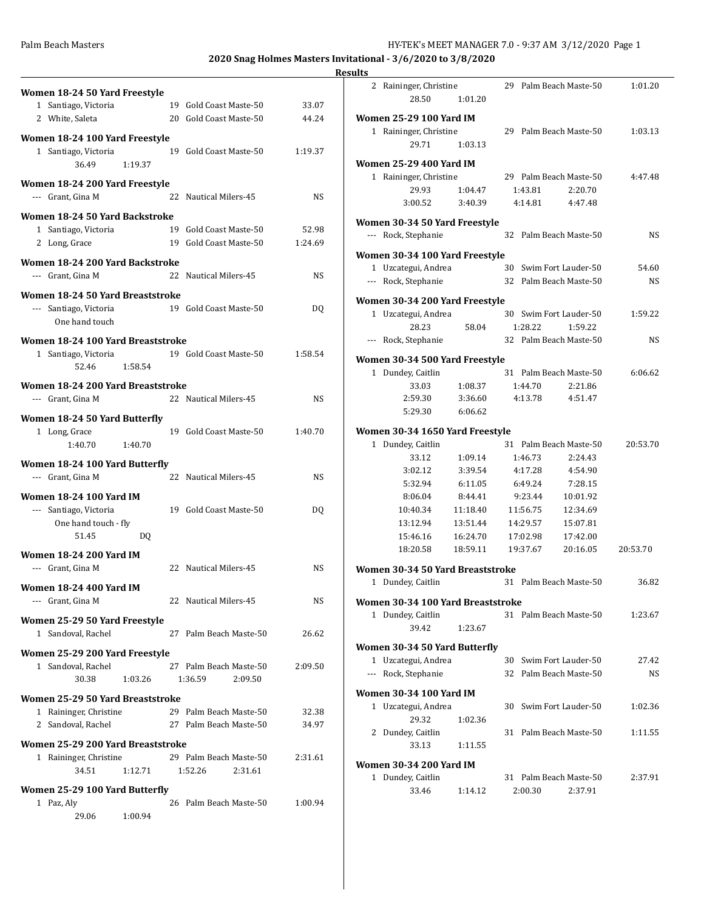|                                                        |                                                                    | <b>Results</b> |
|--------------------------------------------------------|--------------------------------------------------------------------|----------------|
| Women 18-24 50 Yard Freestyle                          |                                                                    |                |
| 1 Santiago, Victoria                                   | 19 Gold Coast Maste-50<br>33.07                                    |                |
| 2 White, Saleta                                        | 20 Gold Coast Maste-50<br>44.24                                    | Wα             |
| Women 18-24 100 Yard Freestyle                         |                                                                    |                |
| 1 Santiago, Victoria                                   | 19 Gold Coast Maste-50<br>1:19.37                                  |                |
| 36.49<br>1:19.37                                       |                                                                    | Wo             |
| Women 18-24 200 Yard Freestyle                         |                                                                    |                |
| --- Grant, Gina M                                      | 22 Nautical Milers-45<br><b>NS</b>                                 |                |
|                                                        |                                                                    |                |
| Women 18-24 50 Yard Backstroke<br>1 Santiago, Victoria | 19 Gold Coast Maste-50<br>52.98                                    | Wo             |
| 2 Long, Grace                                          | 19 Gold Coast Maste-50<br>1:24.69                                  |                |
|                                                        |                                                                    | Wα             |
| Women 18-24 200 Yard Backstroke                        |                                                                    |                |
| --- Grant, Gina M                                      | 22 Nautical Milers-45<br><b>NS</b>                                 |                |
| Women 18-24 50 Yard Breaststroke                       |                                                                    | Wo             |
| --- Santiago, Victoria                                 | 19 Gold Coast Maste-50<br>DQ                                       |                |
| One hand touch                                         |                                                                    |                |
| Women 18-24 100 Yard Breaststroke                      |                                                                    |                |
| 1 Santiago, Victoria                                   | 19 Gold Coast Maste-50<br>1:58.54                                  | Wo             |
| 52.46<br>1:58.54                                       |                                                                    |                |
| Women 18-24 200 Yard Breaststroke                      |                                                                    |                |
| --- Grant, Gina M                                      | 22 Nautical Milers-45<br><b>NS</b>                                 |                |
|                                                        |                                                                    |                |
| Women 18-24 50 Yard Butterfly<br>1 Long, Grace         | 19 Gold Coast Maste-50<br>1:40.70                                  | Wo             |
| 1:40.70<br>1:40.70                                     |                                                                    |                |
|                                                        |                                                                    |                |
| Women 18-24 100 Yard Butterfly<br>--- Grant, Gina M    | 22 Nautical Milers-45<br><b>NS</b>                                 |                |
|                                                        |                                                                    |                |
| <b>Women 18-24 100 Yard IM</b>                         |                                                                    |                |
| --- Santiago, Victoria                                 | 19 Gold Coast Maste-50<br>DQ                                       |                |
| One hand touch - fly<br>51.45<br>DO.                   |                                                                    |                |
|                                                        |                                                                    |                |
| <b>Women 18-24 200 Yard IM</b>                         |                                                                    |                |
| --- Grant, Gina M                                      | 22 Nautical Milers-45<br>NS                                        | Wo             |
| <b>Women 18-24 400 Yard IM</b>                         |                                                                    |                |
| --- Grant, Gina M                                      | 22 Nautical Milers-45<br>NS.                                       | Wα             |
| Women 25-29 50 Yard Freestyle                          |                                                                    |                |
| 1 Sandoval, Rachel                                     | 27 Palm Beach Maste-50<br>26.62                                    |                |
|                                                        |                                                                    | Wα             |
| Women 25-29 200 Yard Freestyle<br>1 Sandoval, Rachel   | 27 Palm Beach Maste-50<br>2:09.50                                  |                |
| 30.38<br>1:03.26                                       | 1:36.59<br>2:09.50                                                 |                |
|                                                        |                                                                    | W              |
| Women 25-29 50 Yard Breaststroke                       |                                                                    |                |
| 1 Raininger, Christine<br>2 Sandoval, Rachel           | 29 Palm Beach Maste-50<br>32.38<br>27 Palm Beach Maste-50<br>34.97 |                |
|                                                        |                                                                    |                |
| Women 25-29 200 Yard Breaststroke                      |                                                                    |                |
| 1 Raininger, Christine                                 | 29 Palm Beach Maste-50<br>2:31.61                                  | Wα             |
| 34.51<br>1:12.71                                       | 1:52.26<br>2:31.61                                                 |                |
| Women 25-29 100 Yard Butterfly                         |                                                                    |                |
| 1 Paz, Aly                                             | 26 Palm Beach Maste-50<br>1:00.94                                  |                |
| 29.06<br>1:00.94                                       |                                                                    |                |

| lts |                                                                       |                    |    |                    |                                              |          |  |
|-----|-----------------------------------------------------------------------|--------------------|----|--------------------|----------------------------------------------|----------|--|
| 2   | Raininger, Christine<br>28.50                                         | 1:01.20            |    |                    | 29 Palm Beach Maste-50                       | 1:01.20  |  |
|     | Women 25-29 100 Yard IM<br>1 Raininger, Christine<br>29.71            | 1:03.13            |    |                    | 29 Palm Beach Maste-50                       | 1:03.13  |  |
|     | Women 25-29 400 Yard IM<br>1 Raininger, Christine<br>29.93<br>3:00.52 | 1:04.47<br>3:40.39 |    | 1:43.81<br>4:14.81 | 29 Palm Beach Maste-50<br>2:20.70<br>4:47.48 | 4:47.48  |  |
|     | Women 30-34 50 Yard Freestyle<br>--- Rock, Stephanie                  |                    | 32 |                    | Palm Beach Maste-50                          | NS       |  |
|     | Women 30-34 100 Yard Freestyle                                        |                    |    |                    |                                              |          |  |
|     | 1 Uzcategui, Andrea                                                   |                    |    |                    | 30 Swim Fort Lauder-50                       | 54.60    |  |
|     | --- Rock, Stephanie                                                   |                    |    |                    | 32 Palm Beach Maste-50                       | NS.      |  |
|     | Women 30-34 200 Yard Freestyle                                        |                    |    |                    |                                              |          |  |
|     | 1 Uzcategui, Andrea                                                   |                    |    |                    | 30 Swim Fort Lauder-50                       | 1:59.22  |  |
|     | 28.23                                                                 | 58.04              |    | 1:28.22            | 1:59.22                                      |          |  |
|     | --- Rock, Stephanie                                                   |                    |    |                    | 32 Palm Beach Maste-50                       | NS.      |  |
|     | Women 30-34 500 Yard Freestyle                                        |                    |    |                    |                                              |          |  |
|     | 1 Dundey, Caitlin                                                     |                    |    |                    | 31 Palm Beach Maste-50                       | 6:06.62  |  |
|     | 33.03                                                                 | 1:08.37            |    | 1:44.70            | 2:21.86                                      |          |  |
|     | 2:59.30                                                               | 3:36.60            |    | 4:13.78            | 4:51.47                                      |          |  |
|     | 5:29.30                                                               | 6:06.62            |    |                    |                                              |          |  |
|     |                                                                       |                    |    |                    |                                              |          |  |
|     | Women 30-34 1650 Yard Freestyle                                       |                    |    |                    |                                              |          |  |
|     | 1 Dundey, Caitlin                                                     |                    |    |                    | 31 Palm Beach Maste-50                       | 20:53.70 |  |
|     | 33.12                                                                 | 1:09.14            |    | 1:46.73            | 2:24.43                                      |          |  |
|     | 3:02.12<br>5:32.94                                                    | 3:39.54<br>6:11.05 |    | 4:17.28<br>6:49.24 | 4:54.90<br>7:28.15                           |          |  |
|     | 8:06.04                                                               | 8:44.41            |    | 9:23.44            | 10:01.92                                     |          |  |
|     | 10:40.34                                                              | 11:18.40           |    | 11:56.75           | 12:34.69                                     |          |  |
|     | 13:12.94                                                              | 13:51.44           |    | 14:29.57           | 15:07.81                                     |          |  |
|     | 15:46.16                                                              | 16:24.70           |    | 17:02.98           | 17:42.00                                     |          |  |
|     | 18:20.58                                                              | 18:59.11           |    | 19:37.67           | 20:16.05                                     | 20:53.70 |  |
|     |                                                                       |                    |    |                    |                                              |          |  |
|     | Women 30-34 50 Yard Breaststroke                                      |                    |    |                    |                                              |          |  |
|     | 1 Dundey, Caitlin                                                     |                    |    |                    | 31 Palm Beach Maste-50                       | 36.82    |  |
|     | Women 30-34 100 Yard Breaststroke                                     |                    |    |                    |                                              |          |  |
|     | 1 Dundey, Caitlin                                                     |                    |    |                    | 31 Palm Beach Maste-50                       | 1:23.67  |  |
|     | 39.42                                                                 | 1:23.67            |    |                    |                                              |          |  |
|     | Women 30-34 50 Yard Butterfly                                         |                    |    |                    |                                              |          |  |
|     | 1 Uzcategui, Andrea                                                   |                    |    |                    | 30 Swim Fort Lauder-50                       | 27.42    |  |
|     | --- Rock, Stephanie                                                   |                    |    |                    | 32 Palm Beach Maste-50                       | NS       |  |
|     |                                                                       |                    |    |                    |                                              |          |  |
|     | Women 30-34 100 Yard IM                                               |                    |    |                    |                                              |          |  |
|     | 1 Uzcategui, Andrea                                                   |                    |    |                    | 30 Swim Fort Lauder-50                       | 1:02.36  |  |
|     | 29.32                                                                 | 1:02.36            |    |                    |                                              |          |  |
|     | 2 Dundey, Caitlin<br>33.13                                            | 1:11.55            | 31 |                    | Palm Beach Maste-50                          | 1:11.55  |  |
|     |                                                                       |                    |    |                    |                                              |          |  |
|     | Women 30-34 200 Yard IM                                               |                    |    |                    |                                              |          |  |
|     | 1 Dundey, Caitlin<br>33.46                                            | 1:14.12            |    | 2:00.30            | 31 Palm Beach Maste-50<br>2:37.91            | 2:37.91  |  |
|     |                                                                       |                    |    |                    |                                              |          |  |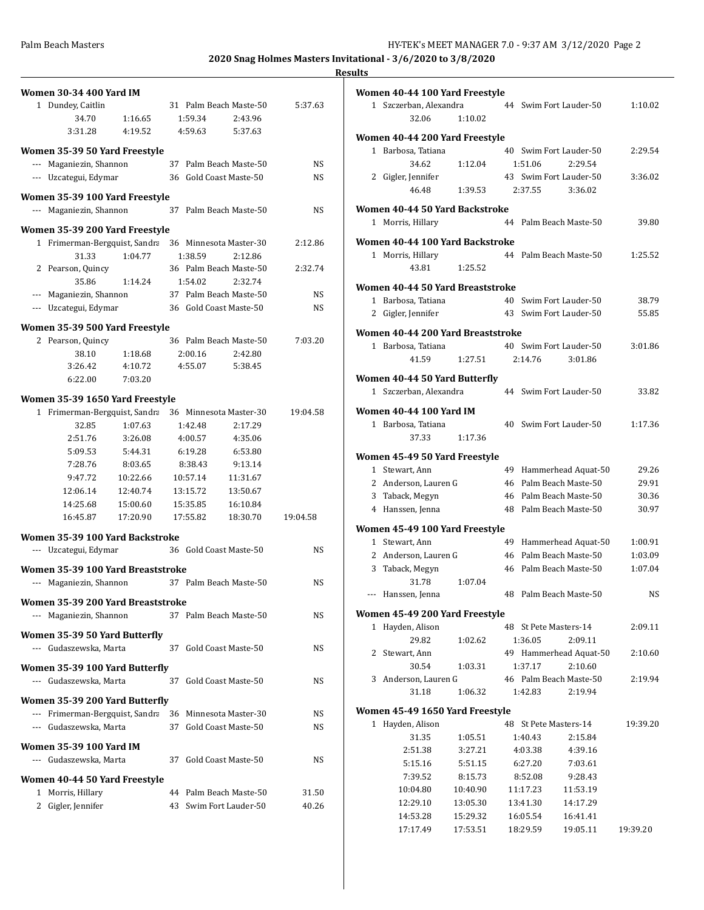|     | Women 30-34 400 Yard IM                                   |          |    |          |                                   |          |
|-----|-----------------------------------------------------------|----------|----|----------|-----------------------------------|----------|
|     | 1 Dundey, Caitlin                                         |          |    |          | 31 Palm Beach Maste-50            | 5:37.63  |
|     | 34.70                                                     | 1:16.65  |    | 1:59.34  | 2:43.96                           |          |
|     | 3:31.28                                                   | 4:19.52  |    | 4:59.63  | 5:37.63                           |          |
|     | Women 35-39 50 Yard Freestyle                             |          |    |          |                                   |          |
|     | --- Maganiezin, Shannon                                   |          |    |          | 37 Palm Beach Maste-50            | NS       |
|     | --- Uzcategui, Edymar                                     |          |    |          | 36 Gold Coast Maste-50            | NS       |
|     |                                                           |          |    |          |                                   |          |
|     | Women 35-39 100 Yard Freestyle<br>--- Maganiezin, Shannon |          | 37 |          | Palm Beach Maste-50               | NS       |
|     |                                                           |          |    |          |                                   |          |
|     | Women 35-39 200 Yard Freestyle                            |          |    |          |                                   |          |
|     | 1 Frimerman-Bergquist, Sandra                             |          |    |          | 36 Minnesota Master-30            | 2:12.86  |
|     | 31.33                                                     | 1:04.77  |    | 1:38.59  | 2:12.86<br>36 Palm Beach Maste-50 |          |
|     | 2 Pearson, Quincy<br>35.86                                | 1:14.24  |    | 1:54.02  | 2:32.74                           | 2:32.74  |
| --- | Maganiezin, Shannon                                       |          |    |          | 37 Palm Beach Maste-50            | NS       |
|     | --- Uzcategui, Edymar                                     |          |    |          | 36 Gold Coast Maste-50            | NS       |
|     |                                                           |          |    |          |                                   |          |
|     | Women 35-39 500 Yard Freestyle                            |          |    |          |                                   |          |
|     | 2 Pearson, Quincy                                         |          |    |          | 36 Palm Beach Maste-50            | 7:03.20  |
|     | 38.10                                                     | 1:18.68  |    | 2:00.16  | 2:42.80                           |          |
|     | 3:26.42                                                   | 4:10.72  |    | 4:55.07  | 5:38.45                           |          |
|     | 6:22.00                                                   | 7:03.20  |    |          |                                   |          |
|     | Women 35-39 1650 Yard Freestyle                           |          |    |          |                                   |          |
|     | 1 Frimerman-Bergquist, Sandra                             |          |    |          | 36 Minnesota Master-30            | 19:04.58 |
|     | 32.85                                                     | 1:07.63  |    | 1:42.48  | 2:17.29                           |          |
|     | 2:51.76                                                   | 3:26.08  |    | 4:00.57  | 4:35.06                           |          |
|     | 5:09.53                                                   | 5:44.31  |    | 6:19.28  | 6:53.80                           |          |
|     | 7:28.76                                                   | 8:03.65  |    | 8:38.43  | 9:13.14                           |          |
|     | 9:47.72                                                   | 10:22.66 |    | 10:57.14 | 11:31.67                          |          |
|     | 12:06.14                                                  | 12:40.74 |    | 13:15.72 | 13:50.67                          |          |
|     | 14:25.68                                                  | 15:00.60 |    | 15:35.85 | 16:10.84                          |          |
|     | 16:45.87                                                  | 17:20.90 |    | 17:55.82 | 18:30.70                          | 19:04.58 |
|     | Women 35-39 100 Yard Backstroke                           |          |    |          |                                   |          |
|     | --- Uzcategui, Edymar                                     |          |    |          | 36 Gold Coast Maste-50            | NS       |
|     | Women 35-39 100 Yard Breaststroke                         |          |    |          |                                   |          |
|     | --- Maganiezin, Shannon                                   |          |    |          | 37 Palm Beach Maste-50            | NS       |
|     | Women 35-39 200 Yard Breaststroke                         |          |    |          |                                   |          |
|     | --- Maganiezin, Shannon                                   |          |    |          | 37 Palm Beach Maste-50            | NS       |
|     | Women 35-39 50 Yard Butterfly                             |          |    |          |                                   |          |
|     | --- Gudaszewska, Marta                                    |          |    |          | 37 Gold Coast Maste-50            | NS       |
|     |                                                           |          |    |          |                                   |          |
|     | Women 35-39 100 Yard Butterfly                            |          |    |          |                                   |          |
|     | --- Gudaszewska, Marta                                    |          | 37 |          | Gold Coast Maste-50               | NS       |
|     | Women 35-39 200 Yard Butterfly                            |          |    |          |                                   |          |
|     | --- Frimerman-Bergquist, Sandra                           |          | 36 |          | Minnesota Master-30               | NS       |
|     | --- Gudaszewska, Marta                                    |          | 37 |          | Gold Coast Maste-50               | NS       |
|     | Women 35-39 100 Yard IM                                   |          |    |          |                                   |          |
|     | --- Gudaszewska, Marta                                    |          | 37 |          | Gold Coast Maste-50               | NS       |
|     |                                                           |          |    |          |                                   |          |
|     | Women 40-44 50 Yard Freestyle                             |          |    |          |                                   |          |
|     | 1 Morris, Hillary                                         |          | 44 |          | Palm Beach Maste-50               | 31.50    |
|     | 2 Gigler, Jennifer                                        |          | 43 |          | Swim Fort Lauder-50               | 40.26    |
|     |                                                           |          |    |          |                                   |          |

|              | Women 40-44 100 Yard Freestyle    |          |    |                                                  |                        |          |
|--------------|-----------------------------------|----------|----|--------------------------------------------------|------------------------|----------|
|              | 1 Szczerban, Alexandra            |          |    | 44 Swim Fort Lauder-50                           |                        | 1:10.02  |
|              | 32.06                             | 1:10.02  |    |                                                  |                        |          |
|              | Women 40-44 200 Yard Freestyle    |          |    |                                                  |                        |          |
|              | 1 Barbosa, Tatiana                |          |    | 40 Swim Fort Lauder-50                           |                        | 2:29.54  |
|              | 34.62                             | 1:12.04  |    | 1:51.06                                          | 2:29.54                |          |
|              | 2 Gigler, Jennifer                |          |    | 43 Swim Fort Lauder-50                           |                        | 3:36.02  |
|              | 46.48                             | 1:39.53  |    | 2:37.55                                          | 3:36.02                |          |
|              | Women 40-44 50 Yard Backstroke    |          |    |                                                  |                        |          |
|              | 1 Morris, Hillary                 |          | 44 | Palm Beach Maste-50                              |                        | 39.80    |
|              |                                   |          |    |                                                  |                        |          |
|              | Women 40-44 100 Yard Backstroke   |          |    |                                                  |                        |          |
|              | 1 Morris, Hillary                 |          |    | 44 Palm Beach Maste-50                           |                        | 1:25.52  |
|              | 43.81                             | 1:25.52  |    |                                                  |                        |          |
|              | Women 40-44 50 Yard Breaststroke  |          |    |                                                  |                        |          |
|              | 1 Barbosa, Tatiana                |          |    | 40 Swim Fort Lauder-50                           |                        | 38.79    |
|              | 2 Gigler, Jennifer                |          |    | 43 Swim Fort Lauder-50                           |                        | 55.85    |
|              |                                   |          |    |                                                  |                        |          |
|              | Women 40-44 200 Yard Breaststroke |          |    |                                                  |                        |          |
|              | 1 Barbosa, Tatiana<br>41.59       | 1:27.51  |    | 40 Swim Fort Lauder-50<br>2:14.76                | 3:01.86                | 3:01.86  |
|              |                                   |          |    |                                                  |                        |          |
|              | Women 40-44 50 Yard Butterfly     |          |    |                                                  |                        |          |
|              | 1 Szczerban, Alexandra            |          |    | 44 Swim Fort Lauder-50                           |                        | 33.82    |
|              | <b>Women 40-44 100 Yard IM</b>    |          |    |                                                  |                        |          |
|              | 1 Barbosa, Tatiana                |          |    | 40 Swim Fort Lauder-50                           |                        | 1:17.36  |
|              | 37.33                             | 1:17.36  |    |                                                  |                        |          |
|              |                                   |          |    |                                                  |                        |          |
|              | Women 45-49 50 Yard Freestyle     |          |    |                                                  |                        |          |
|              | 1 Stewart, Ann                    |          |    |                                                  | 49 Hammerhead Aquat-50 | 29.26    |
|              | 2 Anderson, Lauren G              |          |    | 46 Palm Beach Maste-50                           |                        | 29.91    |
|              | 3 Taback, Megyn                   |          |    | 46 Palm Beach Maste-50<br>48 Palm Beach Maste-50 |                        | 30.36    |
|              | 4 Hanssen, Jenna                  |          |    |                                                  |                        | 30.97    |
|              | Women 45-49 100 Yard Freestyle    |          |    |                                                  |                        |          |
|              | 1 Stewart, Ann                    |          | 49 |                                                  | Hammerhead Aquat-50    | 1:00.91  |
|              | 2 Anderson, Lauren G              |          |    | 46 Palm Beach Maste-50                           |                        | 1:03.09  |
|              | 3 Taback, Megyn                   |          |    | 46 Palm Beach Maste-50                           |                        | 1:07.04  |
|              | 31.78                             | 1:07.04  |    |                                                  |                        |          |
|              | --- Hanssen, Jenna                |          |    | 48 Palm Beach Maste-50                           |                        | NS       |
|              | Women 45-49 200 Yard Freestyle    |          |    |                                                  |                        |          |
| $\mathbf{1}$ | Hayden, Alison                    |          |    | 48 St Pete Masters-14                            |                        | 2:09.11  |
|              | 29.82                             | 1:02.62  |    | 1:36.05                                          | 2:09.11                |          |
| 2            | Stewart, Ann                      |          |    |                                                  | 49 Hammerhead Aquat-50 | 2:10.60  |
|              | 30.54                             | 1:03.31  |    | 1:37.17                                          | 2:10.60                |          |
|              | 3 Anderson, Lauren G              |          |    | 46 Palm Beach Maste-50                           |                        | 2:19.94  |
|              | 31.18                             | 1:06.32  |    | 1:42.83                                          | 2:19.94                |          |
|              | Women 45-49 1650 Yard Freestyle   |          |    |                                                  |                        |          |
|              | 1 Hayden, Alison                  |          |    | 48 St Pete Masters-14                            |                        | 19:39.20 |
|              | 31.35                             | 1:05.51  |    | 1:40.43                                          | 2:15.84                |          |
|              | 2:51.38                           | 3:27.21  |    | 4:03.38                                          | 4:39.16                |          |
|              | 5:15.16                           | 5:51.15  |    | 6:27.20                                          | 7:03.61                |          |
|              | 7:39.52                           | 8:15.73  |    | 8:52.08                                          | 9:28.43                |          |
|              | 10:04.80                          | 10:40.90 |    | 11:17.23                                         | 11:53.19               |          |
|              | 12:29.10                          | 13:05.30 |    | 13:41.30                                         | 14:17.29               |          |
|              | 14:53.28                          | 15:29.32 |    | 16:05.54                                         | 16:41.41               |          |
|              | 17:17.49                          | 17:53.51 |    | 18:29.59                                         | 19:05.11               | 19:39.20 |
|              |                                   |          |    |                                                  |                        |          |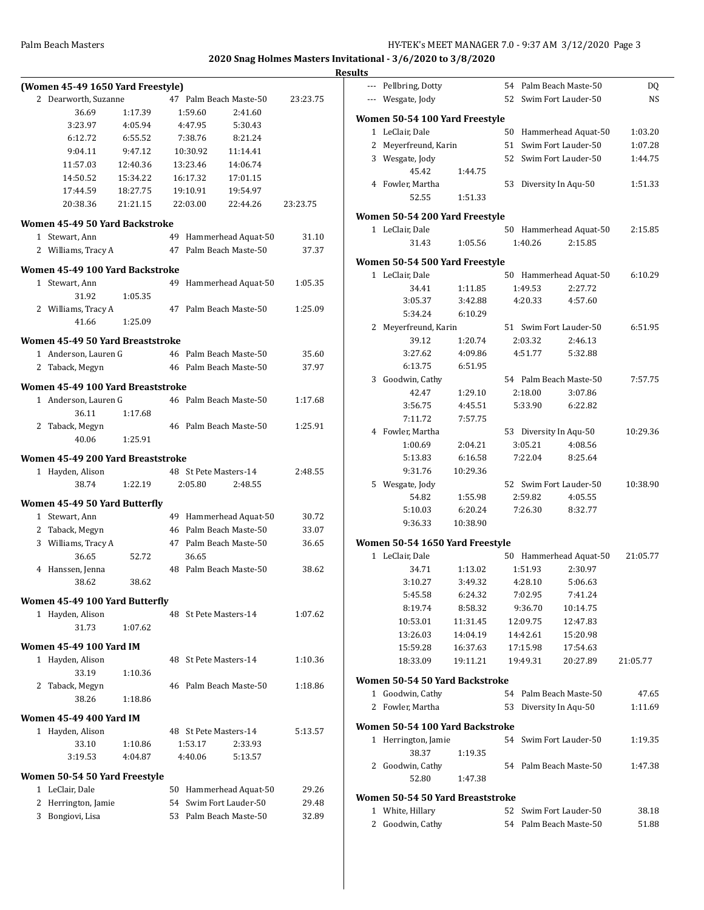| (Women 45-49 1650 Yard Freestyle)<br>2 Dearworth, Suzanne<br>47 Palm Beach Maste-50<br>23:23.75<br>36.69<br>1:17.39<br>1:59.60<br>2:41.60<br>3:23.97<br>5:30.43<br>4:05.94<br>4:47.95<br>6:12.72<br>6:55.52<br>7:38.76<br>8:21.24<br>9:04.11<br>9:47.12<br>10:30.92<br>11:14.41<br>11:57.03<br>12:40.36<br>13:23.46<br>14:06.74<br>14:50.52<br>15:34.22<br>16:17.32<br>17:01.15<br>17:44.59<br>18:27.75<br>19:10.91<br>19:54.97<br>20:38.36<br>21:21.15<br>22:03.00<br>22:44.26<br>23:23.75<br>Women 45-49 50 Yard Backstroke<br>1 Stewart, Ann<br>Hammerhead Aquat-50<br>49<br>31.10<br>Palm Beach Maste-50<br>2 Williams, Tracy A<br>47<br>37.37<br>Women 45-49 100 Yard Backstroke<br>1 Stewart, Ann<br>49<br>Hammerhead Aquat-50<br>1:05.35<br>31.92<br>1:05.35<br>47 Palm Beach Maste-50<br>2 Williams, Tracy A<br>1:25.09<br>41.66<br>1:25.09<br>Women 45-49 50 Yard Breaststroke<br>1 Anderson, Lauren G<br>46 Palm Beach Maste-50<br>35.60<br>46 Palm Beach Maste-50<br>2 Taback, Megyn<br>37.97<br>Women 45-49 100 Yard Breaststroke<br>1 Anderson, Lauren G<br>46 Palm Beach Maste-50<br>1:17.68<br>36.11<br>1:17.68<br>46 Palm Beach Maste-50<br>2 Taback, Megyn<br>1:25.91<br>40.06<br>1:25.91<br>Women 45-49 200 Yard Breaststroke<br>1 Hayden, Alison<br>48 St Pete Masters-14<br>2:48.55<br>38.74<br>1:22.19<br>2:05.80<br>2:48.55<br>Women 45-49 50 Yard Butterfly<br>1 Stewart, Ann<br>49 Hammerhead Aquat-50<br>30.72<br>Palm Beach Maste-50<br>2 Taback, Megyn<br>46<br>33.07<br>Palm Beach Maste-50<br>3 Williams, Tracy A<br>47<br>36.65<br>36.65<br>36.65<br>52.72<br>48 Palm Beach Maste-50<br>4 Hanssen, Jenna<br>38.62<br>38.62<br>38.62<br>Women 45-49 100 Yard Butterfly<br>1 Hayden, Alison<br>48 St Pete Masters-14<br>1:07.62<br>31.73<br>1:07.62<br><b>Women 45-49 100 Yard IM</b><br>1 Hayden, Alison<br>48 St Pete Masters-14<br>1:10.36<br>33.19<br>1:10.36<br>Taback, Megyn<br>46 Palm Beach Maste-50<br>1:18.86<br>2<br>38.26<br>1:18.86<br><b>Women 45-49 400 Yard IM</b><br>1 Hayden, Alison<br>48 St Pete Masters-14<br>5:13.57<br>33.10<br>1:10.86<br>1:53.17<br>2:33.93<br>3:19.53<br>4:04.87<br>4:40.06<br>5:13.57<br>Women 50-54 50 Yard Freestyle<br>Hammerhead Aquat-50<br>LeClair, Dale<br>29.26<br>1.<br>50<br>Swim Fort Lauder-50<br>2 Herrington, Jamie<br>54<br>29.48<br>3 Bongiovi, Lisa<br>53 Palm Beach Maste-50<br>32.89 |  |  |  |  |
|--------------------------------------------------------------------------------------------------------------------------------------------------------------------------------------------------------------------------------------------------------------------------------------------------------------------------------------------------------------------------------------------------------------------------------------------------------------------------------------------------------------------------------------------------------------------------------------------------------------------------------------------------------------------------------------------------------------------------------------------------------------------------------------------------------------------------------------------------------------------------------------------------------------------------------------------------------------------------------------------------------------------------------------------------------------------------------------------------------------------------------------------------------------------------------------------------------------------------------------------------------------------------------------------------------------------------------------------------------------------------------------------------------------------------------------------------------------------------------------------------------------------------------------------------------------------------------------------------------------------------------------------------------------------------------------------------------------------------------------------------------------------------------------------------------------------------------------------------------------------------------------------------------------------------------------------------------------------------------------------------------------------------------------------------------------------------------------------------------------------------------------------------------------------------------------------------------------------------------------------------------------------------------------------------------------------------------------------------------------------------------|--|--|--|--|
|                                                                                                                                                                                                                                                                                                                                                                                                                                                                                                                                                                                                                                                                                                                                                                                                                                                                                                                                                                                                                                                                                                                                                                                                                                                                                                                                                                                                                                                                                                                                                                                                                                                                                                                                                                                                                                                                                                                                                                                                                                                                                                                                                                                                                                                                                                                                                                                |  |  |  |  |
|                                                                                                                                                                                                                                                                                                                                                                                                                                                                                                                                                                                                                                                                                                                                                                                                                                                                                                                                                                                                                                                                                                                                                                                                                                                                                                                                                                                                                                                                                                                                                                                                                                                                                                                                                                                                                                                                                                                                                                                                                                                                                                                                                                                                                                                                                                                                                                                |  |  |  |  |
|                                                                                                                                                                                                                                                                                                                                                                                                                                                                                                                                                                                                                                                                                                                                                                                                                                                                                                                                                                                                                                                                                                                                                                                                                                                                                                                                                                                                                                                                                                                                                                                                                                                                                                                                                                                                                                                                                                                                                                                                                                                                                                                                                                                                                                                                                                                                                                                |  |  |  |  |
|                                                                                                                                                                                                                                                                                                                                                                                                                                                                                                                                                                                                                                                                                                                                                                                                                                                                                                                                                                                                                                                                                                                                                                                                                                                                                                                                                                                                                                                                                                                                                                                                                                                                                                                                                                                                                                                                                                                                                                                                                                                                                                                                                                                                                                                                                                                                                                                |  |  |  |  |
|                                                                                                                                                                                                                                                                                                                                                                                                                                                                                                                                                                                                                                                                                                                                                                                                                                                                                                                                                                                                                                                                                                                                                                                                                                                                                                                                                                                                                                                                                                                                                                                                                                                                                                                                                                                                                                                                                                                                                                                                                                                                                                                                                                                                                                                                                                                                                                                |  |  |  |  |
|                                                                                                                                                                                                                                                                                                                                                                                                                                                                                                                                                                                                                                                                                                                                                                                                                                                                                                                                                                                                                                                                                                                                                                                                                                                                                                                                                                                                                                                                                                                                                                                                                                                                                                                                                                                                                                                                                                                                                                                                                                                                                                                                                                                                                                                                                                                                                                                |  |  |  |  |
|                                                                                                                                                                                                                                                                                                                                                                                                                                                                                                                                                                                                                                                                                                                                                                                                                                                                                                                                                                                                                                                                                                                                                                                                                                                                                                                                                                                                                                                                                                                                                                                                                                                                                                                                                                                                                                                                                                                                                                                                                                                                                                                                                                                                                                                                                                                                                                                |  |  |  |  |
|                                                                                                                                                                                                                                                                                                                                                                                                                                                                                                                                                                                                                                                                                                                                                                                                                                                                                                                                                                                                                                                                                                                                                                                                                                                                                                                                                                                                                                                                                                                                                                                                                                                                                                                                                                                                                                                                                                                                                                                                                                                                                                                                                                                                                                                                                                                                                                                |  |  |  |  |
|                                                                                                                                                                                                                                                                                                                                                                                                                                                                                                                                                                                                                                                                                                                                                                                                                                                                                                                                                                                                                                                                                                                                                                                                                                                                                                                                                                                                                                                                                                                                                                                                                                                                                                                                                                                                                                                                                                                                                                                                                                                                                                                                                                                                                                                                                                                                                                                |  |  |  |  |
|                                                                                                                                                                                                                                                                                                                                                                                                                                                                                                                                                                                                                                                                                                                                                                                                                                                                                                                                                                                                                                                                                                                                                                                                                                                                                                                                                                                                                                                                                                                                                                                                                                                                                                                                                                                                                                                                                                                                                                                                                                                                                                                                                                                                                                                                                                                                                                                |  |  |  |  |
|                                                                                                                                                                                                                                                                                                                                                                                                                                                                                                                                                                                                                                                                                                                                                                                                                                                                                                                                                                                                                                                                                                                                                                                                                                                                                                                                                                                                                                                                                                                                                                                                                                                                                                                                                                                                                                                                                                                                                                                                                                                                                                                                                                                                                                                                                                                                                                                |  |  |  |  |
|                                                                                                                                                                                                                                                                                                                                                                                                                                                                                                                                                                                                                                                                                                                                                                                                                                                                                                                                                                                                                                                                                                                                                                                                                                                                                                                                                                                                                                                                                                                                                                                                                                                                                                                                                                                                                                                                                                                                                                                                                                                                                                                                                                                                                                                                                                                                                                                |  |  |  |  |
|                                                                                                                                                                                                                                                                                                                                                                                                                                                                                                                                                                                                                                                                                                                                                                                                                                                                                                                                                                                                                                                                                                                                                                                                                                                                                                                                                                                                                                                                                                                                                                                                                                                                                                                                                                                                                                                                                                                                                                                                                                                                                                                                                                                                                                                                                                                                                                                |  |  |  |  |
|                                                                                                                                                                                                                                                                                                                                                                                                                                                                                                                                                                                                                                                                                                                                                                                                                                                                                                                                                                                                                                                                                                                                                                                                                                                                                                                                                                                                                                                                                                                                                                                                                                                                                                                                                                                                                                                                                                                                                                                                                                                                                                                                                                                                                                                                                                                                                                                |  |  |  |  |
|                                                                                                                                                                                                                                                                                                                                                                                                                                                                                                                                                                                                                                                                                                                                                                                                                                                                                                                                                                                                                                                                                                                                                                                                                                                                                                                                                                                                                                                                                                                                                                                                                                                                                                                                                                                                                                                                                                                                                                                                                                                                                                                                                                                                                                                                                                                                                                                |  |  |  |  |
|                                                                                                                                                                                                                                                                                                                                                                                                                                                                                                                                                                                                                                                                                                                                                                                                                                                                                                                                                                                                                                                                                                                                                                                                                                                                                                                                                                                                                                                                                                                                                                                                                                                                                                                                                                                                                                                                                                                                                                                                                                                                                                                                                                                                                                                                                                                                                                                |  |  |  |  |
|                                                                                                                                                                                                                                                                                                                                                                                                                                                                                                                                                                                                                                                                                                                                                                                                                                                                                                                                                                                                                                                                                                                                                                                                                                                                                                                                                                                                                                                                                                                                                                                                                                                                                                                                                                                                                                                                                                                                                                                                                                                                                                                                                                                                                                                                                                                                                                                |  |  |  |  |
|                                                                                                                                                                                                                                                                                                                                                                                                                                                                                                                                                                                                                                                                                                                                                                                                                                                                                                                                                                                                                                                                                                                                                                                                                                                                                                                                                                                                                                                                                                                                                                                                                                                                                                                                                                                                                                                                                                                                                                                                                                                                                                                                                                                                                                                                                                                                                                                |  |  |  |  |
|                                                                                                                                                                                                                                                                                                                                                                                                                                                                                                                                                                                                                                                                                                                                                                                                                                                                                                                                                                                                                                                                                                                                                                                                                                                                                                                                                                                                                                                                                                                                                                                                                                                                                                                                                                                                                                                                                                                                                                                                                                                                                                                                                                                                                                                                                                                                                                                |  |  |  |  |
|                                                                                                                                                                                                                                                                                                                                                                                                                                                                                                                                                                                                                                                                                                                                                                                                                                                                                                                                                                                                                                                                                                                                                                                                                                                                                                                                                                                                                                                                                                                                                                                                                                                                                                                                                                                                                                                                                                                                                                                                                                                                                                                                                                                                                                                                                                                                                                                |  |  |  |  |
|                                                                                                                                                                                                                                                                                                                                                                                                                                                                                                                                                                                                                                                                                                                                                                                                                                                                                                                                                                                                                                                                                                                                                                                                                                                                                                                                                                                                                                                                                                                                                                                                                                                                                                                                                                                                                                                                                                                                                                                                                                                                                                                                                                                                                                                                                                                                                                                |  |  |  |  |
|                                                                                                                                                                                                                                                                                                                                                                                                                                                                                                                                                                                                                                                                                                                                                                                                                                                                                                                                                                                                                                                                                                                                                                                                                                                                                                                                                                                                                                                                                                                                                                                                                                                                                                                                                                                                                                                                                                                                                                                                                                                                                                                                                                                                                                                                                                                                                                                |  |  |  |  |
|                                                                                                                                                                                                                                                                                                                                                                                                                                                                                                                                                                                                                                                                                                                                                                                                                                                                                                                                                                                                                                                                                                                                                                                                                                                                                                                                                                                                                                                                                                                                                                                                                                                                                                                                                                                                                                                                                                                                                                                                                                                                                                                                                                                                                                                                                                                                                                                |  |  |  |  |
|                                                                                                                                                                                                                                                                                                                                                                                                                                                                                                                                                                                                                                                                                                                                                                                                                                                                                                                                                                                                                                                                                                                                                                                                                                                                                                                                                                                                                                                                                                                                                                                                                                                                                                                                                                                                                                                                                                                                                                                                                                                                                                                                                                                                                                                                                                                                                                                |  |  |  |  |
|                                                                                                                                                                                                                                                                                                                                                                                                                                                                                                                                                                                                                                                                                                                                                                                                                                                                                                                                                                                                                                                                                                                                                                                                                                                                                                                                                                                                                                                                                                                                                                                                                                                                                                                                                                                                                                                                                                                                                                                                                                                                                                                                                                                                                                                                                                                                                                                |  |  |  |  |
|                                                                                                                                                                                                                                                                                                                                                                                                                                                                                                                                                                                                                                                                                                                                                                                                                                                                                                                                                                                                                                                                                                                                                                                                                                                                                                                                                                                                                                                                                                                                                                                                                                                                                                                                                                                                                                                                                                                                                                                                                                                                                                                                                                                                                                                                                                                                                                                |  |  |  |  |
|                                                                                                                                                                                                                                                                                                                                                                                                                                                                                                                                                                                                                                                                                                                                                                                                                                                                                                                                                                                                                                                                                                                                                                                                                                                                                                                                                                                                                                                                                                                                                                                                                                                                                                                                                                                                                                                                                                                                                                                                                                                                                                                                                                                                                                                                                                                                                                                |  |  |  |  |
|                                                                                                                                                                                                                                                                                                                                                                                                                                                                                                                                                                                                                                                                                                                                                                                                                                                                                                                                                                                                                                                                                                                                                                                                                                                                                                                                                                                                                                                                                                                                                                                                                                                                                                                                                                                                                                                                                                                                                                                                                                                                                                                                                                                                                                                                                                                                                                                |  |  |  |  |
|                                                                                                                                                                                                                                                                                                                                                                                                                                                                                                                                                                                                                                                                                                                                                                                                                                                                                                                                                                                                                                                                                                                                                                                                                                                                                                                                                                                                                                                                                                                                                                                                                                                                                                                                                                                                                                                                                                                                                                                                                                                                                                                                                                                                                                                                                                                                                                                |  |  |  |  |
|                                                                                                                                                                                                                                                                                                                                                                                                                                                                                                                                                                                                                                                                                                                                                                                                                                                                                                                                                                                                                                                                                                                                                                                                                                                                                                                                                                                                                                                                                                                                                                                                                                                                                                                                                                                                                                                                                                                                                                                                                                                                                                                                                                                                                                                                                                                                                                                |  |  |  |  |
|                                                                                                                                                                                                                                                                                                                                                                                                                                                                                                                                                                                                                                                                                                                                                                                                                                                                                                                                                                                                                                                                                                                                                                                                                                                                                                                                                                                                                                                                                                                                                                                                                                                                                                                                                                                                                                                                                                                                                                                                                                                                                                                                                                                                                                                                                                                                                                                |  |  |  |  |
|                                                                                                                                                                                                                                                                                                                                                                                                                                                                                                                                                                                                                                                                                                                                                                                                                                                                                                                                                                                                                                                                                                                                                                                                                                                                                                                                                                                                                                                                                                                                                                                                                                                                                                                                                                                                                                                                                                                                                                                                                                                                                                                                                                                                                                                                                                                                                                                |  |  |  |  |
|                                                                                                                                                                                                                                                                                                                                                                                                                                                                                                                                                                                                                                                                                                                                                                                                                                                                                                                                                                                                                                                                                                                                                                                                                                                                                                                                                                                                                                                                                                                                                                                                                                                                                                                                                                                                                                                                                                                                                                                                                                                                                                                                                                                                                                                                                                                                                                                |  |  |  |  |
|                                                                                                                                                                                                                                                                                                                                                                                                                                                                                                                                                                                                                                                                                                                                                                                                                                                                                                                                                                                                                                                                                                                                                                                                                                                                                                                                                                                                                                                                                                                                                                                                                                                                                                                                                                                                                                                                                                                                                                                                                                                                                                                                                                                                                                                                                                                                                                                |  |  |  |  |
|                                                                                                                                                                                                                                                                                                                                                                                                                                                                                                                                                                                                                                                                                                                                                                                                                                                                                                                                                                                                                                                                                                                                                                                                                                                                                                                                                                                                                                                                                                                                                                                                                                                                                                                                                                                                                                                                                                                                                                                                                                                                                                                                                                                                                                                                                                                                                                                |  |  |  |  |
|                                                                                                                                                                                                                                                                                                                                                                                                                                                                                                                                                                                                                                                                                                                                                                                                                                                                                                                                                                                                                                                                                                                                                                                                                                                                                                                                                                                                                                                                                                                                                                                                                                                                                                                                                                                                                                                                                                                                                                                                                                                                                                                                                                                                                                                                                                                                                                                |  |  |  |  |
|                                                                                                                                                                                                                                                                                                                                                                                                                                                                                                                                                                                                                                                                                                                                                                                                                                                                                                                                                                                                                                                                                                                                                                                                                                                                                                                                                                                                                                                                                                                                                                                                                                                                                                                                                                                                                                                                                                                                                                                                                                                                                                                                                                                                                                                                                                                                                                                |  |  |  |  |
|                                                                                                                                                                                                                                                                                                                                                                                                                                                                                                                                                                                                                                                                                                                                                                                                                                                                                                                                                                                                                                                                                                                                                                                                                                                                                                                                                                                                                                                                                                                                                                                                                                                                                                                                                                                                                                                                                                                                                                                                                                                                                                                                                                                                                                                                                                                                                                                |  |  |  |  |
|                                                                                                                                                                                                                                                                                                                                                                                                                                                                                                                                                                                                                                                                                                                                                                                                                                                                                                                                                                                                                                                                                                                                                                                                                                                                                                                                                                                                                                                                                                                                                                                                                                                                                                                                                                                                                                                                                                                                                                                                                                                                                                                                                                                                                                                                                                                                                                                |  |  |  |  |
|                                                                                                                                                                                                                                                                                                                                                                                                                                                                                                                                                                                                                                                                                                                                                                                                                                                                                                                                                                                                                                                                                                                                                                                                                                                                                                                                                                                                                                                                                                                                                                                                                                                                                                                                                                                                                                                                                                                                                                                                                                                                                                                                                                                                                                                                                                                                                                                |  |  |  |  |
|                                                                                                                                                                                                                                                                                                                                                                                                                                                                                                                                                                                                                                                                                                                                                                                                                                                                                                                                                                                                                                                                                                                                                                                                                                                                                                                                                                                                                                                                                                                                                                                                                                                                                                                                                                                                                                                                                                                                                                                                                                                                                                                                                                                                                                                                                                                                                                                |  |  |  |  |
|                                                                                                                                                                                                                                                                                                                                                                                                                                                                                                                                                                                                                                                                                                                                                                                                                                                                                                                                                                                                                                                                                                                                                                                                                                                                                                                                                                                                                                                                                                                                                                                                                                                                                                                                                                                                                                                                                                                                                                                                                                                                                                                                                                                                                                                                                                                                                                                |  |  |  |  |
|                                                                                                                                                                                                                                                                                                                                                                                                                                                                                                                                                                                                                                                                                                                                                                                                                                                                                                                                                                                                                                                                                                                                                                                                                                                                                                                                                                                                                                                                                                                                                                                                                                                                                                                                                                                                                                                                                                                                                                                                                                                                                                                                                                                                                                                                                                                                                                                |  |  |  |  |
|                                                                                                                                                                                                                                                                                                                                                                                                                                                                                                                                                                                                                                                                                                                                                                                                                                                                                                                                                                                                                                                                                                                                                                                                                                                                                                                                                                                                                                                                                                                                                                                                                                                                                                                                                                                                                                                                                                                                                                                                                                                                                                                                                                                                                                                                                                                                                                                |  |  |  |  |
|                                                                                                                                                                                                                                                                                                                                                                                                                                                                                                                                                                                                                                                                                                                                                                                                                                                                                                                                                                                                                                                                                                                                                                                                                                                                                                                                                                                                                                                                                                                                                                                                                                                                                                                                                                                                                                                                                                                                                                                                                                                                                                                                                                                                                                                                                                                                                                                |  |  |  |  |
|                                                                                                                                                                                                                                                                                                                                                                                                                                                                                                                                                                                                                                                                                                                                                                                                                                                                                                                                                                                                                                                                                                                                                                                                                                                                                                                                                                                                                                                                                                                                                                                                                                                                                                                                                                                                                                                                                                                                                                                                                                                                                                                                                                                                                                                                                                                                                                                |  |  |  |  |
|                                                                                                                                                                                                                                                                                                                                                                                                                                                                                                                                                                                                                                                                                                                                                                                                                                                                                                                                                                                                                                                                                                                                                                                                                                                                                                                                                                                                                                                                                                                                                                                                                                                                                                                                                                                                                                                                                                                                                                                                                                                                                                                                                                                                                                                                                                                                                                                |  |  |  |  |
|                                                                                                                                                                                                                                                                                                                                                                                                                                                                                                                                                                                                                                                                                                                                                                                                                                                                                                                                                                                                                                                                                                                                                                                                                                                                                                                                                                                                                                                                                                                                                                                                                                                                                                                                                                                                                                                                                                                                                                                                                                                                                                                                                                                                                                                                                                                                                                                |  |  |  |  |
|                                                                                                                                                                                                                                                                                                                                                                                                                                                                                                                                                                                                                                                                                                                                                                                                                                                                                                                                                                                                                                                                                                                                                                                                                                                                                                                                                                                                                                                                                                                                                                                                                                                                                                                                                                                                                                                                                                                                                                                                                                                                                                                                                                                                                                                                                                                                                                                |  |  |  |  |
|                                                                                                                                                                                                                                                                                                                                                                                                                                                                                                                                                                                                                                                                                                                                                                                                                                                                                                                                                                                                                                                                                                                                                                                                                                                                                                                                                                                                                                                                                                                                                                                                                                                                                                                                                                                                                                                                                                                                                                                                                                                                                                                                                                                                                                                                                                                                                                                |  |  |  |  |
|                                                                                                                                                                                                                                                                                                                                                                                                                                                                                                                                                                                                                                                                                                                                                                                                                                                                                                                                                                                                                                                                                                                                                                                                                                                                                                                                                                                                                                                                                                                                                                                                                                                                                                                                                                                                                                                                                                                                                                                                                                                                                                                                                                                                                                                                                                                                                                                |  |  |  |  |
|                                                                                                                                                                                                                                                                                                                                                                                                                                                                                                                                                                                                                                                                                                                                                                                                                                                                                                                                                                                                                                                                                                                                                                                                                                                                                                                                                                                                                                                                                                                                                                                                                                                                                                                                                                                                                                                                                                                                                                                                                                                                                                                                                                                                                                                                                                                                                                                |  |  |  |  |
|                                                                                                                                                                                                                                                                                                                                                                                                                                                                                                                                                                                                                                                                                                                                                                                                                                                                                                                                                                                                                                                                                                                                                                                                                                                                                                                                                                                                                                                                                                                                                                                                                                                                                                                                                                                                                                                                                                                                                                                                                                                                                                                                                                                                                                                                                                                                                                                |  |  |  |  |
|                                                                                                                                                                                                                                                                                                                                                                                                                                                                                                                                                                                                                                                                                                                                                                                                                                                                                                                                                                                                                                                                                                                                                                                                                                                                                                                                                                                                                                                                                                                                                                                                                                                                                                                                                                                                                                                                                                                                                                                                                                                                                                                                                                                                                                                                                                                                                                                |  |  |  |  |
|                                                                                                                                                                                                                                                                                                                                                                                                                                                                                                                                                                                                                                                                                                                                                                                                                                                                                                                                                                                                                                                                                                                                                                                                                                                                                                                                                                                                                                                                                                                                                                                                                                                                                                                                                                                                                                                                                                                                                                                                                                                                                                                                                                                                                                                                                                                                                                                |  |  |  |  |
|                                                                                                                                                                                                                                                                                                                                                                                                                                                                                                                                                                                                                                                                                                                                                                                                                                                                                                                                                                                                                                                                                                                                                                                                                                                                                                                                                                                                                                                                                                                                                                                                                                                                                                                                                                                                                                                                                                                                                                                                                                                                                                                                                                                                                                                                                                                                                                                |  |  |  |  |
|                                                                                                                                                                                                                                                                                                                                                                                                                                                                                                                                                                                                                                                                                                                                                                                                                                                                                                                                                                                                                                                                                                                                                                                                                                                                                                                                                                                                                                                                                                                                                                                                                                                                                                                                                                                                                                                                                                                                                                                                                                                                                                                                                                                                                                                                                                                                                                                |  |  |  |  |
|                                                                                                                                                                                                                                                                                                                                                                                                                                                                                                                                                                                                                                                                                                                                                                                                                                                                                                                                                                                                                                                                                                                                                                                                                                                                                                                                                                                                                                                                                                                                                                                                                                                                                                                                                                                                                                                                                                                                                                                                                                                                                                                                                                                                                                                                                                                                                                                |  |  |  |  |
|                                                                                                                                                                                                                                                                                                                                                                                                                                                                                                                                                                                                                                                                                                                                                                                                                                                                                                                                                                                                                                                                                                                                                                                                                                                                                                                                                                                                                                                                                                                                                                                                                                                                                                                                                                                                                                                                                                                                                                                                                                                                                                                                                                                                                                                                                                                                                                                |  |  |  |  |
|                                                                                                                                                                                                                                                                                                                                                                                                                                                                                                                                                                                                                                                                                                                                                                                                                                                                                                                                                                                                                                                                                                                                                                                                                                                                                                                                                                                                                                                                                                                                                                                                                                                                                                                                                                                                                                                                                                                                                                                                                                                                                                                                                                                                                                                                                                                                                                                |  |  |  |  |

| <b>Results</b> |                                  |          |          |                        |          |
|----------------|----------------------------------|----------|----------|------------------------|----------|
|                | --- Pellbring, Dotty             |          |          | 54 Palm Beach Maste-50 | DQ       |
|                | --- Wesgate, Jody                |          |          | 52 Swim Fort Lauder-50 | NS.      |
|                | Women 50-54 100 Yard Freestyle   |          |          |                        |          |
|                | 1 LeClair, Dale                  |          |          | 50 Hammerhead Aquat-50 | 1:03.20  |
|                | 2 Meyerfreund, Karin             |          |          | 51 Swim Fort Lauder-50 | 1:07.28  |
|                | 3 Wesgate, Jody                  |          |          | 52 Swim Fort Lauder-50 | 1:44.75  |
|                | 45.42                            | 1:44.75  |          |                        |          |
|                | 4 Fowler, Martha                 |          |          | 53 Diversity In Aqu-50 | 1:51.33  |
|                | 52.55                            | 1:51.33  |          |                        |          |
|                | Women 50-54 200 Yard Freestyle   |          |          |                        |          |
|                | 1 LeClair, Dale                  |          |          | 50 Hammerhead Aquat-50 | 2:15.85  |
|                | 31.43                            | 1:05.56  | 1:40.26  | 2:15.85                |          |
|                | Women 50-54 500 Yard Freestyle   |          |          |                        |          |
|                | 1 LeClair, Dale                  |          |          | 50 Hammerhead Aquat-50 | 6:10.29  |
|                | 34.41                            | 1:11.85  | 1:49.53  | 2:27.72                |          |
|                | 3:05.37                          | 3:42.88  | 4:20.33  | 4:57.60                |          |
|                | 5:34.24                          | 6:10.29  |          |                        |          |
|                | 2 Meyerfreund, Karin             |          |          | 51 Swim Fort Lauder-50 | 6:51.95  |
|                | 39.12                            | 1:20.74  | 2:03.32  | 2:46.13                |          |
|                | 3:27.62                          | 4:09.86  | 4:51.77  | 5:32.88                |          |
|                | 6:13.75                          | 6:51.95  |          |                        |          |
|                | 3 Goodwin, Cathy                 |          |          | 54 Palm Beach Maste-50 | 7:57.75  |
|                | 42.47                            | 1:29.10  | 2:18.00  | 3:07.86                |          |
|                | 3:56.75                          | 4:45.51  | 5:33.90  | 6:22.82                |          |
|                | 7:11.72<br>4 Fowler, Martha      | 7:57.75  |          | 53 Diversity In Aqu-50 | 10:29.36 |
|                | 1:00.69                          | 2:04.21  | 3:05.21  | 4:08.56                |          |
|                | 5:13.83                          | 6:16.58  | 7:22.04  | 8:25.64                |          |
|                | 9:31.76                          | 10:29.36 |          |                        |          |
|                | 5 Wesgate, Jody                  |          |          | 52 Swim Fort Lauder-50 | 10:38.90 |
|                | 54.82                            | 1:55.98  | 2:59.82  | 4:05.55                |          |
|                | 5:10.03                          | 6:20.24  | 7:26.30  | 8:32.77                |          |
|                | 9:36.33                          | 10:38.90 |          |                        |          |
|                | Women 50-54 1650 Yard Freestyle  |          |          |                        |          |
|                | 1 LeClair, Dale                  |          |          | 50 Hammerhead Aquat-50 | 21:05.77 |
|                | 34.71                            | 1:13.02  | 1:51.93  | 2:30.97                |          |
|                | 3:10.27                          | 3:49.32  | 4:28.10  | 5:06.63                |          |
|                | 5:45.58                          | 6:24.32  | 7:02.95  | 7:41.24                |          |
|                | 8:19.74                          | 8:58.32  | 9:36.70  | 10:14.75               |          |
|                | 10:53.01                         | 11:31.45 | 12:09.75 | 12:47.83               |          |
|                | 13:26.03                         | 14:04.19 | 14:42.61 | 15:20.98               |          |
|                | 15:59.28                         | 16:37.63 | 17:15.98 | 17:54.63               |          |
|                | 18:33.09                         | 19:11.21 | 19:49.31 | 20:27.89               | 21:05.77 |
|                | Women 50-54 50 Yard Backstroke   |          |          |                        |          |
|                | 1 Goodwin, Cathy                 |          |          | 54 Palm Beach Maste-50 | 47.65    |
|                | 2 Fowler, Martha                 |          |          | 53 Diversity In Aqu-50 | 1:11.69  |
|                | Women 50-54 100 Yard Backstroke  |          |          |                        |          |
|                | 1 Herrington, Jamie              |          |          | 54 Swim Fort Lauder-50 | 1:19.35  |
|                | 38.37                            | 1:19.35  |          |                        |          |
|                | 2 Goodwin, Cathy                 |          |          | 54 Palm Beach Maste-50 | 1:47.38  |
|                | 52.80                            | 1:47.38  |          |                        |          |
|                | Women 50-54 50 Yard Breaststroke |          |          |                        |          |
|                | 1 White, Hillary                 |          |          | 52 Swim Fort Lauder-50 | 38.18    |
|                | 2 Goodwin, Cathy                 |          |          | 54 Palm Beach Maste-50 | 51.88    |
|                |                                  |          |          |                        |          |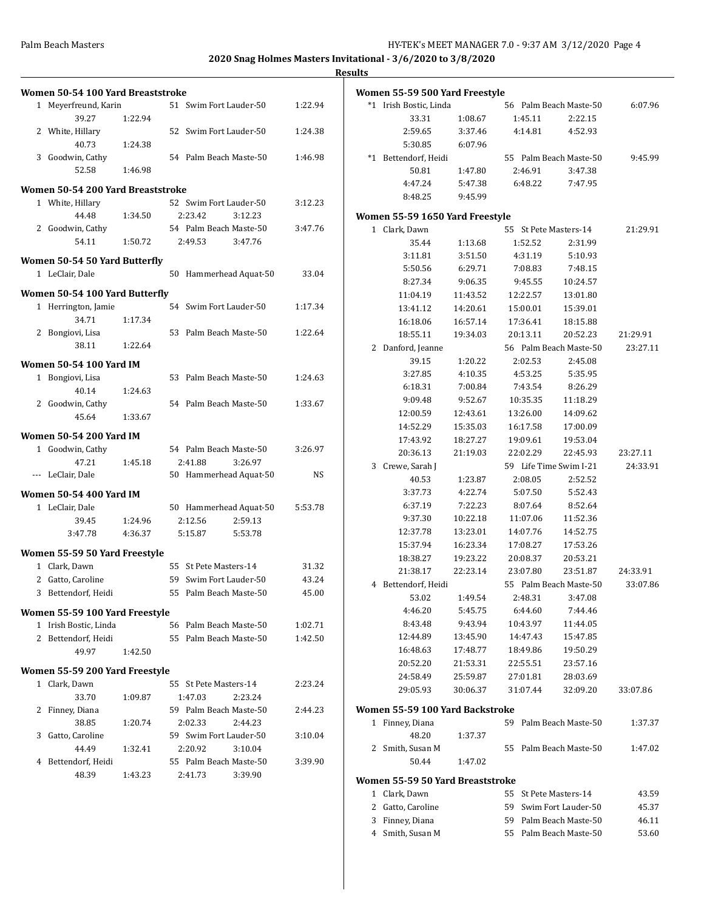**2020 Snag Holmes Masters Invitational - 3/6/2020 to 3/8/2020**

| Women 50-54 100 Yard Breaststroke |         |                        |         | Women 55-59 500 Yard Freestyle   |          |                              |                        |          |
|-----------------------------------|---------|------------------------|---------|----------------------------------|----------|------------------------------|------------------------|----------|
| 1 Meyerfreund, Karin              |         | 51 Swim Fort Lauder-50 | 1:22.94 | *1 Irish Bostic, Linda           |          |                              | 56 Palm Beach Maste-50 | 6:07.96  |
| 39.27                             | 1:22.94 |                        |         | 33.31                            | 1:08.67  | 1:45.11                      | 2:22.15                |          |
| 2 White, Hillary                  |         | 52 Swim Fort Lauder-50 | 1:24.38 | 2:59.65                          | 3:37.46  | 4:14.81                      | 4:52.93                |          |
| 40.73                             | 1:24.38 |                        |         | 5:30.85                          | 6:07.96  |                              |                        |          |
| 3 Goodwin, Cathy                  |         | 54 Palm Beach Maste-50 | 1:46.98 | *1 Bettendorf, Heidi             |          |                              | 55 Palm Beach Maste-50 | 9:45.99  |
| 52.58                             | 1:46.98 |                        |         | 50.81                            | 1:47.80  | 2:46.91                      | 3:47.38                |          |
| Women 50-54 200 Yard Breaststroke |         |                        |         | 4:47.24                          | 5:47.38  | 6:48.22                      | 7:47.95                |          |
| 1 White, Hillary                  |         | 52 Swim Fort Lauder-50 | 3:12.23 | 8:48.25                          | 9:45.99  |                              |                        |          |
| 44.48                             | 1:34.50 | 2:23.42<br>3:12.23     |         | Women 55-59 1650 Yard Freestyle  |          |                              |                        |          |
| 2 Goodwin, Cathy                  |         | 54 Palm Beach Maste-50 | 3:47.76 | 1 Clark, Dawn                    |          | 55 St Pete Masters-14        |                        | 21:29.91 |
| 54.11                             | 1:50.72 | 2:49.53<br>3:47.76     |         | 35.44                            | 1:13.68  | 1:52.52                      | 2:31.99                |          |
|                                   |         |                        |         | 3:11.81                          | 3:51.50  | 4:31.19                      | 5:10.93                |          |
| Women 50-54 50 Yard Butterfly     |         |                        |         | 5:50.56                          | 6:29.71  | 7:08.83                      | 7:48.15                |          |
| 1 LeClair, Dale                   |         | 50 Hammerhead Aquat-50 | 33.04   | 8:27.34                          | 9:06.35  | 9:45.55                      | 10:24.57               |          |
| Women 50-54 100 Yard Butterfly    |         |                        |         | 11:04.19                         | 11:43.52 | 12:22.57                     | 13:01.80               |          |
| 1 Herrington, Jamie               |         | 54 Swim Fort Lauder-50 | 1:17.34 | 13:41.12                         | 14:20.61 | 15:00.01                     | 15:39.01               |          |
| 34.71                             | 1:17.34 |                        |         | 16:18.06                         | 16:57.14 |                              |                        |          |
| 2 Bongiovi, Lisa                  |         | 53 Palm Beach Maste-50 | 1:22.64 |                                  |          | 17:36.41                     | 18:15.88               |          |
| 38.11                             | 1:22.64 |                        |         | 18:55.11                         | 19:34.03 | 20:13.11                     | 20:52.23               | 21:29.91 |
|                                   |         |                        |         | 2 Danford, Jeanne                |          |                              | 56 Palm Beach Maste-50 | 23:27.11 |
| <b>Women 50-54 100 Yard IM</b>    |         |                        |         | 39.15                            | 1:20.22  | 2:02.53                      | 2:45.08                |          |
| 1 Bongiovi, Lisa                  |         | 53 Palm Beach Maste-50 | 1:24.63 | 3:27.85                          | 4:10.35  | 4:53.25                      | 5:35.95                |          |
| 40.14                             | 1:24.63 |                        |         | 6:18.31                          | 7:00.84  | 7:43.54                      | 8:26.29                |          |
| 2 Goodwin, Cathy                  |         | 54 Palm Beach Maste-50 | 1:33.67 | 9:09.48                          | 9:52.67  | 10:35.35                     | 11:18.29               |          |
| 45.64                             | 1:33.67 |                        |         | 12:00.59                         | 12:43.61 | 13:26.00                     | 14:09.62               |          |
| <b>Women 50-54 200 Yard IM</b>    |         |                        |         | 14:52.29                         | 15:35.03 | 16:17.58                     | 17:00.09               |          |
| 1 Goodwin, Cathy                  |         | 54 Palm Beach Maste-50 | 3:26.97 | 17:43.92                         | 18:27.27 | 19:09.61                     | 19:53.04               |          |
| 47.21                             | 1:45.18 | 2:41.88<br>3:26.97     |         | 20:36.13                         | 21:19.03 | 22:02.29                     | 22:45.93               | 23:27.11 |
| --- LeClair, Dale                 |         | 50 Hammerhead Aquat-50 | NS      | 3 Crewe, Sarah J                 |          | 59 Life Time Swim I-21       |                        | 24:33.91 |
|                                   |         |                        |         | 40.53                            | 1:23.87  | 2:08.05                      | 2:52.52                |          |
| <b>Women 50-54 400 Yard IM</b>    |         |                        |         | 3:37.73                          | 4:22.74  | 5:07.50                      | 5:52.43                |          |
| 1 LeClair, Dale                   |         | 50 Hammerhead Aquat-50 | 5:53.78 | 6:37.19                          | 7:22.23  | 8:07.64                      | 8:52.64                |          |
| 39.45                             | 1:24.96 | 2:12.56<br>2:59.13     |         | 9:37.30                          | 10:22.18 | 11:07.06                     | 11:52.36               |          |
| 3:47.78                           | 4:36.37 | 5:53.78<br>5:15.87     |         | 12:37.78                         | 13:23.01 | 14:07.76                     | 14:52.75               |          |
| Women 55-59 50 Yard Freestyle     |         |                        |         | 15:37.94                         | 16:23.34 | 17:08.27                     | 17:53.26               |          |
| 1 Clark, Dawn                     |         | 55 St Pete Masters-14  | 31.32   | 18:38.27                         | 19:23.22 | 20:08.37                     | 20:53.21               |          |
| 2 Gatto, Caroline                 |         | 59 Swim Fort Lauder-50 | 43.24   | 21:38.17                         | 22:23.14 | 23:07.80                     | 23:51.87               | 24:33.91 |
| 3 Bettendorf, Heidi               |         | 55 Palm Beach Maste-50 | 45.00   | 4 Bettendorf, Heidi              |          |                              | 55 Palm Beach Maste-50 | 33:07.86 |
|                                   |         |                        |         | 53.02                            | 1:49.54  | 2:48.31                      | 3:47.08                |          |
| Women 55-59 100 Yard Freestyle    |         |                        |         | 4:46.20                          | 5:45.75  | 6:44.60                      | 7:44.46                |          |
| 1 Irish Bostic, Linda             |         | 56 Palm Beach Maste-50 | 1:02.71 | 8:43.48                          | 9:43.94  | 10:43.97                     | 11:44.05               |          |
| 2 Bettendorf, Heidi               |         | 55 Palm Beach Maste-50 | 1:42.50 | 12:44.89                         | 13:45.90 | 14:47.43                     | 15:47.85               |          |
| 49.97                             | 1:42.50 |                        |         | 16:48.63                         | 17:48.77 | 18:49.86                     | 19:50.29               |          |
| Women 55-59 200 Yard Freestyle    |         |                        |         | 20:52.20                         | 21:53.31 | 22:55.51                     | 23:57.16               |          |
| 1 Clark, Dawn                     |         | 55 St Pete Masters-14  | 2:23.24 | 24:58.49                         | 25:59.87 | 27:01.81                     | 28:03.69               |          |
| 33.70                             | 1:09.87 | 1:47.03<br>2:23.24     |         | 29:05.93                         | 30:06.37 | 31:07.44                     | 32:09.20               | 33:07.86 |
| 2 Finney, Diana                   |         | 59 Palm Beach Maste-50 | 2:44.23 | Women 55-59 100 Yard Backstroke  |          |                              |                        |          |
| 38.85                             | 1:20.74 | 2:02.33<br>2:44.23     |         | 1 Finney, Diana                  |          |                              | 59 Palm Beach Maste-50 | 1:37.37  |
| 3 Gatto, Caroline                 |         | 59 Swim Fort Lauder-50 | 3:10.04 | 48.20                            | 1:37.37  |                              |                        |          |
| 44.49                             | 1:32.41 | 2:20.92<br>3:10.04     |         | 2 Smith, Susan M                 |          |                              | 55 Palm Beach Maste-50 | 1:47.02  |
| 4 Bettendorf, Heidi               |         | 55 Palm Beach Maste-50 | 3:39.90 | 50.44                            | 1:47.02  |                              |                        |          |
| 48.39                             | 1:43.23 | 2:41.73<br>3:39.90     |         | Women 55-59 50 Yard Breaststroke |          |                              |                        |          |
|                                   |         |                        |         | 1 Clark Daum                     |          | $E E$ $C + Data Moreover 14$ |                        | 12EQ     |

| 1 Clark, Dawn     |  | 43.59                                                                                               |
|-------------------|--|-----------------------------------------------------------------------------------------------------|
| 2 Gatto, Caroline |  | 45.37                                                                                               |
| 3 Finney, Diana   |  | 46.11                                                                                               |
| 4 Smith. Susan M  |  | 53.60                                                                                               |
|                   |  | 55 St Pete Masters-14<br>59 Swim Fort Lauder-50<br>59 Palm Beach Maste-50<br>55 Palm Beach Maste-50 |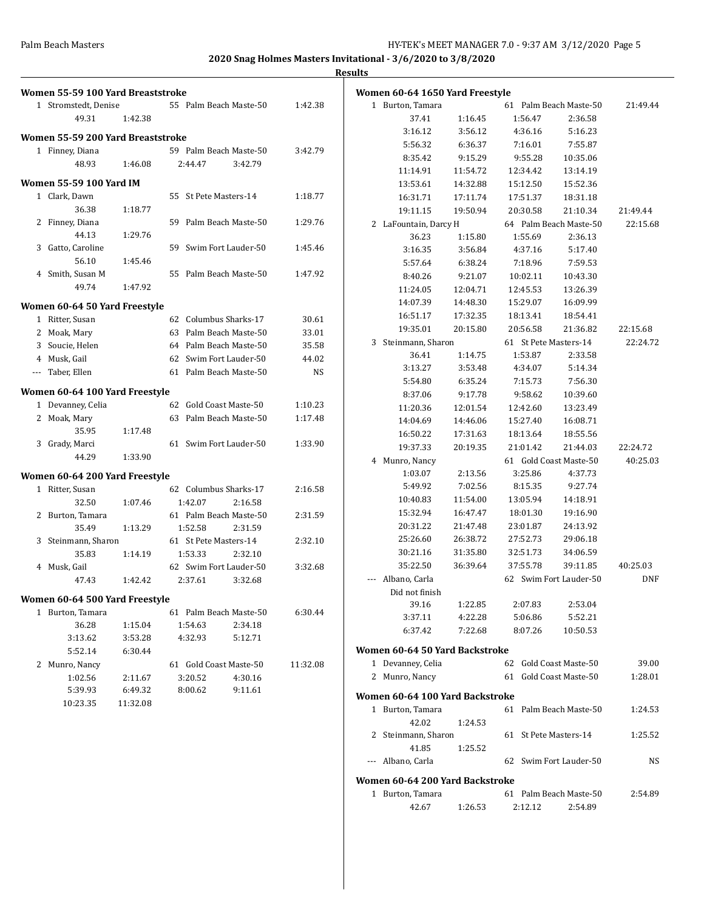|                                   |          |                        |           | <b>Results</b>                  |          |                        |                        |            |
|-----------------------------------|----------|------------------------|-----------|---------------------------------|----------|------------------------|------------------------|------------|
| Women 55-59 100 Yard Breaststroke |          |                        |           | Women 60-64 1650 Yard Freestyle |          |                        |                        |            |
| 1 Stromstedt, Denise              |          | 55 Palm Beach Maste-50 | 1:42.38   | 1 Burton, Tamara                |          |                        | 61 Palm Beach Maste-50 | 21:49.44   |
| 49.31                             | 1:42.38  |                        |           | 37.41                           | 1:16.45  | 1:56.47                | 2:36.58                |            |
| Women 55-59 200 Yard Breaststroke |          |                        |           | 3:16.12                         | 3:56.12  | 4:36.16                | 5:16.23                |            |
| 1 Finney, Diana                   |          | 59 Palm Beach Maste-50 | 3:42.79   | 5:56.32                         | 6:36.37  | 7:16.01                | 7:55.87                |            |
| 48.93                             | 1:46.08  | 3:42.79<br>2:44.47     |           | 8:35.42                         | 9:15.29  | 9:55.28                | 10:35.06               |            |
|                                   |          |                        |           | 11:14.91                        | 11:54.72 | 12:34.42               | 13:14.19               |            |
| <b>Women 55-59 100 Yard IM</b>    |          |                        |           | 13:53.61                        | 14:32.88 | 15:12.50               | 15:52.36               |            |
| 1 Clark, Dawn                     |          | 55 St Pete Masters-14  | 1:18.77   | 16:31.71                        | 17:11.74 | 17:51.37               | 18:31.18               |            |
| 36.38                             | 1:18.77  |                        |           | 19:11.15                        | 19:50.94 | 20:30.58               | 21:10.34               | 21:49.44   |
| 2 Finney, Diana                   |          | 59 Palm Beach Maste-50 | 1:29.76   | 2 LaFountain, Darcy H           |          |                        | 64 Palm Beach Maste-50 | 22:15.68   |
| 44.13                             | 1:29.76  |                        |           | 36.23                           | 1:15.80  | 1:55.69                | 2:36.13                |            |
| 3 Gatto, Caroline                 |          | 59 Swim Fort Lauder-50 | 1:45.46   | 3:16.35                         | 3:56.84  | 4:37.16                | 5:17.40                |            |
| 56.10                             | 1:45.46  |                        |           | 5:57.64                         | 6:38.24  | 7:18.96                | 7:59.53                |            |
| 4 Smith, Susan M                  |          | 55 Palm Beach Maste-50 | 1:47.92   | 8:40.26                         | 9:21.07  | 10:02.11               | 10:43.30               |            |
| 49.74                             | 1:47.92  |                        |           | 11:24.05                        | 12:04.71 | 12:45.53               | 13:26.39               |            |
| Women 60-64 50 Yard Freestyle     |          |                        |           | 14:07.39                        | 14:48.30 | 15:29.07               | 16:09.99               |            |
| 1 Ritter, Susan                   |          | 62 Columbus Sharks-17  | 30.61     | 16:51.17                        | 17:32.35 | 18:13.41               | 18:54.41               |            |
| 2 Moak, Mary                      |          | 63 Palm Beach Maste-50 | 33.01     | 19:35.01                        | 20:15.80 | 20:56.58               | 21:36.82               | 22:15.68   |
| Soucie, Helen<br>3                |          | 64 Palm Beach Maste-50 | 35.58     | 3 Steinmann, Sharon             |          | 61 St Pete Masters-14  |                        | 22:24.72   |
| Musk, Gail<br>4                   |          | 62 Swim Fort Lauder-50 | 44.02     | 36.41                           | 1:14.75  | 1:53.87                | 2:33.58                |            |
| Taber, Ellen<br>$\cdots$          |          | 61 Palm Beach Maste-50 | <b>NS</b> | 3:13.27                         | 3:53.48  | 4:34.07                | 5:14.34                |            |
|                                   |          |                        |           | 5:54.80                         | 6:35.24  | 7:15.73                | 7:56.30                |            |
| Women 60-64 100 Yard Freestyle    |          |                        |           | 8:37.06                         | 9:17.78  | 9:58.62                | 10:39.60               |            |
| 1 Devanney, Celia                 |          | 62 Gold Coast Maste-50 | 1:10.23   | 11:20.36                        | 12:01.54 | 12:42.60               | 13:23.49               |            |
| 2 Moak, Mary                      |          | 63 Palm Beach Maste-50 | 1:17.48   | 14:04.69                        | 14:46.06 | 15:27.40               | 16:08.71               |            |
| 35.95                             | 1:17.48  |                        |           | 16:50.22                        | 17:31.63 | 18:13.64               | 18:55.56               |            |
| 3 Grady, Marci                    |          | 61 Swim Fort Lauder-50 | 1:33.90   | 19:37.33                        | 20:19.35 | 21:01.42               | 21:44.03               | 22:24.72   |
| 44.29                             | 1:33.90  |                        |           | 4 Munro, Nancy                  |          | 61 Gold Coast Maste-50 |                        | 40:25.03   |
|                                   |          |                        |           | 1:03.07                         | 2:13.56  | 3:25.86                | 4:37.73                |            |
| Women 60-64 200 Yard Freestyle    |          |                        |           | 5:49.92                         | 7:02.56  | 8:15.35                | 9:27.74                |            |
| 1 Ritter, Susan                   |          | 62 Columbus Sharks-17  | 2:16.58   | 10:40.83                        | 11:54.00 | 13:05.94               | 14:18.91               |            |
| 32.50                             | 1:07.46  | 1:42.07<br>2:16.58     |           | 15:32.94                        | 16:47.47 | 18:01.30               | 19:16.90               |            |
| 2 Burton, Tamara                  |          | 61 Palm Beach Maste-50 | 2:31.59   | 20:31.22                        | 21:47.48 | 23:01.87               | 24:13.92               |            |
| 35.49                             | 1:13.29  | 1:52.58<br>2:31.59     |           | 25:26.60                        | 26:38.72 | 27:52.73               | 29:06.18               |            |
| 3 Steinmann, Sharon               |          | 61 St Pete Masters-14  | 2:32.10   | 30:21.16                        | 31:35.80 | 32:51.73               | 34:06.59               |            |
| 35.83                             | 1:14.19  | 1:53.33<br>2:32.10     |           | 35:22.50                        | 36:39.64 | 37:55.78               | 39:11.85               | 40:25.03   |
| 4 Musk, Gail                      |          | 62 Swim Fort Lauder-50 | 3:32.68   |                                 |          |                        |                        |            |
| 47.43                             | 1:42.42  | 2:37.61<br>3:32.68     |           | --- Albano, Carla               |          |                        | 62 Swim Fort Lauder-50 | <b>DNF</b> |
| Women 60-64 500 Yard Freestyle    |          |                        |           | Did not finish                  |          |                        |                        |            |
| 1 Burton, Tamara                  |          | 61 Palm Beach Maste-50 | 6:30.44   | 39.16                           | 1:22.85  | 2:07.83                | 2:53.04                |            |
| 36.28                             | 1:15.04  | 1:54.63<br>2:34.18     |           | 3:37.11                         | 4:22.28  | 5:06.86                | 5:52.21                |            |
| 3:13.62                           | 3:53.28  | 4:32.93<br>5:12.71     |           | 6:37.42                         | 7:22.68  | 8:07.26                | 10:50.53               |            |
| 5:52.14                           | 6:30.44  |                        |           | Women 60-64 50 Yard Backstroke  |          |                        |                        |            |
| 2 Munro, Nancy                    |          | 61 Gold Coast Maste-50 | 11:32.08  | 1 Devanney, Celia               |          | 62 Gold Coast Maste-50 |                        | 39.00      |
| 1:02.56                           | 2:11.67  | 3:20.52<br>4:30.16     |           | 2 Munro, Nancy                  |          | 61 Gold Coast Maste-50 |                        | 1:28.01    |
| 5:39.93                           | 6:49.32  | 8:00.62<br>9:11.61     |           |                                 |          |                        |                        |            |
| 10:23.35                          | 11:32.08 |                        |           | Women 60-64 100 Yard Backstroke |          |                        |                        |            |
|                                   |          |                        |           | 1 Burton, Tamara                |          |                        | 61 Palm Beach Maste-50 | 1:24.53    |
|                                   |          |                        |           | 42.02                           | 1:24.53  |                        |                        |            |
|                                   |          |                        |           | 2 Steinmann, Sharon             |          | 61 St Pete Masters-14  |                        | 1:25.52    |
|                                   |          |                        |           | 41.85                           | 1:25.52  |                        |                        |            |
|                                   |          |                        |           | --- Albano, Carla               |          | 62 Swim Fort Lauder-50 |                        | NS         |
|                                   |          |                        |           | Women 60-64 200 Yard Backstroke |          |                        |                        |            |
|                                   |          |                        |           | 1 Rurton Tamara                 |          |                        | 61 Palm Beach Maste-50 | 7.54.89    |

| 1 Burton, Tamara |         | 61 Palm Beach Maste-50 |         | 2:54.89 |
|------------------|---------|------------------------|---------|---------|
| 42.67            | 1:26.53 | 2:12.12                | 2:54.89 |         |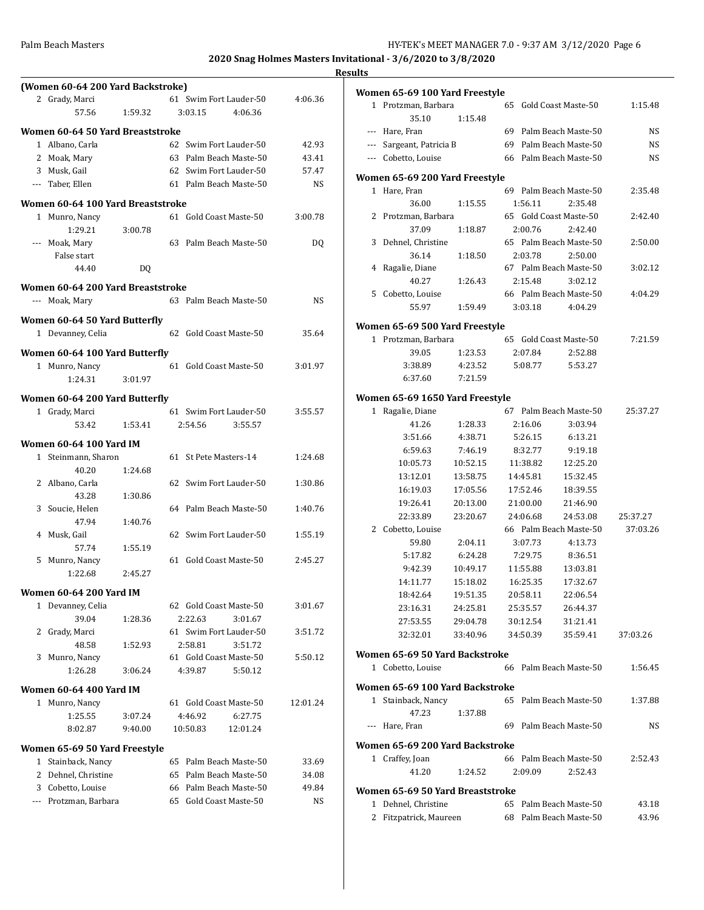|                                   |         |                        |           | <b>Results</b> |
|-----------------------------------|---------|------------------------|-----------|----------------|
| (Women 60-64 200 Yard Backstroke) |         |                        |           | Won            |
| 2 Grady, Marci                    |         | 61 Swim Fort Lauder-50 | 4:06.36   | 1              |
| 57.56                             | 1:59.32 | 3:03.15<br>4:06.36     |           |                |
| Women 60-64 50 Yard Breaststroke  |         |                        |           |                |
| 1 Albano, Carla                   |         | 62 Swim Fort Lauder-50 | 42.93     |                |
| 2 Moak, Mary                      |         | 63 Palm Beach Maste-50 | 43.41     |                |
| 3 Musk, Gail                      |         | 62 Swim Fort Lauder-50 | 57.47     |                |
| --- Taber, Ellen                  |         | 61 Palm Beach Maste-50 | <b>NS</b> | Won            |
| Women 60-64 100 Yard Breaststroke |         |                        |           | 1              |
| 1 Munro, Nancy                    |         | 61 Gold Coast Maste-50 | 3:00.78   | 2              |
| 1:29.21                           | 3:00.78 |                        |           |                |
| --- Moak, Mary                    |         | 63 Palm Beach Maste-50 | DQ        | G              |
| False start                       |         |                        |           |                |
| 44.40                             | DQ      |                        |           |                |
|                                   |         |                        |           |                |
| Women 60-64 200 Yard Breaststroke |         |                        |           | 5              |
| --- Moak, Mary                    |         | 63 Palm Beach Maste-50 | NS.       |                |
| Women 60-64 50 Yard Butterfly     |         |                        |           | Won            |
| 1 Devanney, Celia                 |         | 62 Gold Coast Maste-50 | 35.64     | 1              |
| Women 60-64 100 Yard Butterfly    |         |                        |           |                |
| 1 Munro, Nancy                    |         | 61 Gold Coast Maste-50 | 3:01.97   |                |
| 1:24.31                           | 3:01.97 |                        |           |                |
|                                   |         |                        |           |                |
| Women 60-64 200 Yard Butterfly    |         |                        |           | Won            |
| 1 Grady, Marci                    |         | 61 Swim Fort Lauder-50 | 3:55.57   | 1              |
| 53.42                             | 1:53.41 | 2:54.56<br>3:55.57     |           |                |
| <b>Women 60-64 100 Yard IM</b>    |         |                        |           |                |
| 1 Steinmann, Sharon               |         | 61 St Pete Masters-14  | 1:24.68   |                |
| 40.20                             | 1:24.68 |                        |           |                |
| 2 Albano, Carla                   |         | 62 Swim Fort Lauder-50 | 1:30.86   |                |
| 43.28                             | 1:30.86 |                        |           |                |
| 3 Soucie, Helen                   |         | 64 Palm Beach Maste-50 | 1:40.76   |                |
| 47.94                             | 1:40.76 |                        |           |                |
| 4 Musk, Gail                      |         | 62 Swim Fort Lauder-50 | 1:55.19   | 2              |
| 57.74                             | 1:55.19 |                        |           |                |
| 5 Munro, Nancy                    |         | 61 Gold Coast Maste-50 | 2:45.27   |                |
| 1:22.68                           | 2:45.27 |                        |           |                |
| <b>Women 60-64 200 Yard IM</b>    |         |                        |           |                |
| 1 Devanney, Celia                 |         | 62 Gold Coast Maste-50 | 3:01.67   |                |
| 39.04                             | 1:28.36 | 2:22.63<br>3:01.67     |           |                |
| 2 Grady, Marci                    |         | 61 Swim Fort Lauder-50 | 3:51.72   |                |
| 48.58                             | 1:52.93 | 2:58.81<br>3:51.72     |           |                |
| 3 Munro, Nancy                    |         | 61 Gold Coast Maste-50 | 5:50.12   | Won            |
| 1:26.28                           | 3:06.24 | 4:39.87<br>5:50.12     |           | 1              |
|                                   |         |                        |           | Won            |
|                                   |         |                        |           | 1              |
| <b>Women 60-64 400 Yard IM</b>    |         |                        |           |                |
| 1 Munro, Nancy                    |         | 61 Gold Coast Maste-50 | 12:01.24  |                |
| 1:25.55                           | 3:07.24 | 4:46.92<br>6:27.75     |           |                |
| 8:02.87                           | 9:40.00 | 10:50.83<br>12:01.24   |           |                |
| Women 65-69 50 Yard Freestyle     |         |                        |           | Won            |
| 1 Stainback, Nancy                |         | 65 Palm Beach Maste-50 | 33.69     | 1              |
| 2 Dehnel, Christine               |         | 65 Palm Beach Maste-50 | 34.08     |                |
| 3 Cobetto, Louise                 |         | 66 Palm Beach Maste-50 | 49.84     | Won            |
| --- Protzman, Barbara             |         | 65 Gold Coast Maste-50 | NS        |                |

|              | Women 65-69 100 Yard Freestyle   |          |    |                    |                                   |                      |
|--------------|----------------------------------|----------|----|--------------------|-----------------------------------|----------------------|
| $\mathbf{1}$ | Protzman, Barbara                |          | 65 |                    | Gold Coast Maste-50               | 1:15.48              |
|              | 35.10                            | 1:15.48  |    |                    |                                   |                      |
| ---          | Hare, Fran                       |          |    |                    | 69 Palm Beach Maste-50            | NS                   |
| ---          | Sargeant, Patricia B             |          | 69 |                    | Palm Beach Maste-50               | NS.                  |
|              | --- Cobetto, Louise              |          |    |                    | 66 Palm Beach Maste-50            | NS.                  |
|              |                                  |          |    |                    |                                   |                      |
| 1            | Women 65-69 200 Yard Freestyle   |          |    |                    | 69 Palm Beach Maste-50            |                      |
|              | Hare, Fran                       |          |    |                    |                                   | 2:35.48              |
|              | 36.00                            | 1:15.55  |    | 1:56.11            | 2:35.48<br>65 Gold Coast Maste-50 | 2:42.40              |
| 2            | Protzman, Barbara<br>37.09       |          |    | 2:00.76            |                                   |                      |
| 3            |                                  | 1:18.87  |    |                    | 2:42.40<br>65 Palm Beach Maste-50 |                      |
|              | Dehnel, Christine<br>36.14       |          |    | 2:03.78            | 2:50.00                           | 2:50.00              |
| 4            | Ragalie, Diane                   | 1:18.50  |    |                    | 67 Palm Beach Maste-50            | 3:02.12              |
|              | 40.27                            |          |    | 2:15.48            |                                   |                      |
|              | 5 Cobetto, Louise                | 1:26.43  |    |                    | 3:02.12<br>66 Palm Beach Maste-50 | 4:04.29              |
|              | 55.97                            | 1:59.49  |    | 3:03.18            | 4:04.29                           |                      |
|              |                                  |          |    |                    |                                   |                      |
|              | Women 65-69 500 Yard Freestyle   |          |    |                    |                                   |                      |
| $\mathbf 1$  | Protzman, Barbara                |          |    |                    | 65 Gold Coast Maste-50            | 7:21.59              |
|              | 39.05                            | 1:23.53  |    | 2:07.84            | 2:52.88                           |                      |
|              | 3:38.89                          | 4.23.52  |    | 5:08.77            | 5:53.27                           |                      |
|              | 6:37.60                          | 7:21.59  |    |                    |                                   |                      |
|              | Women 65-69 1650 Yard Freestyle  |          |    |                    |                                   |                      |
| 1            | Ragalie, Diane                   |          | 67 |                    | Palm Beach Maste-50               | 25:37.27             |
|              | 41.26                            | 1:28.33  |    | 2:16.06            | 3:03.94                           |                      |
|              | 3:51.66                          | 4:38.71  |    | 5:26.15            | 6:13.21                           |                      |
|              | 6:59.63                          | 7:46.19  |    | 8:32.77            | 9:19.18                           |                      |
|              | 10:05.73                         | 10:52.15 |    | 11:38.82           | 12:25.20                          |                      |
|              | 13:12.01                         | 13:58.75 |    | 14:45.81           | 15:32.45                          |                      |
|              | 16:19.03                         | 17:05.56 |    | 17:52.46           | 18:39.55                          |                      |
|              | 19:26.41                         | 20:13.00 |    | 21:00.00           | 21:46.90                          |                      |
|              | 22:33.89                         | 23:20.67 |    | 24:06.68           | 24:53.08                          |                      |
| 2            | Cobetto, Louise                  |          |    |                    | 66 Palm Beach Maste-50            | 25:37.27<br>37:03.26 |
|              |                                  |          |    |                    |                                   |                      |
|              | 59.80<br>5:17.82                 | 2:04.11  |    | 3:07.73<br>7:29.75 | 4:13.73                           |                      |
|              | 9:42.39                          | 6:24.28  |    |                    | 8:36.51<br>13:03.81               |                      |
|              |                                  | 10:49.17 |    | 11:55.88           |                                   |                      |
|              | 14:11.77                         | 15:18.02 |    | 16:25.35           | 17:32.67                          |                      |
|              | 18:42.64                         | 19:51.35 |    | 20:58.11           | 22:06.54                          |                      |
|              | 23:16.31                         | 24:25.81 |    | 25:35.57           | 26:44.37                          |                      |
|              | 27:53.55                         | 29:04.78 |    | 30:12.54           | 31:21.41                          |                      |
|              | 32:32.01                         | 33:40.96 |    | 34:50.39           | 35:59.41                          | 37:03.26             |
|              | Women 65-69 50 Yard Backstroke   |          |    |                    |                                   |                      |
|              | 1 Cobetto, Louise                |          |    |                    | 66 Palm Beach Maste-50            | 1:56.45              |
|              | Women 65-69 100 Yard Backstroke  |          |    |                    |                                   |                      |
|              | 1 Stainback, Nancy               |          |    |                    | 65 Palm Beach Maste-50            | 1:37.88              |
|              | 47.23                            | 1:37.88  |    |                    |                                   |                      |
|              | --- Hare, Fran                   |          |    |                    | 69 Palm Beach Maste-50            | NS                   |
|              |                                  |          |    |                    |                                   |                      |
|              | Women 65-69 200 Yard Backstroke  |          |    |                    |                                   |                      |
|              | 1 Craffey, Joan                  |          |    |                    | 66 Palm Beach Maste-50            | 2:52.43              |
|              | 41.20                            | 1:24.52  |    | 2:09.09            | 2:52.43                           |                      |
|              | Women 65-69 50 Yard Breaststroke |          |    |                    |                                   |                      |
| 1            | Dehnel, Christine                |          |    |                    | 65 Palm Beach Maste-50            | 43.18                |
| 2            | Fitzpatrick, Maureen             |          |    |                    | 68 Palm Beach Maste-50            | 43.96                |
|              |                                  |          |    |                    |                                   |                      |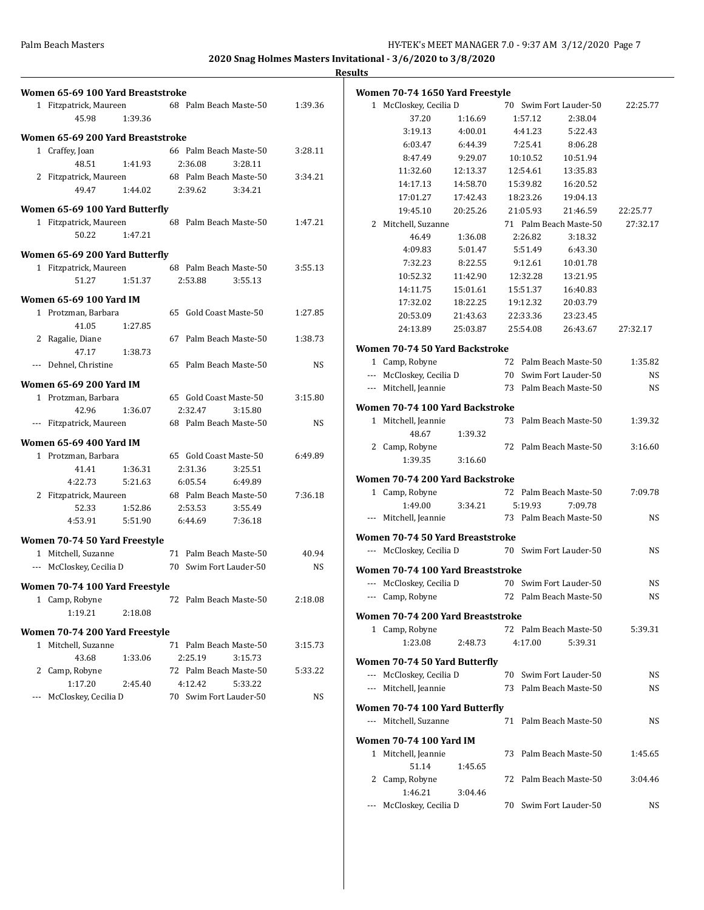| Women 65-69 100 Yard Breaststroke |                        |           | Women 70-74 1650 Yard Freestyle   |          |          |                        |           |
|-----------------------------------|------------------------|-----------|-----------------------------------|----------|----------|------------------------|-----------|
| 1 Fitzpatrick, Maureen            | 68 Palm Beach Maste-50 | 1:39.36   | 1 McCloskey, Cecilia D            |          |          | 70 Swim Fort Lauder-50 | 22:25.77  |
| 1:39.36<br>45.98                  |                        |           | 37.20                             | 1:16.69  | 1:57.12  | 2:38.04                |           |
|                                   |                        |           | 3:19.13                           | 4:00.01  | 4:41.23  | 5:22.43                |           |
| Women 65-69 200 Yard Breaststroke |                        |           | 6:03.47                           | 6:44.39  | 7:25.41  | 8:06.28                |           |
| 1 Craffey, Joan                   | 66 Palm Beach Maste-50 | 3:28.11   | 8:47.49                           | 9:29.07  | 10:10.52 | 10:51.94               |           |
| 1:41.93<br>48.51                  | 2:36.08<br>3:28.11     |           | 11:32.60                          | 12:13.37 | 12:54.61 | 13:35.83               |           |
| 2 Fitzpatrick, Maureen            | 68 Palm Beach Maste-50 | 3:34.21   | 14:17.13                          | 14:58.70 | 15:39.82 | 16:20.52               |           |
| 49.47<br>1:44.02                  | 2:39.62<br>3:34.21     |           | 17:01.27                          | 17:42.43 | 18:23.26 | 19:04.13               |           |
| Women 65-69 100 Yard Butterfly    |                        |           | 19:45.10                          | 20:25.26 | 21:05.93 | 21:46.59               | 22:25.77  |
| 1 Fitzpatrick, Maureen            | 68 Palm Beach Maste-50 | 1:47.21   | 2 Mitchell, Suzanne               |          |          | 71 Palm Beach Maste-50 | 27:32.17  |
| 1:47.21<br>50.22                  |                        |           | 46.49                             | 1:36.08  | 2:26.82  | 3:18.32                |           |
|                                   |                        |           | 4:09.83                           | 5:01.47  | 5:51.49  | 6:43.30                |           |
| Women 65-69 200 Yard Butterfly    |                        |           | 7:32.23                           | 8:22.55  | 9:12.61  | 10:01.78               |           |
| 1 Fitzpatrick, Maureen            | 68 Palm Beach Maste-50 | 3:55.13   | 10:52.32                          | 11:42.90 | 12:32.28 | 13:21.95               |           |
| 1:51.37<br>51.27                  | 2:53.88<br>3:55.13     |           | 14:11.75                          | 15:01.61 | 15:51.37 | 16:40.83               |           |
| <b>Women 65-69 100 Yard IM</b>    |                        |           |                                   |          |          |                        |           |
| 1 Protzman, Barbara               | 65 Gold Coast Maste-50 | 1:27.85   | 17:32.02                          | 18:22.25 | 19:12.32 | 20:03.79               |           |
| 41.05<br>1:27.85                  |                        |           | 20:53.09                          | 21:43.63 | 22:33.36 | 23:23.45               |           |
| 2 Ragalie, Diane                  | 67 Palm Beach Maste-50 | 1:38.73   | 24:13.89                          | 25:03.87 | 25:54.08 | 26:43.67               | 27:32.17  |
| 47.17<br>1:38.73                  |                        |           | Women 70-74 50 Yard Backstroke    |          |          |                        |           |
| --- Dehnel, Christine             | 65 Palm Beach Maste-50 | <b>NS</b> | 1 Camp, Robyne                    |          |          | 72 Palm Beach Maste-50 | 1:35.82   |
|                                   |                        |           | --- McCloskey, Cecilia D          |          |          | 70 Swim Fort Lauder-50 | <b>NS</b> |
| <b>Women 65-69 200 Yard IM</b>    |                        |           | --- Mitchell, Jeannie             |          | 73       | Palm Beach Maste-50    | <b>NS</b> |
| 1 Protzman, Barbara               | 65 Gold Coast Maste-50 | 3:15.80   |                                   |          |          |                        |           |
| 42.96<br>1:36.07                  | 2:32.47<br>3:15.80     |           | Women 70-74 100 Yard Backstroke   |          |          |                        |           |
| --- Fitzpatrick, Maureen          | 68 Palm Beach Maste-50 | <b>NS</b> | 1 Mitchell, Jeannie               |          |          | 73 Palm Beach Maste-50 | 1:39.32   |
| Women 65-69 400 Yard IM           |                        |           | 48.67                             | 1:39.32  |          |                        |           |
| 1 Protzman, Barbara               | 65 Gold Coast Maste-50 | 6:49.89   | 2 Camp, Robyne                    |          |          | 72 Palm Beach Maste-50 | 3:16.60   |
| 1:36.31<br>41.41                  | 2:31.36<br>3:25.51     |           | 1:39.35                           | 3:16.60  |          |                        |           |
| 4:22.73<br>5:21.63                | 6:05.54<br>6:49.89     |           | Women 70-74 200 Yard Backstroke   |          |          |                        |           |
| 2 Fitzpatrick, Maureen            | 68 Palm Beach Maste-50 | 7:36.18   | 1 Camp, Robyne                    |          |          | 72 Palm Beach Maste-50 | 7:09.78   |
| 1:52.86<br>52.33                  | 2:53.53<br>3:55.49     |           | 1:49.00                           | 3:34.21  | 5:19.93  | 7:09.78                |           |
| 4:53.91<br>5:51.90                | 6:44.69<br>7:36.18     |           | --- Mitchell, Jeannie             |          |          | 73 Palm Beach Maste-50 | <b>NS</b> |
|                                   |                        |           |                                   |          |          |                        |           |
| Women 70-74 50 Yard Freestyle     |                        |           | Women 70-74 50 Yard Breaststroke  |          |          |                        |           |
| 1 Mitchell, Suzanne               | 71 Palm Beach Maste-50 | 40.94     | --- McCloskey, Cecilia D          |          |          | 70 Swim Fort Lauder-50 | <b>NS</b> |
| --- McCloskey, Cecilia D          | 70 Swim Fort Lauder-50 | <b>NS</b> | Women 70-74 100 Yard Breaststroke |          |          |                        |           |
| Women 70-74 100 Yard Freestyle    |                        |           | --- McCloskey, Cecilia D          |          |          | 70 Swim Fort Lauder-50 | <b>NS</b> |
| 1 Camp, Robyne                    | 72 Palm Beach Maste-50 | 2:18.08   | --- Camp, Robyne                  |          |          | 72 Palm Beach Maste-50 | <b>NS</b> |
|                                   |                        |           |                                   |          |          |                        |           |
| 1:19.21<br>2:18.08                |                        |           | Women 70-74 200 Yard Breaststroke |          |          |                        |           |
| Women 70-74 200 Yard Freestyle    |                        |           | 1 Camp, Robyne                    |          |          | 72 Palm Beach Maste-50 | 5:39.31   |
| 1 Mitchell, Suzanne               | 71 Palm Beach Maste-50 | 3:15.73   | 1:23.08                           | 2:48.73  | 4:17.00  | 5:39.31                |           |
| 43.68<br>1:33.06                  | 2:25.19<br>3:15.73     |           | Women 70-74 50 Yard Butterfly     |          |          |                        |           |
| 2 Camp, Robyne                    | 72 Palm Beach Maste-50 | 5:33.22   | --- McCloskey, Cecilia D          |          |          | 70 Swim Fort Lauder-50 | NS        |
| 1:17.20<br>2:45.40                | 4:12.42<br>5:33.22     |           | --- Mitchell, Jeannie             |          |          | 73 Palm Beach Maste-50 | <b>NS</b> |
| --- McCloskey, Cecilia D          | 70 Swim Fort Lauder-50 | <b>NS</b> |                                   |          |          |                        |           |
|                                   |                        |           | Women 70-74 100 Yard Butterfly    |          |          |                        |           |
|                                   |                        |           | --- Mitchell, Suzanne             |          |          | 71 Palm Beach Maste-50 | <b>NS</b> |

**Women 70-74 100 Yard IM**

51.14 1:45.65

1:46.21 3:04.46

1 Mitchell, Jeannie 73 Palm Beach Maste-50 1:45.65

2 Camp, Robyne 72 Palm Beach Maste-50 3:04.46

--- McCloskey, Cecilia D 70 Swim Fort Lauder-50 NS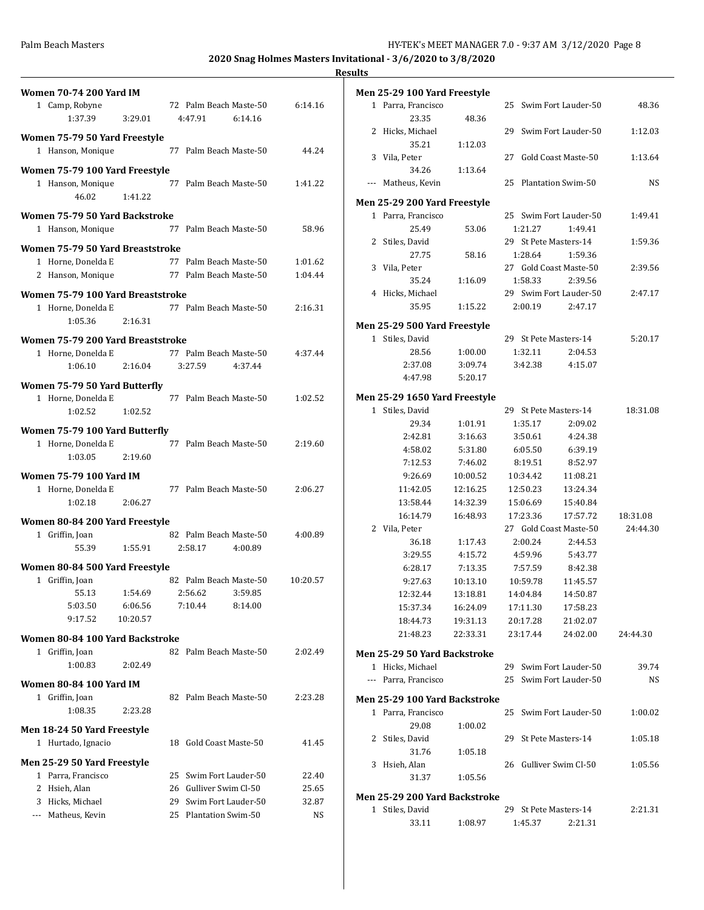$1:12.03$ 

 $1:13.64$ 

 $1:49.41$ 

1:59.36

2:39.56

 $2:47.17$ 

 $5:20.17$ 

 $1\mathord{:}00.02$ 

 $1:05.18\,$ 

 $1:05.56$ 

| <b>Women 70-74 200 Yard IM</b>                                                |          | Men 25-29 100 Yard Freestyle  |          |                        |                        |           |
|-------------------------------------------------------------------------------|----------|-------------------------------|----------|------------------------|------------------------|-----------|
| 72 Palm Beach Maste-50<br>1 Camp, Robyne                                      | 6:14.16  | 1 Parra, Francisco            |          | 25 Swim Fort Lauder-50 |                        | 48.36     |
| 1:37.39<br>4:47.91<br>3:29.01<br>6:14.16                                      |          | 23.35                         | 48.36    |                        |                        |           |
| Women 75-79 50 Yard Freestyle                                                 |          | 2 Hicks, Michael              |          |                        | 29 Swim Fort Lauder-50 | 1:12.03   |
| 1 Hanson, Monique<br>77 Palm Beach Maste-50                                   | 44.24    | 35.21                         | 1:12.03  |                        |                        |           |
|                                                                               |          | 3 Vila, Peter                 |          | 27 Gold Coast Maste-50 |                        | 1:13.64   |
| Women 75-79 100 Yard Freestyle                                                |          | 34.26                         | 1:13.64  |                        |                        |           |
| 1 Hanson, Monique<br>77 Palm Beach Maste-50                                   | 1:41.22  | --- Matheus, Kevin            |          | 25 Plantation Swim-50  |                        | <b>NS</b> |
| 46.02<br>1:41.22                                                              |          | Men 25-29 200 Yard Freestyle  |          |                        |                        |           |
| Women 75-79 50 Yard Backstroke                                                |          | 1 Parra, Francisco            |          |                        | 25 Swim Fort Lauder-50 | 1:49.41   |
| 1 Hanson, Monique<br>77 Palm Beach Maste-50                                   | 58.96    | 25.49                         | 53.06    | 1:21.27                | 1:49.41                |           |
| Women 75-79 50 Yard Breaststroke                                              |          | 2 Stiles, David               |          | 29 St Pete Masters-14  |                        | 1:59.36   |
| 1 Horne, Donelda E<br>77 Palm Beach Maste-50                                  | 1:01.62  | 27.75                         | 58.16    | 1:28.64                | 1:59.36                |           |
| 77 Palm Beach Maste-50<br>2 Hanson, Monique                                   | 1:04.44  | 3 Vila, Peter                 |          | 27 Gold Coast Maste-50 |                        | 2:39.56   |
|                                                                               |          | 35.24                         | 1:16.09  | 1:58.33                | 2:39.56                |           |
| Women 75-79 100 Yard Breaststroke                                             |          | 4 Hicks, Michael              |          |                        | 29 Swim Fort Lauder-50 | 2:47.17   |
| 1 Horne, Donelda E<br>77 Palm Beach Maste-50                                  | 2:16.31  | 35.95                         | 1:15.22  | 2:00.19                | 2:47.17                |           |
| 1:05.36<br>2:16.31                                                            |          | Men 25-29 500 Yard Freestyle  |          |                        |                        |           |
| Women 75-79 200 Yard Breaststroke                                             |          | 1 Stiles, David               |          | 29 St Pete Masters-14  |                        | 5:20.17   |
| 1 Horne, Donelda E<br>77 Palm Beach Maste-50                                  | 4:37.44  | 28.56                         | 1:00.00  | 1:32.11                | 2:04.53                |           |
| 1:06.10<br>2:16.04<br>3:27.59<br>4:37.44                                      |          | 2:37.08                       | 3:09.74  | 3:42.38                | 4:15.07                |           |
|                                                                               |          | 4:47.98                       | 5:20.17  |                        |                        |           |
| Women 75-79 50 Yard Butterfly<br>1 Horne, Donelda E<br>77 Palm Beach Maste-50 |          | Men 25-29 1650 Yard Freestyle |          |                        |                        |           |
| 1:02.52<br>1:02.52                                                            | 1:02.52  | 1 Stiles, David               |          | 29 St Pete Masters-14  |                        | 18:31.08  |
|                                                                               |          | 29.34                         | 1:01.91  | 1:35.17                | 2:09.02                |           |
| Women 75-79 100 Yard Butterfly                                                |          | 2:42.81                       | 3:16.63  | 3:50.61                | 4:24.38                |           |
| 1 Horne, Donelda E<br>77 Palm Beach Maste-50                                  | 2:19.60  | 4:58.02                       | 5:31.80  | 6:05.50                | 6:39.19                |           |
| 1:03.05<br>2:19.60                                                            |          | 7:12.53                       | 7:46.02  | 8:19.51                | 8:52.97                |           |
| <b>Women 75-79 100 Yard IM</b>                                                |          | 9:26.69                       | 10:00.52 | 10:34.42               | 11:08.21               |           |
| 77 Palm Beach Maste-50<br>1 Horne, Donelda E                                  | 2:06.27  | 11:42.05                      | 12:16.25 | 12:50.23               | 13:24.34               |           |
| 1:02.18<br>2:06.27                                                            |          | 13:58.44                      | 14:32.39 | 15:06.69               | 15:40.84               |           |
|                                                                               |          | 16:14.79                      | 16:48.93 | 17:23.36               | 17:57.72               | 18:31.08  |
| Women 80-84 200 Yard Freestyle                                                |          | 2 Vila, Peter                 |          | 27 Gold Coast Maste-50 |                        | 24:44.30  |
| 82 Palm Beach Maste-50<br>1 Griffin, Joan                                     | 4:00.89  | 36.18                         | 1:17.43  | 2:00.24                | 2:44.53                |           |
| 55.39<br>1:55.91<br>2:58.17<br>4:00.89                                        |          | 3:29.55                       | 4:15.72  | 4:59.96                | 5:43.77                |           |
| Women 80-84 500 Yard Freestyle                                                |          | 6:28.17                       | 7:13.35  | 7:57.59                | 8:42.38                |           |
| 1 Griffin, Joan<br>82 Palm Beach Maste-50                                     | 10:20.57 | 9:27.63                       | 10:13.10 | 10:59.78               | 11:45.57               |           |
| 2:56.62<br>3:59.85<br>55.13<br>1:54.69                                        |          | 12:32.44                      | 13:18.81 | 14:04.84               | 14:50.87               |           |
| 5:03.50<br>6:06.56<br>7:10.44<br>8:14.00                                      |          | 15:37.34                      | 16:24.09 | 17:11.30               | 17:58.23               |           |
| 9:17.52<br>10:20.57                                                           |          | 18:44.73                      | 19:31.13 | 20:17.28               | 21:02.07               |           |
| Women 80-84 100 Yard Backstroke                                               |          | 21:48.23                      | 22:33.31 | 23:17.44               | 24:02.00               | 24:44.30  |
| 82 Palm Beach Maste-50<br>1 Griffin, Joan                                     | 2:02.49  | Men 25-29 50 Yard Backstroke  |          |                        |                        |           |
| 2:02.49<br>1:00.83                                                            |          | 1 Hicks, Michael              |          |                        | 29 Swim Fort Lauder-50 | 39.74     |
|                                                                               |          | --- Parra, Francisco          |          |                        | 25 Swim Fort Lauder-50 | NS        |
| <b>Women 80-84 100 Yard IM</b>                                                |          |                               |          |                        |                        |           |
| 1 Griffin, Joan<br>82 Palm Beach Maste-50                                     | 2:23.28  | Men 25-29 100 Yard Backstroke |          |                        |                        |           |
| 1:08.35<br>2:23.28                                                            |          | 1 Parra, Francisco            |          |                        | 25 Swim Fort Lauder-50 | 1:00.02   |
| Men 18-24 50 Yard Freestyle                                                   |          | 29.08                         | 1:00.02  |                        |                        |           |
| 1 Hurtado, Ignacio<br>18 Gold Coast Maste-50                                  | 41.45    | 2 Stiles, David               |          | 29 St Pete Masters-14  |                        | 1:05.18   |
| Men 25-29 50 Yard Freestyle                                                   |          | 31.76                         | 1:05.18  |                        |                        |           |
| 25 Swim Fort Lauder-50<br>1 Parra, Francisco                                  | 22.40    | 3 Hsieh, Alan                 |          | 26 Gulliver Swim Cl-50 |                        | 1:05.56   |
| 2 Hsieh, Alan<br>26 Gulliver Swim Cl-50                                       | 25.65    | 31.37                         | 1:05.56  |                        |                        |           |
| 3 Hicks, Michael<br>Swim Fort Lauder-50<br>29                                 | 32.87    | Men 25-29 200 Yard Backstroke |          |                        |                        |           |
| 25 Plantation Swim-50<br>--- Matheus, Kevin                                   | NS       | 1 Stiles, David               |          | 29 St Pete Masters-14  |                        | 2:21.31   |
|                                                                               |          | 33.11                         | 1:08.97  | 1:45.37                | 2:21.31                |           |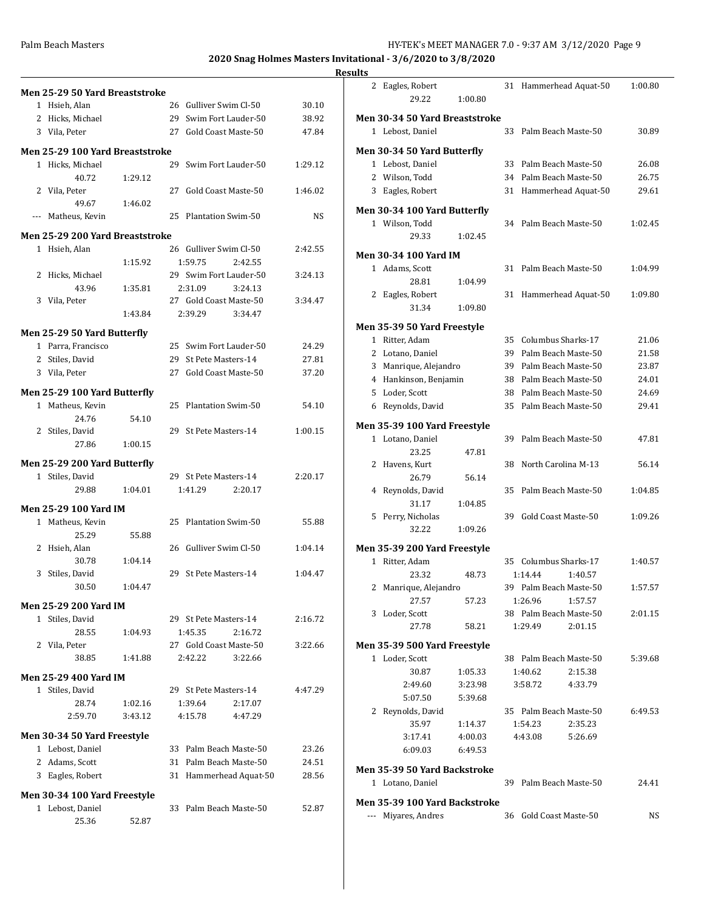| <b>Results</b> |  |
|----------------|--|
|                |  |

| Men 25-29 50 Yard Breaststroke        |         |                        |         |                |   | 2 Eagles, Robert               |                    |    |                        | 31 Hammerhead Aquat-50 | 1:00.80   |
|---------------------------------------|---------|------------------------|---------|----------------|---|--------------------------------|--------------------|----|------------------------|------------------------|-----------|
| 1 Hsieh, Alan                         |         | 26 Gulliver Swim Cl-50 |         | 30.10          |   | 29.22                          | 1:00.80            |    |                        |                        |           |
| 2 Hicks, Michael                      |         | 29 Swim Fort Lauder-50 |         | 38.92          |   | Men 30-34 50 Yard Breaststroke |                    |    |                        |                        |           |
| 3 Vila, Peter                         |         | 27 Gold Coast Maste-50 |         | 47.84          |   | 1 Lebost, Daniel               |                    |    |                        | 33 Palm Beach Maste-50 | 30.89     |
| Men 25-29 100 Yard Breaststroke       |         |                        |         |                |   | Men 30-34 50 Yard Butterfly    |                    |    |                        |                        |           |
| 1 Hicks, Michael                      |         | 29 Swim Fort Lauder-50 |         | 1:29.12        |   | 1 Lebost, Daniel               |                    |    |                        | 33 Palm Beach Maste-50 | 26.08     |
| 40.72                                 | 1:29.12 |                        |         |                |   | 2 Wilson, Todd                 |                    |    |                        | 34 Palm Beach Maste-50 | 26.75     |
| 2 Vila, Peter                         |         | 27 Gold Coast Maste-50 |         | 1:46.02        |   | 3 Eagles, Robert               |                    |    |                        | 31 Hammerhead Aquat-50 | 29.61     |
| 49.67                                 | 1:46.02 |                        |         |                |   | Men 30-34 100 Yard Butterfly   |                    |    |                        |                        |           |
| --- Matheus, Kevin                    |         | 25 Plantation Swim-50  |         | <b>NS</b>      |   | 1 Wilson, Todd                 |                    |    |                        | 34 Palm Beach Maste-50 | 1:02.45   |
| Men 25-29 200 Yard Breaststroke       |         |                        |         |                |   | 29.33                          | 1:02.45            |    |                        |                        |           |
| 1 Hsieh, Alan                         |         | 26 Gulliver Swim Cl-50 |         | 2:42.55        |   |                                |                    |    |                        |                        |           |
|                                       | 1:15.92 | 1:59.75                | 2:42.55 |                |   | <b>Men 30-34 100 Yard IM</b>   |                    |    |                        |                        |           |
| 2 Hicks, Michael                      |         | 29 Swim Fort Lauder-50 |         | 3:24.13        |   | 1 Adams, Scott                 |                    |    |                        | 31 Palm Beach Maste-50 | 1:04.99   |
| 43.96                                 | 1:35.81 | 2:31.09                | 3:24.13 |                |   | 28.81                          | 1:04.99            |    |                        |                        |           |
| 3 Vila, Peter                         |         | 27 Gold Coast Maste-50 |         | 3:34.47        |   | 2 Eagles, Robert               |                    |    |                        | 31 Hammerhead Aquat-50 | 1:09.80   |
|                                       | 1:43.84 | 2:39.29                | 3:34.47 |                |   | 31.34                          | 1:09.80            |    |                        |                        |           |
|                                       |         |                        |         |                |   | Men 35-39 50 Yard Freestyle    |                    |    |                        |                        |           |
| Men 25-29 50 Yard Butterfly           |         | 25 Swim Fort Lauder-50 |         |                |   | 1 Ritter, Adam                 |                    |    | 35 Columbus Sharks-17  |                        | 21.06     |
| 1 Parra, Francisco<br>2 Stiles, David |         | 29 St Pete Masters-14  |         | 24.29<br>27.81 |   | 2 Lotano, Daniel               |                    |    |                        | 39 Palm Beach Maste-50 | 21.58     |
| 3 Vila, Peter                         |         | 27 Gold Coast Maste-50 |         | 37.20          |   | 3 Manrique, Alejandro          |                    |    |                        | 39 Palm Beach Maste-50 | 23.87     |
|                                       |         |                        |         |                |   | 4 Hankinson, Benjamin          |                    | 38 |                        | Palm Beach Maste-50    | 24.01     |
| Men 25-29 100 Yard Butterfly          |         |                        |         |                | 5 | Loder, Scott                   |                    | 38 |                        | Palm Beach Maste-50    | 24.69     |
| 1 Matheus, Kevin                      |         | 25 Plantation Swim-50  |         | 54.10          |   | 6 Reynolds, David              |                    |    |                        | 35 Palm Beach Maste-50 | 29.41     |
| 24.76                                 | 54.10   |                        |         |                |   | Men 35-39 100 Yard Freestyle   |                    |    |                        |                        |           |
| 2 Stiles, David                       |         | 29 St Pete Masters-14  |         | 1:00.15        |   | 1 Lotano, Daniel               |                    |    |                        | 39 Palm Beach Maste-50 | 47.81     |
| 27.86                                 | 1:00.15 |                        |         |                |   | 23.25                          | 47.81              |    |                        |                        |           |
| Men 25-29 200 Yard Butterfly          |         |                        |         |                |   | 2 Havens, Kurt                 |                    |    | 38 North Carolina M-13 |                        | 56.14     |
| 1 Stiles, David                       |         | 29 St Pete Masters-14  |         | 2:20.17        |   | 26.79                          | 56.14              |    |                        |                        |           |
| 29.88                                 | 1:04.01 | 1:41.29                | 2:20.17 |                |   | 4 Reynolds, David              |                    |    |                        | 35 Palm Beach Maste-50 | 1:04.85   |
| Men 25-29 100 Yard IM                 |         |                        |         |                |   | 31.17                          | 1:04.85            |    |                        |                        |           |
| 1 Matheus, Kevin                      |         | 25 Plantation Swim-50  |         | 55.88          |   | 5 Perry, Nicholas              |                    |    | 39 Gold Coast Maste-50 |                        | 1:09.26   |
| 25.29                                 | 55.88   |                        |         |                |   | 32.22                          | 1:09.26            |    |                        |                        |           |
| 2 Hsieh, Alan                         |         | 26 Gulliver Swim Cl-50 |         | 1:04.14        |   | Men 35-39 200 Yard Freestyle   |                    |    |                        |                        |           |
| 30.78                                 | 1:04.14 |                        |         |                |   | 1 Ritter, Adam                 |                    |    | 35 Columbus Sharks-17  |                        | 1:40.57   |
| 3 Stiles, David                       |         | 29 St Pete Masters-14  |         | 1:04.47        |   | 23.32                          | 48.73              |    | 1:14.44                | 1:40.57                |           |
| 30.50                                 | 1:04.47 |                        |         |                |   | 2 Manrique, Alejandro          |                    |    |                        | 39 Palm Beach Maste-50 | 1:57.57   |
|                                       |         |                        |         |                |   | 27.57                          | 57.23              |    | 1:26.96                | 1:57.57                |           |
| <b>Men 25-29 200 Yard IM</b>          |         |                        |         |                |   | 3 Loder, Scott                 |                    |    |                        | 38 Palm Beach Maste-50 | 2:01.15   |
| 1 Stiles, David                       |         | 29 St Pete Masters-14  |         | 2:16.72        |   | 27.78                          | 58.21              |    | 1:29.49                | 2:01.15                |           |
| 28.55                                 | 1:04.93 | 1:45.35                | 2:16.72 |                |   |                                |                    |    |                        |                        |           |
| 2 Vila, Peter                         |         | 27 Gold Coast Maste-50 |         | 3:22.66        |   | Men 35-39 500 Yard Freestyle   |                    |    |                        |                        |           |
| 38.85                                 | 1:41.88 | 2:42.22                | 3:22.66 |                |   | 1 Loder, Scott                 |                    |    |                        | 38 Palm Beach Maste-50 | 5:39.68   |
| <b>Men 25-29 400 Yard IM</b>          |         |                        |         |                |   | 30.87                          | 1:05.33            |    | 1:40.62                | 2:15.38                |           |
| 1 Stiles, David                       |         | 29 St Pete Masters-14  |         | 4:47.29        |   | 2:49.60                        | 3:23.98            |    | 3:58.72                | 4:33.79                |           |
| 28.74                                 | 1:02.16 | 1:39.64                | 2:17.07 |                |   | 5:07.50                        | 5:39.68            |    |                        |                        |           |
| 2:59.70                               | 3:43.12 | 4:15.78                | 4:47.29 |                |   | 2 Reynolds, David              |                    |    |                        | 35 Palm Beach Maste-50 | 6:49.53   |
| Men 30-34 50 Yard Freestyle           |         |                        |         |                |   | 35.97<br>3:17.41               | 1:14.37<br>4:00.03 |    | 1:54.23<br>4:43.08     | 2:35.23<br>5:26.69     |           |
| 1 Lebost, Daniel                      |         | 33 Palm Beach Maste-50 |         | 23.26          |   | 6:09.03                        | 6:49.53            |    |                        |                        |           |
| 2 Adams, Scott                        |         | 31 Palm Beach Maste-50 |         | 24.51          |   |                                |                    |    |                        |                        |           |
| 3 Eagles, Robert                      |         | 31 Hammerhead Aquat-50 |         | 28.56          |   | Men 35-39 50 Yard Backstroke   |                    |    |                        |                        |           |
|                                       |         |                        |         |                |   | 1 Lotano, Daniel               |                    |    |                        | 39 Palm Beach Maste-50 | 24.41     |
| Men 30-34 100 Yard Freestyle          |         |                        |         |                |   | Men 35-39 100 Yard Backstroke  |                    |    |                        |                        |           |
| 1 Lebost, Daniel                      |         | 33 Palm Beach Maste-50 |         | 52.87          |   | --- Miyares, Andres            |                    |    | 36 Gold Coast Maste-50 |                        | <b>NS</b> |
| 25.36                                 | 52.87   |                        |         |                |   |                                |                    |    |                        |                        |           |
|                                       |         |                        |         |                |   |                                |                    |    |                        |                        |           |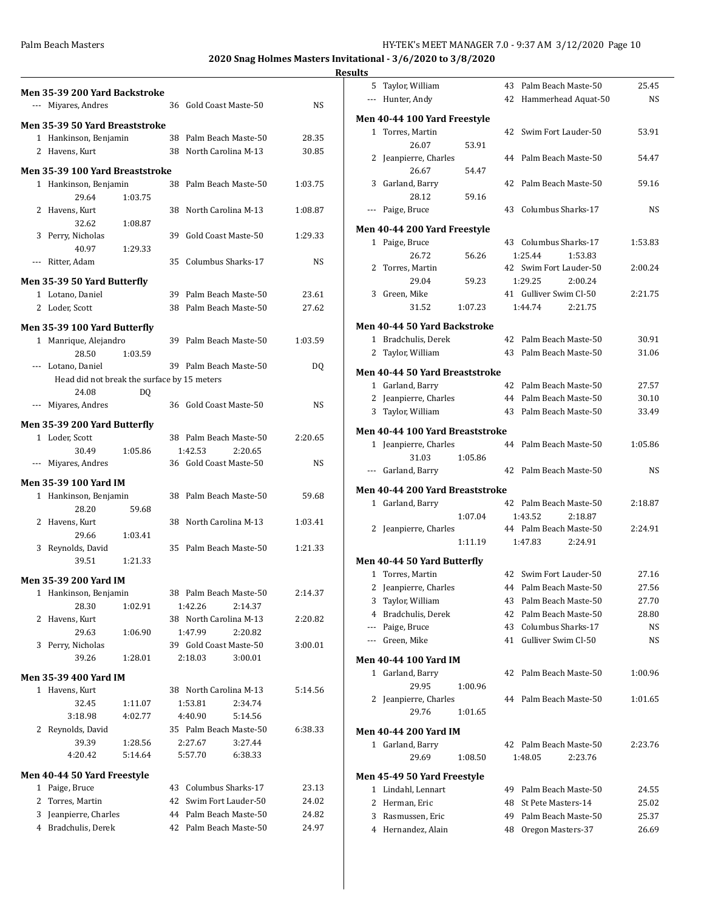|                | Men 35-39 200 Yard Backstroke<br>--- Miyares, Andres |         |    | 36 Gold Coast Maste-50 | NS      |
|----------------|------------------------------------------------------|---------|----|------------------------|---------|
|                |                                                      |         |    |                        |         |
|                | <b>Men 35-39 50 Yard Breaststroke</b>                |         |    |                        |         |
|                | 1 Hankinson, Benjamin                                |         |    | 38 Palm Beach Maste-50 | 28.35   |
|                | 2 Havens, Kurt                                       |         |    | 38 North Carolina M-13 | 30.85   |
|                | Men 35-39 100 Yard Breaststroke                      |         |    |                        |         |
|                | 1 Hankinson, Benjamin                                |         |    | 38 Palm Beach Maste-50 | 1:03.75 |
|                | 29.64                                                | 1:03.75 |    |                        |         |
|                | 2 Havens, Kurt                                       |         |    | 38 North Carolina M-13 | 1:08.87 |
|                | 32.62                                                | 1:08.87 |    |                        |         |
|                | 3 Perry, Nicholas                                    |         | 39 | Gold Coast Maste-50    | 1:29.33 |
|                | 40.97                                                | 1:29.33 |    |                        |         |
|                | --- Ritter, Adam                                     |         | 35 | Columbus Sharks-17     | NS      |
|                | Men 35-39 50 Yard Butterfly                          |         |    |                        |         |
|                | 1 Lotano, Daniel                                     |         |    | 39 Palm Beach Maste-50 | 23.61   |
|                | 2 Loder, Scott                                       |         |    | 38 Palm Beach Maste-50 | 27.62   |
|                |                                                      |         |    |                        |         |
|                | Men 35-39 100 Yard Butterfly                         |         |    |                        |         |
|                | 1 Manrique, Alejandro                                |         |    | 39 Palm Beach Maste-50 | 1:03.59 |
|                | 28.50                                                | 1:03.59 |    |                        |         |
|                | --- Lotano, Daniel                                   |         |    | 39 Palm Beach Maste-50 | DQ      |
|                | Head did not break the surface by 15 meters          |         |    |                        |         |
|                | 24.08                                                | DO.     |    |                        |         |
|                | --- Miyares, Andres                                  |         |    | 36 Gold Coast Maste-50 | NS      |
|                | Men 35-39 200 Yard Butterfly                         |         |    |                        |         |
|                | 1 Loder, Scott                                       |         |    | 38 Palm Beach Maste-50 | 2:20.65 |
|                | 30.49                                                | 1:05.86 |    | 1:42.53<br>2:20.65     |         |
|                | --- Miyares, Andres                                  |         |    | 36 Gold Coast Maste-50 | NS      |
|                |                                                      |         |    |                        |         |
|                | Men 35-39 100 Yard IM                                |         |    |                        |         |
|                | 1 Hankinson, Benjamin                                |         |    | 38 Palm Beach Maste-50 | 59.68   |
|                | 28.20                                                | 59.68   |    |                        |         |
|                | 2 Havens, Kurt                                       |         |    | 38 North Carolina M-13 | 1:03.41 |
|                | 29.66                                                | 1:03.41 |    |                        |         |
|                | 3 Reynolds, David                                    |         | 35 | Palm Beach Maste-50    | 1:21.33 |
|                | 39.51                                                | 1:21.33 |    |                        |         |
|                | Men 35-39 200 Yard IM                                |         |    |                        |         |
|                | 1 Hankinson, Benjamin                                |         |    | 38 Palm Beach Maste-50 | 2:14.37 |
|                | 28.30                                                | 1:02.91 |    | 1:42.26<br>2:14.37     |         |
| $\overline{2}$ | Havens, Kurt                                         |         |    | 38 North Carolina M-13 | 2:20.82 |
|                | 29.63                                                | 1:06.90 |    | 1:47.99<br>2:20.82     |         |
|                | 3 Perry, Nicholas                                    |         |    | 39 Gold Coast Maste-50 | 3:00.01 |
|                | 39.26                                                | 1:28.01 |    | 2:18.03<br>3:00.01     |         |
|                |                                                      |         |    |                        |         |
|                | Men 35-39 400 Yard IM                                |         |    |                        |         |
|                | 1 Havens, Kurt                                       |         |    | 38 North Carolina M-13 | 5:14.56 |
|                | 32.45                                                | 1:11.07 |    | 1:53.81<br>2:34.74     |         |
|                | 3:18.98                                              | 4:02.77 |    | 4:40.90<br>5:14.56     |         |
|                | 2 Reynolds, David                                    |         |    | 35 Palm Beach Maste-50 | 6:38.33 |
|                | 39.39                                                | 1:28.56 |    | 3:27.44<br>2:27.67     |         |
|                | 4:20.42                                              | 5:14.64 |    | 5:57.70<br>6:38.33     |         |
|                | Men 40-44 50 Yard Freestyle                          |         |    |                        |         |
|                | 1 Paige, Bruce                                       |         | 43 | Columbus Sharks-17     | 23.13   |
| 2              | Torres, Martin                                       |         | 42 | Swim Fort Lauder-50    | 24.02   |
| 3              | Jeanpierre, Charles                                  |         | 44 | Palm Beach Maste-50    | 24.82   |
|                | 4 Bradchulis, Derek                                  |         |    | 42 Palm Beach Maste-50 | 24.97   |
|                |                                                      |         |    |                        |         |

| .         |                                 |         |    |                                              |           |
|-----------|---------------------------------|---------|----|----------------------------------------------|-----------|
| 5         | Taylor, William                 |         |    | 43 Palm Beach Maste-50                       | 25.45     |
|           | --- Hunter, Andy                |         |    | 42 Hammerhead Aquat-50                       | NS        |
|           | Men 40-44 100 Yard Freestyle    |         |    |                                              |           |
| $1 \quad$ | Torres, Martin                  |         | 42 | Swim Fort Lauder-50                          | 53.91     |
|           | 26.07                           | 53.91   |    |                                              |           |
| 2         | Jeanpierre, Charles             |         | 44 | Palm Beach Maste-50                          | 54.47     |
|           | 26.67                           | 54.47   |    |                                              |           |
| 3         | Garland, Barry                  |         | 42 | Palm Beach Maste-50                          | 59.16     |
|           | 28.12                           | 59.16   |    |                                              |           |
|           | --- Paige, Bruce                |         | 43 | Columbus Sharks-17                           | NS        |
|           |                                 |         |    |                                              |           |
|           | Men 40-44 200 Yard Freestyle    |         |    |                                              |           |
|           | 1 Paige, Bruce                  | 56.26   |    | 43 Columbus Sharks-17                        | 1:53.83   |
| 2         | 26.72                           |         |    | 1:25.44<br>1:53.83<br>42 Swim Fort Lauder-50 | 2:00.24   |
|           | Torres, Martin                  |         |    |                                              |           |
| 3         | 29.04                           | 59.23   |    | 1:29.25<br>2:00.24<br>41 Gulliver Swim Cl-50 | 2:21.75   |
|           | Green, Mike<br>31.52            |         |    | 1:44.74<br>2:21.75                           |           |
|           |                                 | 1:07.23 |    |                                              |           |
|           | Men 40-44 50 Yard Backstroke    |         |    |                                              |           |
|           | 1 Bradchulis, Derek             |         |    | 42 Palm Beach Maste-50                       | 30.91     |
| 2         | Taylor, William                 |         |    | 43 Palm Beach Maste-50                       | 31.06     |
|           | Men 40-44 50 Yard Breaststroke  |         |    |                                              |           |
|           | 1 Garland, Barry                |         |    | 42 Palm Beach Maste-50                       | 27.57     |
|           |                                 |         |    | 44 Palm Beach Maste-50                       |           |
| 2         | Jeanpierre, Charles             |         |    |                                              | 30.10     |
|           | 3 Taylor, William               |         |    | 43 Palm Beach Maste-50                       | 33.49     |
|           | Men 40-44 100 Yard Breaststroke |         |    |                                              |           |
|           | 1 Jeanpierre, Charles           |         |    | 44 Palm Beach Maste-50                       | 1:05.86   |
|           | 31.03                           | 1:05.86 |    |                                              |           |
|           | --- Garland, Barry              |         | 42 | Palm Beach Maste-50                          | <b>NS</b> |
|           | Men 40-44 200 Yard Breaststroke |         |    |                                              |           |
|           | 1 Garland, Barry                |         |    | 42 Palm Beach Maste-50                       | 2:18.87   |
|           |                                 | 1:07.04 |    | 1:43.52<br>2:18.87                           |           |
| 2         | Jeanpierre, Charles             |         |    | 44 Palm Beach Maste-50                       | 2:24.91   |
|           |                                 | 1:11.19 |    | 1:47.83<br>2:24.91                           |           |
|           |                                 |         |    |                                              |           |
|           | Men 40-44 50 Yard Butterfly     |         |    |                                              |           |
|           | 1 Torres, Martin                |         |    | 42 Swim Fort Lauder-50                       | 27.16     |
|           | 2 Jeanpierre, Charles           |         |    | 44 Palm Beach Maste-50                       | 27.56     |
| 3         | Taylor, William                 |         | 43 | Palm Beach Maste-50                          | 27.70     |
| 4         | Bradchulis, Derek               |         |    | 42 Palm Beach Maste-50                       | 28.80     |
|           | --- Paige, Bruce                |         |    | 43 Columbus Sharks-17                        | NS        |
|           | --- Green, Mike                 |         |    | 41 Gulliver Swim Cl-50                       | NS        |
|           | Men 40-44 100 Yard IM           |         |    |                                              |           |
|           | 1 Garland, Barry                |         | 42 | Palm Beach Maste-50                          | 1:00.96   |
|           | 29.95                           | 1:00.96 |    |                                              |           |
|           | 2 Jeanpierre, Charles           |         | 44 | Palm Beach Maste-50                          | 1:01.65   |
|           | 29.76                           | 1:01.65 |    |                                              |           |
|           |                                 |         |    |                                              |           |
|           | Men 40-44 200 Yard IM           |         |    |                                              |           |
|           | 1 Garland, Barry                |         |    | 42 Palm Beach Maste-50                       | 2:23.76   |
|           | 29.69                           | 1:08.50 |    | 1:48.05<br>2:23.76                           |           |
|           | Men 45-49 50 Yard Freestyle     |         |    |                                              |           |
|           | 1 Lindahl, Lennart              |         |    | 49 Palm Beach Maste-50                       | 24.55     |
| 2         | Herman, Eric                    |         |    | 48 St Pete Masters-14                        | 25.02     |
| 3         | Rasmussen, Eric                 |         |    | 49 Palm Beach Maste-50                       | 25.37     |
|           | 4 Hernandez, Alain              |         | 48 | Oregon Masters-37                            | 26.69     |
|           |                                 |         |    |                                              |           |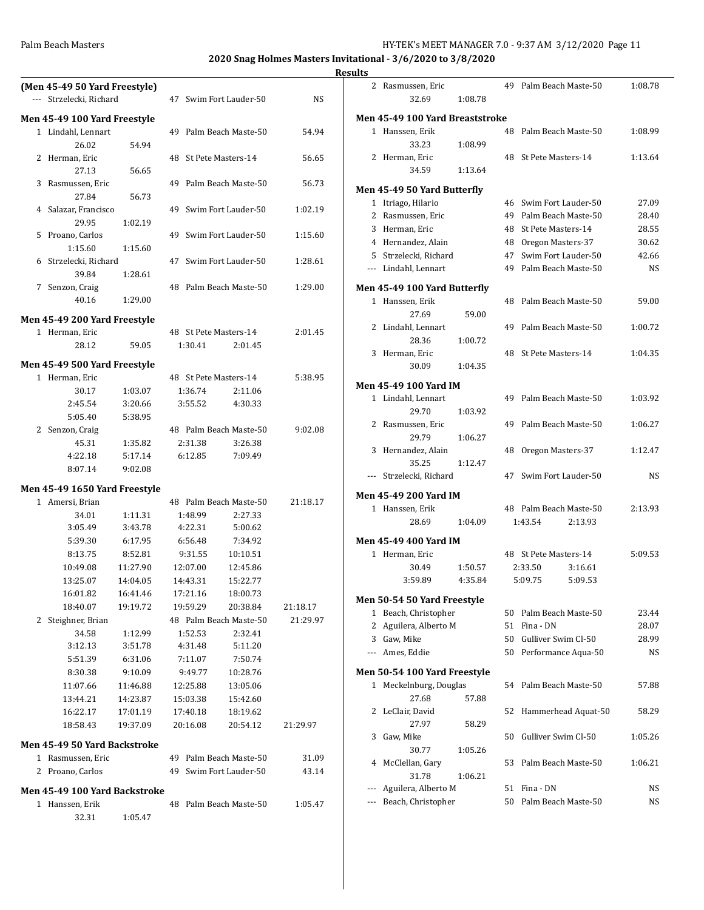**2020 Snag Holmes Masters Invitational - 3/6/2020 to 3/8/2020**

|   | (Men 45-49 50 Yard Freestyle) |                      |                        |                      |                        |          |  |  |
|---|-------------------------------|----------------------|------------------------|----------------------|------------------------|----------|--|--|
|   | --- Strzelecki, Richard       |                      |                        |                      | 47 Swim Fort Lauder-50 | NS.      |  |  |
|   | Men 45-49 100 Yard Freestyle  |                      |                        |                      |                        |          |  |  |
|   | 1 Lindahl, Lennart            |                      |                        |                      | 49 Palm Beach Maste-50 | 54.94    |  |  |
|   | 26.02                         | 54.94                |                        |                      |                        |          |  |  |
|   | 2 Herman, Eric                |                      |                        |                      | 48 St Pete Masters-14  | 56.65    |  |  |
|   | 27.13                         | 56.65                |                        |                      |                        |          |  |  |
| 3 | Rasmussen, Eric               |                      |                        |                      | 49 Palm Beach Maste-50 | 56.73    |  |  |
|   | 27.84                         | 56.73                |                        |                      |                        |          |  |  |
|   | 4 Salazar, Francisco          |                      |                        |                      | 49 Swim Fort Lauder-50 | 1:02.19  |  |  |
|   | 29.95                         | 1:02.19              |                        |                      |                        |          |  |  |
|   | 5 Proano, Carlos              |                      |                        |                      | 49 Swim Fort Lauder-50 | 1:15.60  |  |  |
|   | 1:15.60                       | 1:15.60              |                        |                      |                        |          |  |  |
|   | 6 Strzelecki, Richard         |                      |                        |                      | 47 Swim Fort Lauder-50 | 1:28.61  |  |  |
|   | 39.84                         | 1:28.61              |                        |                      |                        |          |  |  |
|   | 7 Senzon, Craig               |                      |                        |                      | 48 Palm Beach Maste-50 | 1:29.00  |  |  |
|   | 40.16                         | 1:29.00              |                        |                      |                        |          |  |  |
|   | Men 45-49 200 Yard Freestyle  |                      |                        |                      |                        |          |  |  |
|   | 1 Herman, Eric                |                      |                        |                      | 48 St Pete Masters-14  | 2:01.45  |  |  |
|   | 28.12                         | 59.05                |                        | 1:30.41              | 2:01.45                |          |  |  |
|   | Men 45-49 500 Yard Freestyle  |                      |                        |                      |                        |          |  |  |
|   | 1 Herman, Eric                |                      |                        |                      | 48 St Pete Masters-14  | 5:38.95  |  |  |
|   | 30.17                         | 1:03.07              |                        | 1:36.74              | 2:11.06                |          |  |  |
|   | 2:45.54                       | 3:20.66              |                        | 3:55.52              | 4:30.33                |          |  |  |
|   | 5:05.40                       | 5:38.95              |                        |                      |                        |          |  |  |
|   | 2 Senzon, Craig               |                      |                        |                      | 48 Palm Beach Maste-50 | 9:02.08  |  |  |
|   | 45.31                         | 1:35.82              |                        | 2:31.38              | 3:26.38                |          |  |  |
|   | 4:22.18                       | 5:17.14              |                        | 6:12.85              | 7:09.49                |          |  |  |
|   | 8:07.14                       | 9:02.08              |                        |                      |                        |          |  |  |
|   | Men 45-49 1650 Yard Freestyle |                      |                        |                      |                        |          |  |  |
|   | 1 Amersi, Brian               |                      |                        |                      | 48 Palm Beach Maste-50 | 21:18.17 |  |  |
|   | 34.01                         | 1:11.31              |                        | 1:48.99              | 2:27.33                |          |  |  |
|   | 3:05.49                       | 3:43.78              |                        | 4:22.31              | 5:00.62                |          |  |  |
|   | 5:39.30                       | 6:17.95              |                        | 6:56.48              | 7:34.92                |          |  |  |
|   | 8:13.75                       | 8:52.81              |                        | 9:31.55              | 10:10.51               |          |  |  |
|   | 10:49.08                      | 11:27.90             |                        | 12:07.00             | 12:45.86               |          |  |  |
|   | 13:25.07                      | 14:04.05             |                        | 14:43.31             | 15:22.77               |          |  |  |
|   | 16:01.82                      | 16:41.46             |                        | 17:21.16             | 18:00.73               |          |  |  |
|   | 18:40.07                      | 19:19.72             |                        | 19:59.29             | 20:38.84               | 21:18.17 |  |  |
| 2 | Steighner, Brian              |                      |                        |                      | 48 Palm Beach Maste-50 | 21:29.97 |  |  |
|   | 34.58                         | 1:12.99              |                        | 1:52.53              | 2:32.41                |          |  |  |
|   | 3:12.13                       | 3:51.78              |                        | 4:31.48              | 5:11.20                |          |  |  |
|   | 5:51.39                       | 6:31.06              |                        | 7:11.07              | 7:50.74                |          |  |  |
|   | 8:30.38                       | 9:10.09              |                        | 9:49.77              | 10:28.76               |          |  |  |
|   | 11:07.66                      | 11:46.88             |                        | 12:25.88             | 13:05.06               |          |  |  |
|   | 13:44.21<br>16:22.17          | 14:23.87<br>17:01.19 |                        | 15:03.38<br>17:40.18 | 15:42.60<br>18:19.62   |          |  |  |
|   | 18:58.43                      | 19:37.09             |                        | 20:16.08             | 20:54.12               | 21:29.97 |  |  |
|   |                               |                      |                        |                      |                        |          |  |  |
|   | Men 45-49 50 Yard Backstroke  |                      |                        |                      |                        |          |  |  |
|   | 1 Rasmussen, Eric             |                      | 49 Palm Beach Maste-50 |                      |                        | 31.09    |  |  |
|   | 2 Proano, Carlos              |                      | 49                     |                      | Swim Fort Lauder-50    | 43.14    |  |  |
|   | Men 45-49 100 Yard Backstroke |                      |                        |                      |                        |          |  |  |
|   | 1 Hanssen, Erik               |                      | 48                     |                      | Palm Beach Maste-50    | 1:05.47  |  |  |
|   | 32.31                         | 1:05.47              |                        |                      |                        |          |  |  |

|       | 2 Rasmussen, Eric               |                    |    | 49 Palm Beach Maste-50 | 1:08.78 |
|-------|---------------------------------|--------------------|----|------------------------|---------|
|       | 32.69                           | 1:08.78            |    |                        |         |
|       |                                 |                    |    |                        |         |
|       | Men 45-49 100 Yard Breaststroke |                    |    |                        |         |
|       | 1 Hanssen, Erik                 |                    | 48 | Palm Beach Maste-50    | 1:08.99 |
|       | 33.23                           | 1:08.99            |    |                        |         |
|       | 2 Herman, Eric                  |                    | 48 | St Pete Masters-14     | 1:13.64 |
|       | 34.59                           | 1:13.64            |    |                        |         |
|       | Men 45-49 50 Yard Butterfly     |                    |    |                        |         |
|       | 1 Itriago, Hilario              |                    |    | 46 Swim Fort Lauder-50 | 27.09   |
|       | 2 Rasmussen, Eric               |                    | 49 | Palm Beach Maste-50    | 28.40   |
|       | 3 Herman, Eric                  |                    | 48 | St Pete Masters-14     | 28.55   |
|       | 4 Hernandez, Alain              |                    |    | 48 Oregon Masters-37   | 30.62   |
|       | 5 Strzelecki, Richard           |                    | 47 | Swim Fort Lauder-50    | 42.66   |
|       | --- Lindahl, Lennart            |                    |    | 49 Palm Beach Maste-50 | NS      |
|       |                                 |                    |    |                        |         |
|       | Men 45-49 100 Yard Butterfly    |                    |    |                        |         |
|       | 1 Hanssen, Erik                 |                    | 48 | Palm Beach Maste-50    | 59.00   |
|       | 27.69                           | 59.00              |    |                        |         |
|       | 2 Lindahl, Lennart              |                    | 49 | Palm Beach Maste-50    | 1:00.72 |
|       | 28.36                           | 1:00.72            |    |                        |         |
|       | 3 Herman, Eric                  |                    |    | 48 St Pete Masters-14  | 1:04.35 |
|       | 30.09                           | 1:04.35            |    |                        |         |
|       |                                 |                    |    |                        |         |
|       | Men 45-49 100 Yard IM           |                    |    |                        |         |
|       | 1 Lindahl, Lennart              | 1:03.92            |    | 49 Palm Beach Maste-50 | 1:03.92 |
|       | 29.70                           |                    |    |                        |         |
|       | 2 Rasmussen, Eric               |                    | 49 | Palm Beach Maste-50    | 1:06.27 |
|       | 29.79                           | 1:06.27            |    |                        |         |
|       | 3 Hernandez, Alain              |                    | 48 | Oregon Masters-37      | 1:12.47 |
|       | 35.25                           | 1:12.47            |    |                        |         |
| $---$ | Strzelecki, Richard             |                    |    | 47 Swim Fort Lauder-50 | NS      |
|       | Men 45-49 200 Yard IM           |                    |    |                        |         |
|       | 1 Hanssen, Erik                 |                    |    | 48 Palm Beach Maste-50 | 2:13.93 |
|       | 28.69                           | 1:04.09            |    | 1:43.54<br>2:13.93     |         |
|       | Men 45-49 400 Yard IM           |                    |    |                        |         |
|       | 1 Herman, Eric                  |                    |    | 48 St Pete Masters-14  | 5:09.53 |
|       | 30.49                           |                    |    | 2:33.50<br>3:16.61     |         |
|       | 3:59.89                         | 1:50.57<br>4:35.84 |    | 5:09.75<br>5:09.53     |         |
|       |                                 |                    |    |                        |         |
|       | Men 50-54 50 Yard Freestyle     |                    |    |                        |         |
| 1     | Beach, Christopher              |                    | 50 | Palm Beach Maste-50    | 23.44   |
| 2     | Aguilera, Alberto M             |                    | 51 | Fina - DN              | 28.07   |
| 3     | Gaw, Mike                       |                    | 50 | Gulliver Swim Cl-50    | 28.99   |
|       | --- Ames, Eddie                 |                    | 50 | Performance Aqua-50    | NS      |
|       | Men 50-54 100 Yard Freestyle    |                    |    |                        |         |
| $1\,$ | Meckelnburg, Douglas            |                    | 54 | Palm Beach Maste-50    | 57.88   |
|       | 27.68                           | 57.88              |    |                        |         |
| 2     | LeClair, David                  |                    | 52 | Hammerhead Aquat-50    | 58.29   |
|       | 27.97                           | 58.29              |    |                        |         |
| 3     | Gaw, Mike                       |                    | 50 | Gulliver Swim Cl-50    | 1:05.26 |
|       | 30.77                           | 1:05.26            |    |                        |         |
| 4     | McClellan, Gary                 |                    | 53 | Palm Beach Maste-50    | 1:06.21 |
|       | 31.78                           | 1:06.21            |    |                        |         |
|       | Aguilera, Alberto M             |                    | 51 | Fina - DN              | NS      |
|       |                                 |                    | 50 | Palm Beach Maste-50    |         |
| ---   | Beach, Christopher              |                    |    |                        | NS      |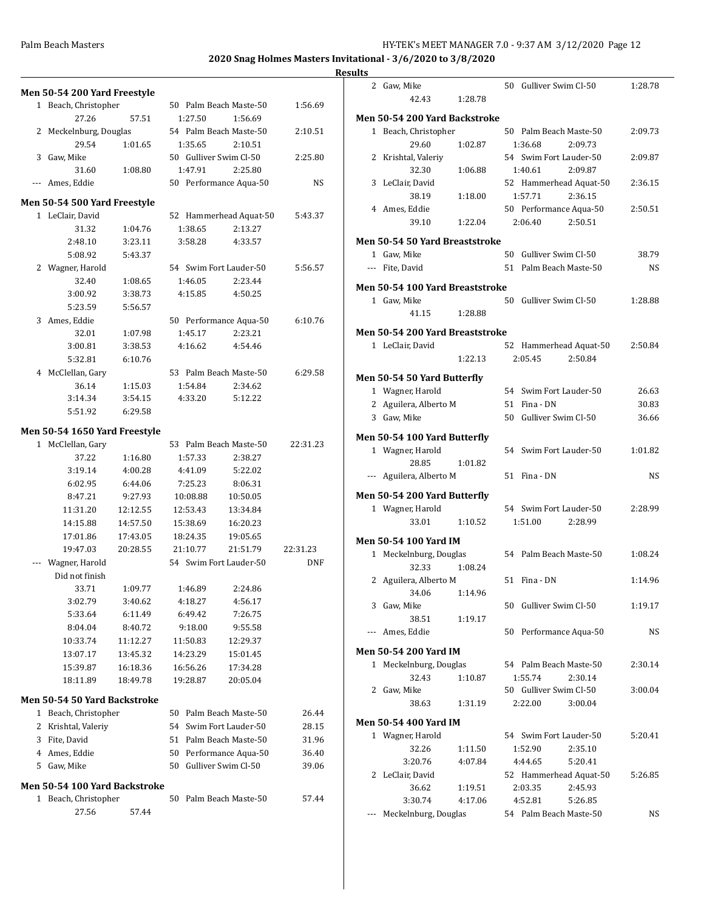|   |                               | Men 50-54 200 Yard Freestyle |    |          |                        |            |   |
|---|-------------------------------|------------------------------|----|----------|------------------------|------------|---|
|   | 1 Beach, Christopher          |                              |    |          | 50 Palm Beach Maste-50 | 1:56.69    |   |
|   | 27.26                         | 57.51                        |    | 1:27.50  | 1:56.69                |            | N |
| 2 | Meckelnburg, Douglas          |                              |    |          | 54 Palm Beach Maste-50 | 2:10.51    |   |
|   | 29.54                         | 1:01.65                      |    | 1:35.65  | 2:10.51                |            |   |
|   | 3 Gaw, Mike                   |                              |    |          | 50 Gulliver Swim Cl-50 | 2:25.80    |   |
|   | 31.60                         | 1:08.80                      |    | 1:47.91  | 2:25.80                |            |   |
|   | Ames, Eddie                   |                              |    |          | 50 Performance Aqua-50 | NS         |   |
|   |                               |                              |    |          |                        |            |   |
|   | Men 50-54 500 Yard Freestyle  |                              |    |          | 52 Hammerhead Aquat-50 |            |   |
|   | 1 LeClair, David              |                              |    |          |                        | 5:43.37    |   |
|   | 31.32                         | 1:04.76                      |    | 1:38.65  | 2:13.27                |            |   |
|   | 2:48.10                       | 3:23.11                      |    | 3:58.28  | 4:33.57                |            | N |
|   | 5:08.92                       | 5:43.37                      |    |          |                        |            |   |
|   | 2 Wagner, Harold              |                              |    |          | 54 Swim Fort Lauder-50 | 5:56.57    |   |
|   | 32.40                         | 1:08.65                      |    | 1:46.05  | 2:23.44                |            | N |
|   | 3:00.92                       | 3:38.73                      |    | 4:15.85  | 4:50.25                |            |   |
|   | 5:23.59                       | 5:56.57                      |    |          |                        |            |   |
|   | 3 Ames, Eddie                 |                              |    |          | 50 Performance Aqua-50 | 6:10.76    |   |
|   | 32.01                         | 1:07.98                      |    | 1:45.17  | 2:23.21                |            | N |
|   | 3:00.81                       | 3:38.53                      |    | 4:16.62  | 4:54.46                |            |   |
|   | 5:32.81                       | 6:10.76                      |    |          |                        |            |   |
|   | 4 McClellan, Gary             |                              |    |          | 53 Palm Beach Maste-50 | 6:29.58    | N |
|   | 36.14                         | 1:15.03                      |    | 1:54.84  | 2:34.62                |            |   |
|   | 3:14.34                       | 3:54.15                      |    | 4:33.20  | 5:12.22                |            |   |
|   | 5:51.92                       | 6:29.58                      |    |          |                        |            |   |
|   | Men 50-54 1650 Yard Freestyle |                              |    |          |                        |            |   |
|   | 1 McClellan, Gary             |                              |    |          | 53 Palm Beach Maste-50 | 22:31.23   | N |
|   | 37.22                         | 1:16.80                      |    | 1:57.33  | 2:38.27                |            |   |
|   | 3:19.14                       | 4:00.28                      |    | 4:41.09  | 5:22.02                |            |   |
|   | 6:02.95                       | 6:44.06                      |    | 7:25.23  | 8:06.31                |            |   |
|   | 8:47.21                       | 9:27.93                      |    | 10:08.88 | 10:50.05               |            | N |
|   | 11:31.20                      | 12:12.55                     |    | 12:53.43 | 13:34.84               |            |   |
|   | 14:15.88                      | 14:57.50                     |    | 15:38.69 | 16:20.23               |            |   |
|   |                               | 17:43.05                     |    |          |                        |            |   |
|   | 17:01.86                      |                              |    | 18:24.35 | 19:05.65               |            | N |
|   | 19:47.03                      | 20:28.55                     |    | 21:10.77 | 21:51.79               | 22:31.23   |   |
|   | Wagner, Harold                |                              |    |          | 54 Swim Fort Lauder-50 | <b>DNF</b> |   |
|   | Did not finish                |                              |    |          |                        |            |   |
|   | 33.71                         | 1:09.77                      |    | 1:46.89  | 2:24.86                |            |   |
|   | 3:02.79                       | 3:40.62                      |    | 4:18.27  | 4:56.17                |            |   |
|   | 5:33.64                       | 6:11.49                      |    | 6:49.42  | 7:26.75                |            |   |
|   | 8:04.04                       | 8:40.72                      |    | 9:18.00  | 9:55.58                |            |   |
|   | 10:33.74                      | 11:12.27                     |    | 11:50.83 | 12:29.37               |            |   |
|   | 13:07.17                      | 13:45.32                     |    | 14:23.29 | 15:01.45               |            | N |
|   | 15:39.87                      | 16:18.36                     |    | 16:56.26 | 17:34.28               |            |   |
|   | 18:11.89                      | 18:49.78                     |    | 19:28.87 | 20:05.04               |            |   |
|   | Men 50-54 50 Yard Backstroke  |                              |    |          |                        |            |   |
|   | 1 Beach, Christopher          |                              |    |          | 50 Palm Beach Maste-50 | 26.44      |   |
| 2 | Krishtal, Valeriy             |                              |    |          | 54 Swim Fort Lauder-50 | 28.15      | Ņ |
| 3 | Fite, David                   |                              |    |          | 51 Palm Beach Maste-50 | 31.96      |   |
| 4 | Ames, Eddie                   |                              |    |          | 50 Performance Aqua-50 | 36.40      |   |
| 5 | Gaw, Mike                     |                              | 50 |          | Gulliver Swim Cl-50    | 39.06      |   |
|   |                               |                              |    |          |                        |            |   |
|   | Men 50-54 100 Yard Backstroke |                              |    |          |                        |            |   |
|   | 1 Beach, Christopher          |                              | 50 |          | Palm Beach Maste-50    | 57.44      |   |
|   | 27.56                         | 57.44                        |    |          |                        |            |   |

| lts   |                                 |                    |                                   |                    |           |
|-------|---------------------------------|--------------------|-----------------------------------|--------------------|-----------|
|       | 2 Gaw, Mike                     |                    | 50 Gulliver Swim Cl-50            |                    | 1:28.78   |
|       | 42.43                           | 1:28.78            |                                   |                    |           |
|       | Men 50-54 200 Yard Backstroke   |                    |                                   |                    |           |
|       | 1 Beach, Christopher            |                    | 50 Palm Beach Maste-50            |                    | 2:09.73   |
|       | 29.60                           | 1:02.87            | 1:36.68                           | 2:09.73            |           |
|       | 2 Krishtal, Valeriy             |                    | 54 Swim Fort Lauder-50            |                    | 2:09.87   |
|       | 32.30                           | 1:06.88            | 1:40.61                           | 2:09.87            |           |
|       | 3 LeClair, David                |                    | 52 Hammerhead Aquat-50<br>1:57.71 |                    | 2:36.15   |
|       | 38.19<br>4 Ames, Eddie          | 1:18.00            | 50 Performance Aqua-50            | 2:36.15            | 2:50.51   |
|       | 39.10                           | 1:22.04            | 2:06.40                           | 2:50.51            |           |
|       | Men 50-54 50 Yard Breaststroke  |                    |                                   |                    |           |
|       | 1 Gaw, Mike                     |                    | 50 Gulliver Swim Cl-50            |                    | 38.79     |
|       | --- Fite, David                 |                    | 51 Palm Beach Maste-50            |                    | NS        |
|       |                                 |                    |                                   |                    |           |
|       | Men 50-54 100 Yard Breaststroke |                    |                                   |                    |           |
|       | 1 Gaw, Mike                     |                    | 50 Gulliver Swim Cl-50            |                    | 1:28.88   |
|       | 41.15                           | 1:28.88            |                                   |                    |           |
|       | Men 50-54 200 Yard Breaststroke |                    |                                   |                    |           |
|       | 1 LeClair, David                |                    | 52 Hammerhead Aquat-50            |                    | 2:50.84   |
|       |                                 | 1:22.13            | 2:05.45                           | 2:50.84            |           |
|       | Men 50-54 50 Yard Butterfly     |                    |                                   |                    |           |
|       | 1 Wagner, Harold                |                    | 54 Swim Fort Lauder-50            |                    | 26.63     |
|       | 2 Aguilera, Alberto M           |                    | 51 Fina - DN                      |                    | 30.83     |
|       | 3 Gaw, Mike                     |                    | 50 Gulliver Swim Cl-50            |                    | 36.66     |
|       | Men 50-54 100 Yard Butterfly    |                    |                                   |                    |           |
|       | 1 Wagner, Harold                |                    | 54 Swim Fort Lauder-50            |                    | 1:01.82   |
|       | 28.85                           | 1:01.82            |                                   |                    |           |
|       | --- Aguilera, Alberto M         |                    | 51 Fina - DN                      |                    | <b>NS</b> |
|       | Men 50-54 200 Yard Butterfly    |                    |                                   |                    |           |
|       | 1 Wagner, Harold                |                    | 54 Swim Fort Lauder-50            |                    | 2:28.99   |
|       | 33.01                           | 1:10.52            | 1:51.00                           | 2:28.99            |           |
|       |                                 |                    |                                   |                    |           |
|       | Men 50-54 100 Yard IM           |                    |                                   |                    |           |
| $1\,$ | Meckelnburg, Douglas            |                    | 54 Palm Beach Maste-50            |                    | 1:08.24   |
|       | 32.33<br>2 Aguilera, Alberto M  | 1:08.24            | 51 Fina - DN                      |                    | 1:14.96   |
|       | 34.06                           | 1:14.96            |                                   |                    |           |
|       | 3 Gaw, Mike                     |                    | 50 Gulliver Swim Cl-50            |                    | 1:19.17   |
|       | 38.51                           | 1:19.17            |                                   |                    |           |
| $---$ | Ames, Eddie                     |                    | 50 Performance Aqua-50            |                    | NS        |
|       |                                 |                    |                                   |                    |           |
|       | Men 50-54 200 Yard IM           |                    |                                   |                    |           |
|       | 1 Meckelnburg, Douglas          |                    | 54 Palm Beach Maste-50            |                    | 2:30.14   |
|       | 32.43<br>2 Gaw, Mike            | 1:10.87            | 1:55.74<br>50 Gulliver Swim Cl-50 | 2:30.14            | 3:00.04   |
|       | 38.63                           | 1:31.19            | 2:22.00                           | 3:00.04            |           |
|       |                                 |                    |                                   |                    |           |
|       | Men 50-54 400 Yard IM           |                    |                                   |                    |           |
|       | 1 Wagner, Harold                |                    | 54 Swim Fort Lauder-50            |                    | 5:20.41   |
|       | 32.26                           | 1:11.50            | 1:52.90                           | 2:35.10            |           |
|       | 3:20.76                         | 4:07.84            | 4:44.65                           | 5:20.41            |           |
|       | 2 LeClair, David                |                    | 52 Hammerhead Aquat-50            |                    | 5:26.85   |
|       | 36.62<br>3:30.74                | 1:19.51<br>4:17.06 | 2:03.35<br>4:52.81                | 2:45.93<br>5:26.85 |           |
| ---   | Meckelnburg, Douglas            |                    | 54 Palm Beach Maste-50            |                    | NS        |
|       |                                 |                    |                                   |                    |           |
|       |                                 |                    |                                   |                    |           |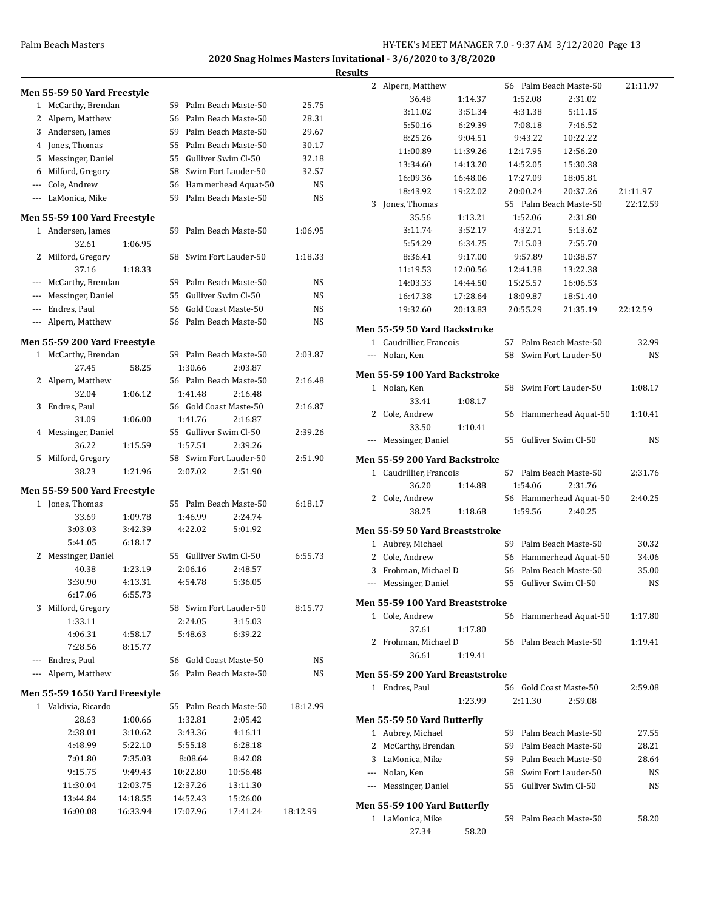|     |                               |          |                        |                        |           | <b>Results</b> |                                                   |          |                        |                        |           |
|-----|-------------------------------|----------|------------------------|------------------------|-----------|----------------|---------------------------------------------------|----------|------------------------|------------------------|-----------|
|     | Men 55-59 50 Yard Freestyle   |          |                        |                        |           |                | 2 Alpern, Matthew                                 |          |                        | 56 Palm Beach Maste-50 | 21:11.97  |
|     | 1 McCarthy, Brendan           |          |                        | 59 Palm Beach Maste-50 | 25.75     |                | 36.48                                             | 1:14.37  | 1:52.08                | 2:31.02                |           |
|     | 2 Alpern, Matthew             |          |                        | 56 Palm Beach Maste-50 | 28.31     |                | 3:11.02                                           | 3:51.34  | 4:31.38                | 5:11.15                |           |
|     | 3 Andersen, James             |          | 59                     | Palm Beach Maste-50    | 29.67     |                | 5:50.16                                           | 6:29.39  | 7:08.18                | 7:46.52                |           |
|     | 4 Jones, Thomas               |          | 55                     | Palm Beach Maste-50    | 30.17     |                | 8:25.26                                           | 9:04.51  | 9:43.22                | 10:22.22               |           |
|     | 5 Messinger, Daniel           |          | 55                     | Gulliver Swim Cl-50    | 32.18     |                | 11:00.89                                          | 11:39.26 | 12:17.95               | 12:56.20               |           |
| 6   | Milford, Gregory              |          | 58                     | Swim Fort Lauder-50    | 32.57     |                | 13:34.60                                          | 14:13.20 | 14:52.05               | 15:30.38               |           |
|     | Cole, Andrew                  |          | 56                     | Hammerhead Aquat-50    | <b>NS</b> |                | 16:09.36                                          | 16:48.06 | 17:27.09               | 18:05.81               |           |
| --- | LaMonica, Mike                |          | 59                     | Palm Beach Maste-50    | <b>NS</b> |                | 18:43.92                                          | 19:22.02 | 20:00.24               | 20:37.26               | 21:11.97  |
|     |                               |          |                        |                        |           |                | 3 Jones, Thomas                                   |          |                        | 55 Palm Beach Maste-50 | 22:12.59  |
|     | Men 55-59 100 Yard Freestyle  |          |                        |                        |           |                | 35.56                                             | 1:13.21  | 1:52.06                | 2:31.80                |           |
|     | 1 Andersen, James             |          |                        | 59 Palm Beach Maste-50 | 1:06.95   |                | 3:11.74                                           | 3:52.17  | 4:32.71                | 5:13.62                |           |
|     | 32.61                         | 1:06.95  |                        |                        |           |                | 5:54.29                                           | 6:34.75  | 7:15.03                | 7:55.70                |           |
|     | 2 Milford, Gregory            |          |                        | 58 Swim Fort Lauder-50 | 1:18.33   |                | 8:36.41                                           | 9:17.00  | 9:57.89                | 10:38.57               |           |
|     | 37.16                         | 1:18.33  |                        |                        |           |                | 11:19.53                                          | 12:00.56 | 12:41.38               | 13:22.38               |           |
|     | --- McCarthy, Brendan         |          | 59.                    | Palm Beach Maste-50    | NS        |                | 14:03.33                                          | 14:44.50 | 15:25.57               | 16:06.53               |           |
|     | Messinger, Daniel             |          | 55                     | Gulliver Swim Cl-50    | NS        |                | 16:47.38                                          | 17:28.64 | 18:09.87               | 18:51.40               |           |
|     | Endres, Paul                  |          | 56                     | Gold Coast Maste-50    | <b>NS</b> |                | 19:32.60                                          | 20:13.83 | 20:55.29               | 21:35.19               | 22:12.59  |
| --- | Alpern, Matthew               |          |                        | 56 Palm Beach Maste-50 | <b>NS</b> |                | Men 55-59 50 Yard Backstroke                      |          |                        |                        |           |
|     | Men 55-59 200 Yard Freestyle  |          |                        |                        |           |                | 1 Caudrillier, Francois                           |          |                        | 57 Palm Beach Maste-50 | 32.99     |
|     | 1 McCarthy, Brendan           |          |                        | 59 Palm Beach Maste-50 | 2:03.87   |                | --- Nolan, Ken                                    |          |                        | 58 Swim Fort Lauder-50 | NS        |
|     | 27.45                         | 58.25    | 1:30.66                | 2:03.87                |           |                | Men 55-59 100 Yard Backstroke                     |          |                        |                        |           |
|     | 2 Alpern, Matthew             |          |                        | 56 Palm Beach Maste-50 | 2:16.48   |                | 1 Nolan, Ken                                      |          |                        | 58 Swim Fort Lauder-50 | 1:08.17   |
|     | 32.04                         | 1:06.12  | 1:41.48                | 2:16.48                |           |                | 33.41                                             |          |                        |                        |           |
|     | 3 Endres, Paul                |          | 56 Gold Coast Maste-50 |                        | 2:16.87   |                | 2 Cole, Andrew                                    | 1:08.17  |                        | 56 Hammerhead Aquat-50 | 1:10.41   |
|     | 31.09                         | 1:06.00  | 1:41.76                | 2:16.87                |           |                | 33.50                                             | 1:10.41  |                        |                        |           |
|     | 4 Messinger, Daniel           |          | 55 Gulliver Swim Cl-50 |                        | 2:39.26   |                | --- Messinger, Daniel                             |          | 55 Gulliver Swim Cl-50 |                        | NS        |
|     | 36.22                         | 1:15.59  | 1:57.51                | 2:39.26                |           |                |                                                   |          |                        |                        |           |
|     | 5 Milford, Gregory            |          |                        | 58 Swim Fort Lauder-50 | 2:51.90   |                | Men 55-59 200 Yard Backstroke                     |          |                        |                        |           |
|     | 38.23                         | 1:21.96  | 2:07.02                | 2:51.90                |           |                | 1 Caudrillier, Francois                           |          |                        | 57 Palm Beach Maste-50 | 2:31.76   |
|     | Men 55-59 500 Yard Freestyle  |          |                        |                        |           |                | 36.20                                             | 1:14.88  | 1:54.06                | 2:31.76                |           |
|     | 1 Jones, Thomas               |          |                        | 55 Palm Beach Maste-50 | 6:18.17   |                | 2 Cole, Andrew                                    |          |                        | 56 Hammerhead Aquat-50 | 2:40.25   |
|     | 33.69                         | 1:09.78  | 1:46.99                | 2:24.74                |           |                | 38.25                                             | 1:18.68  | 1:59.56                | 2:40.25                |           |
|     | 3:03.03                       | 3:42.39  | 4:22.02                | 5:01.92                |           |                | Men 55-59 50 Yard Breaststroke                    |          |                        |                        |           |
|     | 5:41.05                       | 6:18.17  |                        |                        |           |                | 1 Aubrey, Michael                                 |          |                        | 59 Palm Beach Maste-50 | 30.32     |
|     | 2 Messinger, Daniel           |          | 55 Gulliver Swim Cl-50 |                        | 6:55.73   |                | 2 Cole, Andrew                                    |          |                        | 56 Hammerhead Aquat-50 | 34.06     |
|     | 40.38                         | 1:23.19  | 2:06.16                | 2:48.57                |           |                | 3 Frohman, Michael D                              |          |                        | 56 Palm Beach Maste-50 | 35.00     |
|     | 3:30.90                       | 4:13.31  | 4:54.78                | 5:36.05                |           |                | --- Messinger, Daniel                             |          | 55 Gulliver Swim Cl-50 |                        | <b>NS</b> |
|     | 6:17.06                       | 6:55.73  |                        |                        |           |                |                                                   |          |                        |                        |           |
|     | 3 Milford, Gregory            |          |                        | 58 Swim Fort Lauder-50 | 8:15.77   |                | Men 55-59 100 Yard Breaststroke<br>1 Cole, Andrew |          |                        | 56 Hammerhead Aquat-50 | 1:17.80   |
|     | 1:33.11                       |          | 2:24.05                | 3:15.03                |           |                | 37.61                                             | 1:17.80  |                        |                        |           |
|     | 4:06.31                       | 4:58.17  | 5:48.63                | 6:39.22                |           |                | 2 Frohman, Michael D                              |          |                        | 56 Palm Beach Maste-50 | 1:19.41   |
|     | 7:28.56                       | 8:15.77  |                        |                        |           |                | 36.61                                             | 1:19.41  |                        |                        |           |
|     | Endres, Paul                  |          | 56 Gold Coast Maste-50 |                        | NS        |                |                                                   |          |                        |                        |           |
|     | --- Alpern, Matthew           |          |                        | 56 Palm Beach Maste-50 | <b>NS</b> |                | Men 55-59 200 Yard Breaststroke                   |          |                        |                        |           |
|     | Men 55-59 1650 Yard Freestyle |          |                        |                        |           |                | 1 Endres, Paul                                    |          |                        | 56 Gold Coast Maste-50 | 2:59.08   |
|     | 1 Valdivia, Ricardo           |          |                        | 55 Palm Beach Maste-50 | 18:12.99  |                |                                                   | 1:23.99  | 2:11.30                | 2:59.08                |           |
|     | 28.63                         | 1:00.66  | 1:32.81                | 2:05.42                |           |                | Men 55-59 50 Yard Butterfly                       |          |                        |                        |           |
|     | 2:38.01                       | 3:10.62  | 3:43.36                | 4:16.11                |           |                | 1 Aubrey, Michael                                 |          |                        | 59 Palm Beach Maste-50 | 27.55     |
|     | 4:48.99                       | 5:22.10  | 5:55.18                | 6:28.18                |           |                | 2 McCarthy, Brendan                               |          |                        | 59 Palm Beach Maste-50 | 28.21     |
|     | 7:01.80                       | 7:35.03  | 8:08.64                | 8:42.08                |           |                | 3 LaMonica, Mike                                  |          |                        | 59 Palm Beach Maste-50 | 28.64     |
|     | 9:15.75                       | 9:49.43  | 10:22.80               | 10:56.48               |           |                | --- Nolan, Ken                                    |          |                        | 58 Swim Fort Lauder-50 | <b>NS</b> |
|     | 11:30.04                      | 12:03.75 | 12:37.26               | 13:11.30               |           |                | --- Messinger, Daniel                             |          | 55 Gulliver Swim Cl-50 |                        | <b>NS</b> |
|     | 13:44.84                      | 14:18.55 | 14:52.43               | 15:26.00               |           |                |                                                   |          |                        |                        |           |
|     | 16:00.08                      | 16:33.94 | 17:07.96               | 17:41.24               | 18:12.99  |                | Men 55-59 100 Yard Butterfly                      |          |                        |                        |           |
|     |                               |          |                        |                        |           |                | 1 LaMonica, Mike                                  |          |                        | 59 Palm Beach Maste-50 | 58.20     |
|     |                               |          |                        |                        |           |                | 27.34                                             | 58.20    |                        |                        |           |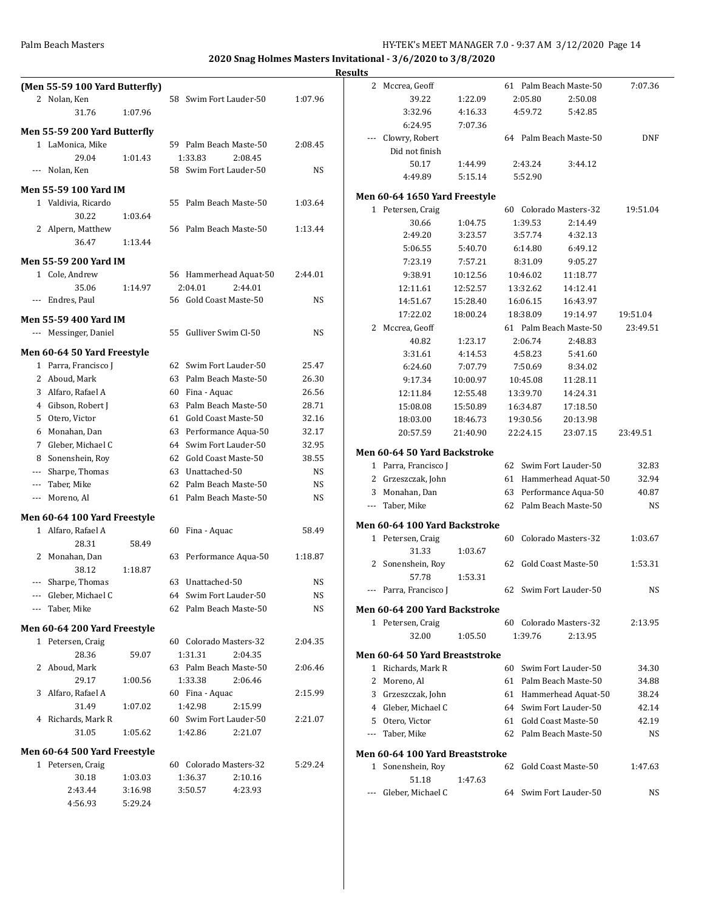|                      |                                |         |                        |                     |             | <b>Results</b> |                                 |          |          |                                                  |            |
|----------------------|--------------------------------|---------|------------------------|---------------------|-------------|----------------|---------------------------------|----------|----------|--------------------------------------------------|------------|
|                      | (Men 55-59 100 Yard Butterfly) |         |                        |                     |             |                | 2 Mccrea, Geoff                 |          |          | 61 Palm Beach Maste-50                           | 7:07.36    |
|                      | 2 Nolan, Ken                   |         | 58 Swim Fort Lauder-50 |                     | 1:07.96     |                | 39.22                           | 1:22.09  | 2:05.80  | 2:50.08                                          |            |
|                      | 31.76                          | 1:07.96 |                        |                     |             |                | 3:32.96                         | 4:16.33  | 4:59.72  | 5:42.85                                          |            |
|                      | Men 55-59 200 Yard Butterfly   |         |                        |                     |             |                | 6:24.95                         | 7:07.36  |          |                                                  |            |
|                      | 1 LaMonica, Mike               |         | 59 Palm Beach Maste-50 |                     | 2:08.45     | $\cdots$       | Clowry, Robert                  |          |          | 64 Palm Beach Maste-50                           | <b>DNF</b> |
|                      | 29.04                          | 1:01.43 | 1:33.83                | 2:08.45             |             |                | Did not finish                  |          |          |                                                  |            |
|                      | --- Nolan, Ken                 |         | 58 Swim Fort Lauder-50 |                     | <b>NS</b>   |                | 50.17                           | 1:44.99  | 2:43.24  | 3:44.12                                          |            |
|                      |                                |         |                        |                     |             |                | 4:49.89                         | 5:15.14  | 5:52.90  |                                                  |            |
|                      | <b>Men 55-59 100 Yard IM</b>   |         |                        |                     |             |                | Men 60-64 1650 Yard Freestyle   |          |          |                                                  |            |
|                      | 1 Valdivia, Ricardo            |         | 55 Palm Beach Maste-50 |                     | 1:03.64     |                | 1 Petersen, Craig               |          |          | 60 Colorado Masters-32                           | 19:51.04   |
|                      | 30.22                          | 1:03.64 |                        |                     |             |                | 30.66                           | 1:04.75  | 1:39.53  | 2:14.49                                          |            |
|                      | 2 Alpern, Matthew              |         | 56 Palm Beach Maste-50 |                     | 1:13.44     |                | 2:49.20                         | 3:23.57  | 3:57.74  | 4:32.13                                          |            |
|                      | 36.47                          | 1:13.44 |                        |                     |             |                | 5:06.55                         | 5:40.70  | 6:14.80  | 6:49.12                                          |            |
|                      | <b>Men 55-59 200 Yard IM</b>   |         |                        |                     |             |                | 7:23.19                         | 7:57.21  | 8:31.09  | 9:05.27                                          |            |
|                      | 1 Cole, Andrew                 |         | 56 Hammerhead Aquat-50 |                     | 2:44.01     |                | 9:38.91                         | 10:12.56 | 10:46.02 | 11:18.77                                         |            |
|                      | 35.06                          | 1:14.97 | 2:04.01                | 2:44.01             |             |                | 12:11.61                        | 12:52.57 | 13:32.62 | 14:12.41                                         |            |
|                      | --- Endres, Paul               |         | 56 Gold Coast Maste-50 |                     | NS          |                | 14:51.67                        | 15:28.40 | 16:06.15 | 16:43.97                                         |            |
|                      |                                |         |                        |                     |             |                | 17:22.02                        | 18:00.24 | 18:38.09 | 19:14.97                                         | 19:51.04   |
|                      | <b>Men 55-59 400 Yard IM</b>   |         |                        |                     |             |                | 2 Mccrea, Geoff                 |          |          | 61 Palm Beach Maste-50                           | 23:49.51   |
|                      | --- Messinger, Daniel          |         | 55                     | Gulliver Swim Cl-50 | NS          |                | 40.82                           | 1:23.17  | 2:06.74  | 2:48.83                                          |            |
|                      | Men 60-64 50 Yard Freestyle    |         |                        |                     |             |                | 3:31.61                         | 4:14.53  | 4:58.23  | 5:41.60                                          |            |
|                      | 1 Parra, Francisco J           |         | 62 Swim Fort Lauder-50 |                     | 25.47       |                | 6:24.60                         | 7:07.79  | 7:50.69  | 8:34.02                                          |            |
| 2                    | Aboud, Mark                    |         | 63                     | Palm Beach Maste-50 | 26.30       |                | 9:17.34                         | 10:00.97 | 10:45.08 | 11:28.11                                         |            |
| 3                    | Alfaro, Rafael A               |         | Fina - Aquac<br>60     |                     | 26.56       |                | 12:11.84                        | 12:55.48 | 13:39.70 | 14:24.31                                         |            |
|                      | 4 Gibson, Robert J             |         | 63                     | Palm Beach Maste-50 | 28.71       |                | 15:08.08                        | 15:50.89 | 16:34.87 | 17:18.50                                         |            |
|                      | 5 Otero, Victor                |         | 61 Gold Coast Maste-50 |                     | 32.16       |                | 18:03.00                        | 18:46.73 | 19:30.56 | 20:13.98                                         |            |
| 6                    | Monahan, Dan                   |         | 63                     | Performance Aqua-50 | 32.17       |                | 20:57.59                        | 21:40.90 | 22:24.15 | 23:07.15                                         | 23:49.51   |
| 7                    | Gleber, Michael C              |         | 64                     | Swim Fort Lauder-50 | 32.95       |                |                                 |          |          |                                                  |            |
| 8                    | Sonenshein, Roy                |         | 62                     | Gold Coast Maste-50 | 38.55       |                | Men 60-64 50 Yard Backstroke    |          |          |                                                  |            |
|                      | Sharpe, Thomas                 |         | Unattached-50<br>63    |                     | NS          |                | 1 Parra, Francisco J            |          |          | 62 Swim Fort Lauder-50                           | 32.83      |
| $\cdots$             | Taber, Mike                    |         | 62                     | Palm Beach Maste-50 | <b>NS</b>   |                | 2 Grzeszczak, John              |          |          | 61 Hammerhead Aquat-50                           | 32.94      |
| $\scriptstyle\cdots$ | Moreno, Al                     |         | 61 Palm Beach Maste-50 |                     | <b>NS</b>   | 3              | Monahan, Dan                    |          |          | 63 Performance Aqua-50<br>62 Palm Beach Maste-50 | 40.87      |
|                      | Men 60-64 100 Yard Freestyle   |         |                        |                     |             |                | --- Taber, Mike                 |          |          |                                                  | <b>NS</b>  |
|                      | 1 Alfaro, Rafael A             |         | 60 Fina - Aquac        |                     | 58.49       |                | Men 60-64 100 Yard Backstroke   |          |          |                                                  |            |
|                      | 28.31                          | 58.49   |                        |                     |             |                | 1 Petersen, Craig               |          |          | 60 Colorado Masters-32                           | 1:03.67    |
|                      | 2 Monahan, Dan                 |         | 63 Performance Aqua-50 |                     | 1:18.87     |                | 31.33                           | 1:03.67  |          |                                                  |            |
|                      | 38.12                          | 1:18.87 |                        |                     |             |                | 2 Sonenshein, Roy               |          |          | 62 Gold Coast Maste-50                           | 1:53.31    |
|                      | Sharpe, Thomas                 |         | 63<br>Unattached-50    |                     | $_{\rm NS}$ |                | 57.78                           | 1:53.31  |          |                                                  |            |
|                      | Gleber, Michael C              |         | 64 Swim Fort Lauder-50 |                     | <b>NS</b>   |                | --- Parra, Francisco I          |          |          | 62 Swim Fort Lauder-50                           | NS         |
| $\scriptstyle\cdots$ | Taber, Mike                    |         | 62 Palm Beach Maste-50 |                     | <b>NS</b>   |                | Men 60-64 200 Yard Backstroke   |          |          |                                                  |            |
|                      |                                |         |                        |                     |             |                | 1 Petersen, Craig               |          |          | 60 Colorado Masters-32                           | 2:13.95    |
|                      | Men 60-64 200 Yard Freestyle   |         |                        |                     |             |                | 32.00                           | 1:05.50  | 1:39.76  | 2:13.95                                          |            |
|                      | 1 Petersen, Craig              |         | 60 Colorado Masters-32 |                     | 2:04.35     |                |                                 |          |          |                                                  |            |
|                      | 28.36                          | 59.07   | 1:31.31                | 2:04.35             |             |                | Men 60-64 50 Yard Breaststroke  |          |          |                                                  |            |
|                      | 2 Aboud, Mark                  |         | 63 Palm Beach Maste-50 |                     | 2:06.46     |                | 1 Richards, Mark R              |          |          | 60 Swim Fort Lauder-50                           | 34.30      |
|                      | 29.17                          | 1:00.56 | 1:33.38                | 2:06.46             |             |                | 2 Moreno, Al                    |          |          | 61 Palm Beach Maste-50                           | 34.88      |
|                      | 3 Alfaro, Rafael A             |         | 60 Fina - Aquac        |                     | 2:15.99     |                | 3 Grzeszczak, John              |          |          | 61 Hammerhead Aquat-50                           | 38.24      |
|                      | 31.49                          | 1:07.02 | 1:42.98                | 2:15.99             |             |                | 4 Gleber, Michael C             |          |          | 64 Swim Fort Lauder-50                           | 42.14      |
|                      | 4 Richards, Mark R             |         | 60 Swim Fort Lauder-50 |                     | 2:21.07     | 5              | Otero, Victor                   |          |          | 61 Gold Coast Maste-50                           | 42.19      |
|                      | 31.05                          | 1:05.62 | 1:42.86                | 2:21.07             |             |                | --- Taber, Mike                 |          |          | 62 Palm Beach Maste-50                           | <b>NS</b>  |
|                      | Men 60-64 500 Yard Freestyle   |         |                        |                     |             |                | Men 60-64 100 Yard Breaststroke |          |          |                                                  |            |
|                      | 1 Petersen, Craig              |         | 60 Colorado Masters-32 |                     | 5:29.24     |                | 1 Sonenshein, Roy               |          |          | 62 Gold Coast Maste-50                           | 1:47.63    |
|                      | 30.18                          | 1:03.03 | 1:36.37                | 2:10.16             |             |                | 51.18                           | 1:47.63  |          |                                                  |            |
|                      | 2:43.44                        | 3:16.98 | 3:50.57                | 4:23.93             |             |                | --- Gleber, Michael C           |          |          | 64 Swim Fort Lauder-50                           | NS         |
|                      | 4:56.93                        | 5:29.24 |                        |                     |             |                |                                 |          |          |                                                  |            |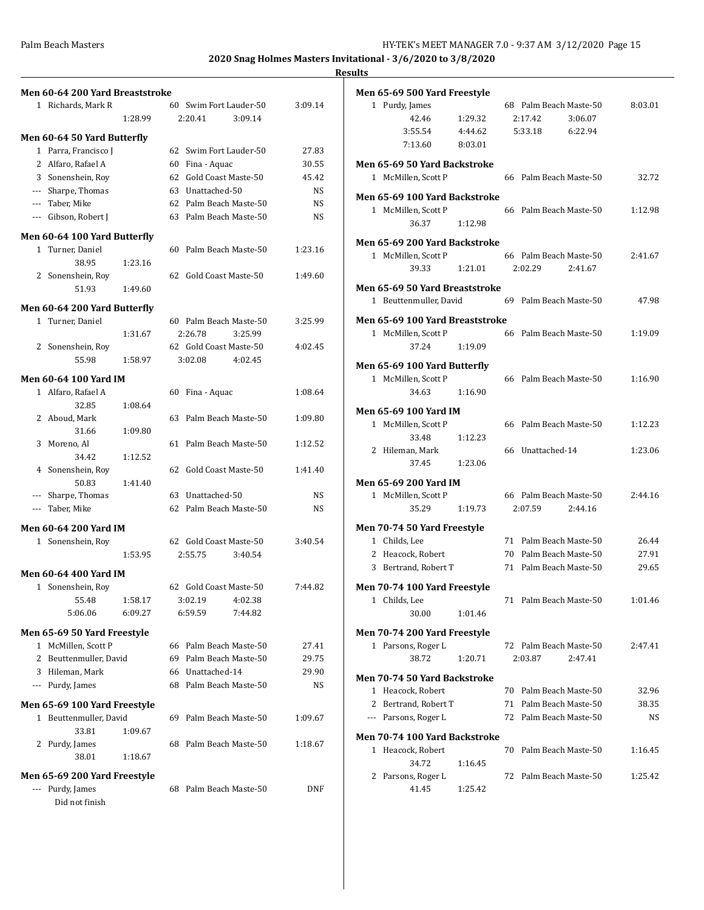|   | Men 60-64 200 Yard Breaststroke |         |     |                        |           |
|---|---------------------------------|---------|-----|------------------------|-----------|
|   | 1 Richards, Mark R              |         |     | 60 Swim Fort Lauder-50 | 3:09.14   |
|   |                                 | 1:28.99 |     | 2:20.41<br>3:09.14     |           |
|   | Men 60-64 50 Yard Butterfly     |         |     |                        |           |
|   | 1 Parra, Francisco J            |         |     | 62 Swim Fort Lauder-50 | 27.83     |
|   | 2 Alfaro, Rafael A              |         |     | 60 Fina - Aquac        | 30.55     |
|   | 3 Sonenshein, Roy               |         |     | 62 Gold Coast Maste-50 | 45.42     |
|   | --- Sharpe, Thomas              |         |     | 63 Unattached-50       | NS.       |
|   | --- Taber, Mike                 |         |     | 62 Palm Beach Maste-50 | <b>NS</b> |
|   | --- Gibson, Robert J            |         |     | 63 Palm Beach Maste-50 | NS.       |
|   | Men 60-64 100 Yard Butterfly    |         |     |                        |           |
|   | 1 Turner, Daniel                |         |     | 60 Palm Beach Maste-50 | 1:23.16   |
|   | 38.95                           | 1:23.16 |     |                        |           |
|   | 2 Sonenshein, Roy               |         |     | 62 Gold Coast Maste-50 | 1:49.60   |
|   | 51.93                           | 1:49.60 |     |                        |           |
|   | Men 60-64 200 Yard Butterfly    |         |     |                        |           |
|   | 1 Turner, Daniel                |         |     | 60 Palm Beach Maste-50 | 3:25.99   |
|   |                                 | 1:31.67 |     | 2:26.78<br>3:25.99     |           |
|   | 2 Sonenshein, Roy               |         |     | 62 Gold Coast Maste-50 | 4:02.45   |
|   | 55.98                           | 1:58.97 |     | 4:02.45<br>3:02.08     |           |
|   | Men 60-64 100 Yard IM           |         |     |                        |           |
|   | 1 Alfaro, Rafael A              |         | 60  | Fina - Aquac           | 1:08.64   |
|   | 32.85                           | 1:08.64 |     |                        |           |
|   | 2 Aboud, Mark                   |         |     | 63 Palm Beach Maste-50 | 1:09.80   |
|   | 31.66                           | 1:09.80 |     |                        |           |
|   | 3 Moreno, Al                    |         | 61  | Palm Beach Maste-50    | 1:12.52   |
|   | 34.42                           | 1:12.52 |     |                        |           |
|   | 4 Sonenshein, Roy               |         |     | 62 Gold Coast Maste-50 | 1:41.40   |
|   | 50.83                           | 1:41.40 |     |                        |           |
|   | --- Sharpe, Thomas              |         |     | 63 Unattached-50       | NS.       |
|   | --- Taber, Mike                 |         |     | 62 Palm Beach Maste-50 | NS        |
|   |                                 |         |     |                        |           |
|   | Men 60-64 200 Yard IM           |         |     | 62 Gold Coast Maste-50 | 3:40.54   |
|   | 1 Sonenshein, Roy               |         |     |                        |           |
|   |                                 | 1:53.95 |     | 2:55.75<br>3:40.54     |           |
|   | <b>Men 60-64 400 Yard IM</b>    |         |     |                        |           |
| 1 | Sonenshein, Roy                 |         |     | 62 Gold Coast Maste-50 | 7:44.82   |
|   | 55.48                           | 1:58.17 |     | 3:02.19<br>4:02.38     |           |
|   | 5:06.06                         | 6:09.27 |     | 6:59.59<br>7:44.82     |           |
|   | Men 65-69 50 Yard Freestyle     |         |     |                        |           |
|   | 1 McMillen, Scott P             |         |     | 66 Palm Beach Maste-50 | 27.41     |
|   | 2 Beuttenmuller, David          |         |     | 69 Palm Beach Maste-50 | 29.75     |
|   | 3 Hileman, Mark                 |         |     | 66 Unattached-14       | 29.90     |
|   | --- Purdy, James                |         |     | 68 Palm Beach Maste-50 | NS        |
|   | Men 65-69 100 Yard Freestyle    |         |     |                        |           |
|   | 1 Beuttenmuller, David          |         | 69. | Palm Beach Maste-50    | 1:09.67   |
|   | 33.81                           | 1:09.67 |     |                        |           |
|   | 2 Purdy, James                  |         | 68  | Palm Beach Maste-50    | 1:18.67   |
|   | 38.01                           | 1:18.67 |     |                        |           |
|   |                                 |         |     |                        |           |
|   | Men 65-69 200 Yard Freestyle    |         |     |                        |           |
|   | --- Purdy, James                |         | 68  | Palm Beach Maste-50    | DNF       |
|   | Did not finish                  |         |     |                        |           |

|   | <b>Men 65-69 500 Yard Freestyle</b>       |         |    |                        |         |                |
|---|-------------------------------------------|---------|----|------------------------|---------|----------------|
|   | 1 Purdy, James                            |         |    | 68 Palm Beach Maste-50 |         | 8:03.01        |
|   | 42.46                                     | 1:29.32 |    | 2:17.42                | 3:06.07 |                |
|   | 3:55.54                                   | 4:44.62 |    | 5:33.18                | 6:22.94 |                |
|   | 7:13.60                                   | 8:03.01 |    |                        |         |                |
|   | Men 65-69 50 Yard Backstroke              |         |    |                        |         |                |
|   | 1 McMillen, Scott P                       |         |    | 66 Palm Beach Maste-50 |         | 32.72          |
|   | Men 65-69 100 Yard Backstroke             |         |    |                        |         |                |
|   | 1 McMillen, Scott P                       |         |    | 66 Palm Beach Maste-50 |         | 1:12.98        |
|   | 36.37                                     | 1:12.98 |    |                        |         |                |
|   |                                           |         |    |                        |         |                |
|   | Men 65-69 200 Yard Backstroke             |         |    |                        |         |                |
|   | 1 McMillen, Scott P                       |         |    | 66 Palm Beach Maste-50 |         | 2:41.67        |
|   | 39.33                                     | 1:21.01 |    | 2:02.29                | 2:41.67 |                |
|   | Men 65-69 50 Yard Breaststroke            |         |    |                        |         |                |
|   | 1 Beuttenmuller, David                    |         |    | 69 Palm Beach Maste-50 |         | 47.98          |
|   | Men 65-69 100 Yard Breaststroke           |         |    |                        |         |                |
|   | 1 McMillen, Scott P                       |         |    | 66 Palm Beach Maste-50 |         | 1:19.09        |
|   | 37.24                                     | 1:19.09 |    |                        |         |                |
|   |                                           |         |    |                        |         |                |
|   | Men 65-69 100 Yard Butterfly              |         |    |                        |         |                |
|   | 1 McMillen, Scott P                       |         |    | 66 Palm Beach Maste-50 |         | 1:16.90        |
|   | 34.63                                     | 1:16.90 |    |                        |         |                |
|   | Men 65-69 100 Yard IM                     |         |    |                        |         |                |
|   | 1 McMillen, Scott P                       |         |    | 66 Palm Beach Maste-50 |         | 1:12.23        |
|   | 33.48                                     | 1:12.23 |    |                        |         |                |
|   | 2 Hileman, Mark                           |         |    | 66 Unattached-14       |         | 1:23.06        |
|   | 37.45                                     | 1:23.06 |    |                        |         |                |
|   | Men 65-69 200 Yard IM                     |         |    |                        |         |                |
|   | 1 McMillen, Scott P                       |         |    | 66 Palm Beach Maste-50 |         | 2:44.16        |
|   | 35.29                                     | 1:19.73 |    | 2:07.59                | 2:44.16 |                |
|   |                                           |         |    |                        |         |                |
|   | Men 70-74 50 Yard Freestyle               |         |    |                        |         |                |
|   | 1 Childs, Lee                             |         |    | 71 Palm Beach Maste-50 |         | 26.44          |
|   | 2 Heacock, Robert                         |         |    | 70 Palm Beach Maste-50 |         | 27.91          |
|   | 3 Bertrand, Robert T                      |         |    | 71 Palm Beach Maste-50 |         | 29.65          |
|   | Men 70-74 100 Yard Freestyle              |         |    |                        |         |                |
|   | 1 Childs, Lee                             |         | 71 | Palm Beach Maste-50    |         | 1:01.46        |
|   | 30.00                                     | 1:01.46 |    |                        |         |                |
|   | Men 70-74 200 Yard Freestyle              |         |    |                        |         |                |
|   | 1 Parsons, Roger L                        |         |    | 72 Palm Beach Maste-50 |         | 2:47.41        |
|   | 38.72                                     | 1:20.71 |    | 2:03.87                | 2:47.41 |                |
|   | Men 70-74 50 Yard Backstroke              |         |    |                        |         |                |
|   |                                           |         |    | 70 Palm Beach Maste-50 |         |                |
|   | 1 Heacock, Robert<br>2 Bertrand, Robert T |         | 71 | Palm Beach Maste-50    |         | 32.96<br>38.35 |
|   | --- Parsons, Roger L                      |         |    | 72 Palm Beach Maste-50 |         | NS             |
|   |                                           |         |    |                        |         |                |
|   | Men 70-74 100 Yard Backstroke             |         |    |                        |         |                |
|   | 1 Heacock, Robert                         |         | 70 | Palm Beach Maste-50    |         | 1:16.45        |
|   | 34.72                                     | 1:16.45 |    |                        |         |                |
| 2 | Parsons, Roger L                          |         |    | 72 Palm Beach Maste-50 |         | 1:25.42        |
|   | 41.45                                     | 1:25.42 |    |                        |         |                |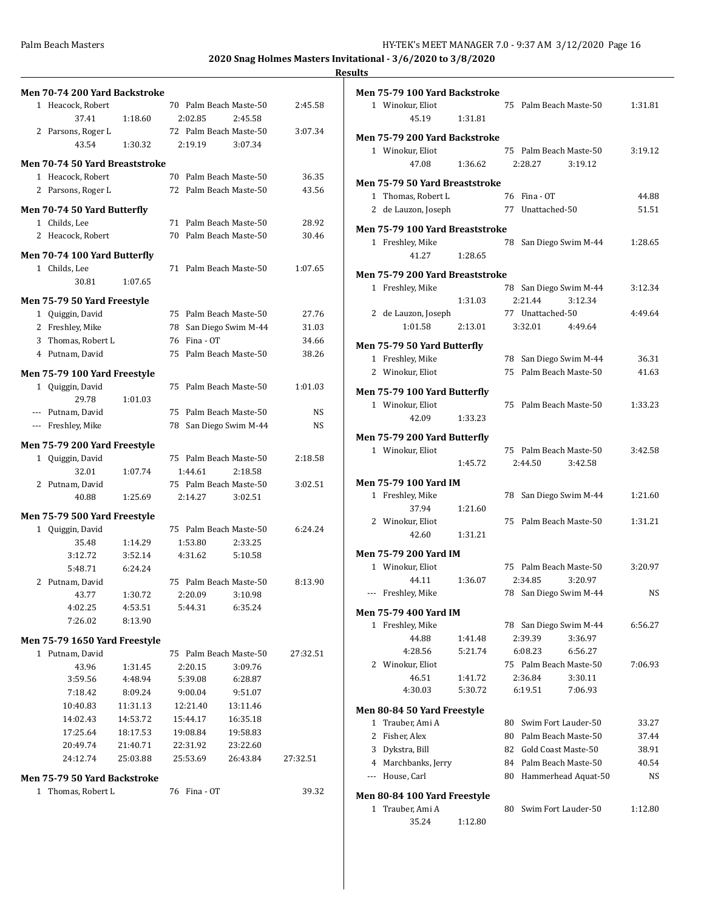|                                        |                      |                      |                        |                | <b>Results</b> |
|----------------------------------------|----------------------|----------------------|------------------------|----------------|----------------|
| Men 70-74 200 Yard Backstroke          |                      |                      |                        |                | Mei            |
| 1 Heacock, Robert                      |                      |                      | 70 Palm Beach Maste-50 | 2:45.58        |                |
| 37.41                                  | 1:18.60              | 2:02.85              | 2:45.58                |                |                |
| 2 Parsons, Roger L                     |                      |                      | 72 Palm Beach Maste-50 | 3:07.34        | Mei            |
| 43.54                                  | 1:30.32              | 2:19.19              | 3:07.34                |                |                |
| Men 70-74 50 Yard Breaststroke         |                      |                      |                        |                |                |
| 1 Heacock, Robert                      |                      |                      | 70 Palm Beach Maste-50 | 36.35          | Mei            |
| 2 Parsons, Roger L                     |                      |                      | 72 Palm Beach Maste-50 | 43.56          |                |
| Men 70-74 50 Yard Butterfly            |                      |                      |                        |                |                |
| 1 Childs, Lee                          |                      |                      | 71 Palm Beach Maste-50 | 28.92          |                |
| 2 Heacock, Robert                      |                      |                      | 70 Palm Beach Maste-50 | 30.46          | Mei            |
| Men 70-74 100 Yard Butterfly           |                      |                      |                        |                |                |
| 1 Childs, Lee                          |                      |                      | 71 Palm Beach Maste-50 | 1:07.65        |                |
| 30.81                                  | 1:07.65              |                      |                        |                | Mei            |
|                                        |                      |                      |                        |                |                |
| Men 75-79 50 Yard Freestyle            |                      |                      |                        |                |                |
| 1 Quiggin, David                       |                      |                      | 75 Palm Beach Maste-50 | 27.76<br>31.03 |                |
| 2 Freshley, Mike<br>3 Thomas, Robert L |                      | 76 Fina - OT         | 78 San Diego Swim M-44 | 34.66          |                |
| 4 Putnam, David                        |                      |                      | 75 Palm Beach Maste-50 | 38.26          | Mei            |
|                                        |                      |                      |                        |                |                |
| Men 75-79 100 Yard Freestyle           |                      |                      |                        |                |                |
| 1 Quiggin, David                       |                      |                      | 75 Palm Beach Maste-50 | 1:01.03        | Mei            |
| 29.78                                  | 1:01.03              |                      |                        |                |                |
| --- Putnam, David                      |                      |                      | 75 Palm Beach Maste-50 | NS             |                |
| --- Freshley, Mike                     |                      |                      | 78 San Diego Swim M-44 | NS             | Mei            |
| Men 75-79 200 Yard Freestyle           |                      |                      |                        |                |                |
| 1 Quiggin, David                       |                      |                      | 75 Palm Beach Maste-50 | 2:18.58        |                |
| 32.01                                  | 1:07.74              | 1:44.61              | 2:18.58                |                |                |
| 2 Putnam, David                        |                      |                      | 75 Palm Beach Maste-50 | 3:02.51        | Mei            |
| 40.88                                  | 1:25.69              | 2:14.27              | 3:02.51                |                |                |
| Men 75-79 500 Yard Freestyle           |                      |                      |                        |                |                |
| 1 Quiggin, David                       |                      |                      | 75 Palm Beach Maste-50 | 6:24.24        |                |
| 35.48                                  | 1:14.29              | 1:53.80              | 2:33.25                |                |                |
| 3:12.72                                | 3:52.14              | 4:31.62              | 5:10.58                |                | Mei            |
| 5:48.71                                | 6:24.24              |                      |                        |                |                |
| 2 Putnam, David                        |                      |                      | 75 Palm Beach Maste-50 | 8:13.90        |                |
| 43.77                                  | 1:30.72              | 2:20.09<br>5:44.31   | 3:10.98<br>6:35.24     |                |                |
| 4:02.25<br>7:26.02                     | 4:53.51<br>8:13.90   |                      |                        |                | Mei            |
|                                        |                      |                      |                        |                |                |
| Men 75-79 1650 Yard Freestyle          |                      |                      |                        |                |                |
| 1 Putnam, David                        |                      |                      | 75 Palm Beach Maste-50 | 27:32.51       |                |
| 43.96                                  | 1:31.45              | 2:20.15              | 3:09.76                |                |                |
| 3:59.56                                | 4:48.94              | 5:39.08              | 6:28.87                |                |                |
| 7:18.42                                | 8:09.24              | 9:00.04              | 9:51.07                |                |                |
| 10:40.83                               | 11:31.13             | 12:21.40             | 13:11.46               |                | Mei            |
| 14:02.43<br>17:25.64                   | 14:53.72<br>18:17.53 | 15:44.17<br>19:08.84 | 16:35.18<br>19:58.83   |                |                |
| 20:49.74                               | 21:40.71             | 22:31.92             | 23:22.60               |                |                |
| 24:12.74                               | 25:03.88             | 25:53.69             | 26:43.84               | 27:32.51       |                |
|                                        |                      |                      |                        |                |                |
| Men 75-79 50 Yard Backstroke           |                      |                      |                        |                |                |
| 1 Thomas, Robert L                     |                      | 76 Fina - OT         |                        | 39.32          | Mei            |
|                                        |                      |                      |                        |                |                |

| πь     |                                                              |         |    |                                                  |         |                |
|--------|--------------------------------------------------------------|---------|----|--------------------------------------------------|---------|----------------|
|        | Men 75-79 100 Yard Backstroke<br>1 Winokur, Eliot<br>45.19   | 1:31.81 |    | 75 Palm Beach Maste-50                           |         | 1:31.81        |
|        | Men 75-79 200 Yard Backstroke<br>1 Winokur, Eliot<br>47.08   | 1:36.62 |    | 75 Palm Beach Maste-50<br>2:28.27                | 3:19.12 | 3:19.12        |
|        | Men 75-79 50 Yard Breaststroke<br>1 Thomas, Robert L         |         |    | 76 Fina - OT                                     |         | 44.88          |
|        | 2 de Lauzon, Joseph                                          |         |    | 77 Unattached-50                                 |         | 51.51          |
|        | Men 75-79 100 Yard Breaststroke<br>1 Freshley, Mike<br>41.27 | 1:28.65 |    | 78 San Diego Swim M-44                           |         | 1:28.65        |
|        | Men 75-79 200 Yard Breaststroke                              |         |    |                                                  |         |                |
|        | 1 Freshley, Mike                                             | 1:31.03 |    | 78 San Diego Swim M-44<br>2:21.44                | 3:12.34 | 3:12.34        |
|        | 2 de Lauzon, Joseph<br>1:01.58                               | 2:13.01 |    | 77 Unattached-50<br>3:32.01                      | 4:49.64 | 4:49.64        |
|        | Men 75-79 50 Yard Butterfly                                  |         |    |                                                  |         |                |
|        | 1 Freshley, Mike                                             |         |    | 78 San Diego Swim M-44                           |         | 36.31          |
|        | 2 Winokur, Eliot                                             |         |    | 75 Palm Beach Maste-50                           |         | 41.63          |
|        | Men 75-79 100 Yard Butterfly                                 |         |    |                                                  |         |                |
|        | 1 Winokur, Eliot<br>42.09                                    | 1:33.23 |    | 75 Palm Beach Maste-50                           |         | 1:33.23        |
|        | Men 75-79 200 Yard Butterfly                                 |         |    |                                                  |         |                |
|        | 1 Winokur, Eliot                                             | 1:45.72 |    | 75 Palm Beach Maste-50<br>2:44.50                | 3:42.58 | 3:42.58        |
|        | Men 75-79 100 Yard IM                                        |         |    |                                                  |         |                |
|        | 1 Freshley, Mike                                             |         |    | 78 San Diego Swim M-44                           |         | 1:21.60        |
|        | 37.94                                                        | 1:21.60 |    |                                                  |         |                |
|        | 2 Winokur, Eliot<br>42.60                                    | 1:31.21 |    | 75 Palm Beach Maste-50                           |         | 1:31.21        |
|        |                                                              |         |    |                                                  |         |                |
|        | Men 75-79 200 Yard IM                                        |         |    | 75 Palm Beach Maste-50                           |         |                |
|        | 1 Winokur, Eliot<br>44.11                                    | 1:36.07 |    | 2:34.85                                          | 3:20.97 | 3:20.97        |
| ---    | Freshley, Mike                                               |         |    | 78 San Diego Swim M-44                           |         | NS             |
|        | Men 75-79 400 Yard IM                                        |         |    |                                                  |         |                |
|        | 1 Freshley, Mike                                             |         |    | 78 San Diego Swim M-44                           |         | 6:56.27        |
|        | 44.88                                                        | 1:41.48 |    | 2:39.39                                          | 3:36.97 |                |
|        | 4:28.56                                                      | 5:21.74 |    | 6:08.23                                          | 6:56.27 |                |
| 2      | Winokur, Eliot                                               |         |    | 75 Palm Beach Maste-50                           |         | 7:06.93        |
|        | 46.51                                                        | 1:41.72 |    | 2:36.84                                          | 3:30.11 |                |
|        | 4:30.03                                                      | 5:30.72 |    | 6:19.51                                          | 7:06.93 |                |
|        | Men 80-84 50 Yard Freestyle                                  |         |    |                                                  |         |                |
| 1      | Trauber, Ami A                                               |         | 80 | Swim Fort Lauder-50                              |         | 33.27          |
| 2<br>3 | Fisher, Alex<br>Dykstra, Bill                                |         |    | 80 Palm Beach Maste-50<br>82 Gold Coast Maste-50 |         | 37.44          |
|        | 4 Marchbanks, Jerry                                          |         |    | 84 Palm Beach Maste-50                           |         | 38.91<br>40.54 |
|        | --- House, Carl                                              |         |    | 80 Hammerhead Aquat-50                           |         | NS             |
|        |                                                              |         |    |                                                  |         |                |
| $1\,$  | <b>Men 80-84 100 Yard Freestyle</b><br>Trauber, Ami A        |         |    | 80 Swim Fort Lauder-50                           |         | 1:12.80        |
|        | 35.24                                                        | 1:12.80 |    |                                                  |         |                |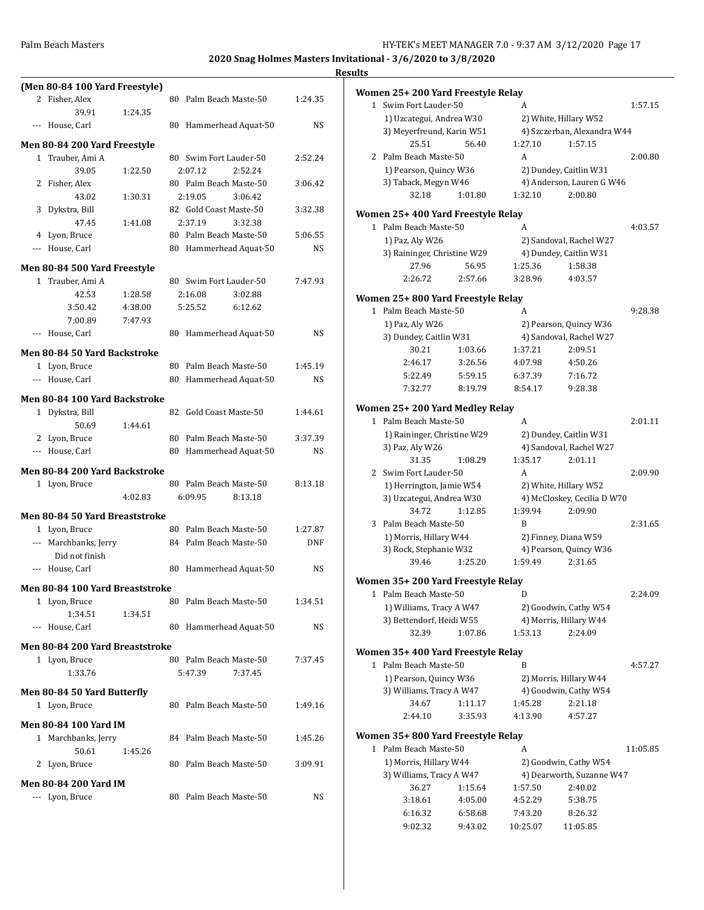|                                       |         |    |                        |                        |            | <b>Results</b> |
|---------------------------------------|---------|----|------------------------|------------------------|------------|----------------|
| (Men 80-84 100 Yard Freestyle)        |         |    |                        |                        |            | Wo             |
| 2 Fisher, Alex                        |         |    |                        | 80 Palm Beach Maste-50 | 1:24.35    |                |
| 39.91                                 | 1:24.35 |    |                        |                        |            |                |
| --- House, Carl                       |         |    |                        | 80 Hammerhead Aquat-50 | NS         |                |
| Men 80-84 200 Yard Freestyle          |         |    |                        |                        |            |                |
| 1 Trauber, Ami A                      |         |    | 80 Swim Fort Lauder-50 |                        | 2:52.24    |                |
| 39.05                                 | 1:22.50 |    | 2:07.12                | 2:52.24                |            |                |
| 2 Fisher, Alex                        |         |    |                        | 80 Palm Beach Maste-50 | 3:06.42    |                |
| 43.02                                 | 1:30.31 |    | 2:19.05                | 3:06.42                |            |                |
| 3 Dykstra, Bill                       |         |    | 82 Gold Coast Maste-50 |                        | 3:32.38    | Wo             |
| 47.45                                 | 1:41.08 |    | 2:37.19                | 3:32.38                |            |                |
| 4 Lyon, Bruce                         |         |    |                        | 80 Palm Beach Maste-50 | 5:06.55    |                |
| --- House, Carl                       |         |    |                        | 80 Hammerhead Aquat-50 | NS         |                |
| Men 80-84 500 Yard Freestyle          |         |    |                        |                        |            |                |
| 1 Trauber, Ami A                      |         |    | 80 Swim Fort Lauder-50 |                        | 7:47.93    |                |
| 42.53                                 | 1:28.58 |    | 2:16.08                | 3:02.88                |            |                |
| 3:50.42                               | 4:38.00 |    | 5:25.52                | 6:12.62                |            | Wo             |
| 7:00.89                               | 7:47.93 |    |                        |                        |            |                |
| --- House, Carl                       |         |    |                        | 80 Hammerhead Aquat-50 | NS         |                |
|                                       |         |    |                        |                        |            |                |
| <b>Men 80-84 50 Yard Backstroke</b>   |         |    |                        |                        |            |                |
| 1 Lyon, Bruce                         |         |    |                        | 80 Palm Beach Maste-50 | 1:45.19    |                |
| --- House, Carl                       |         |    |                        | 80 Hammerhead Aquat-50 | NS         |                |
| Men 80-84 100 Yard Backstroke         |         |    |                        |                        |            |                |
| 1 Dykstra, Bill                       |         |    | 82 Gold Coast Maste-50 |                        | 1:44.61    | Wo             |
| 50.69                                 | 1:44.61 |    |                        |                        |            |                |
| 2 Lyon, Bruce                         |         |    |                        | 80 Palm Beach Maste-50 | 3:37.39    |                |
| --- House, Carl                       |         |    |                        | 80 Hammerhead Aquat-50 | NS         |                |
|                                       |         |    |                        |                        |            |                |
| Men 80-84 200 Yard Backstroke         |         |    |                        |                        |            |                |
| 1 Lyon, Bruce                         |         |    |                        | 80 Palm Beach Maste-50 | 8:13.18    |                |
|                                       | 4:02.83 |    | 6:09.95                | 8:13.18                |            |                |
| <b>Men 80-84 50 Yard Breaststroke</b> |         |    |                        |                        |            |                |
| 1 Lyon, Bruce                         |         |    |                        | 80 Palm Beach Maste-50 | 1:27.87    |                |
| --- Marchbanks, Jerry                 |         |    |                        | 84 Palm Beach Maste-50 | <b>DNF</b> |                |
| Did not finish                        |         |    |                        |                        |            |                |
| --- House, Carl                       |         |    |                        | 80 Hammerhead Aquat-50 | NS         |                |
| Men 80-84 100 Yard Breaststroke       |         |    |                        |                        |            | Wo             |
| 1 Lyon, Bruce                         |         |    |                        | 80 Palm Beach Maste-50 | 1:34.51    |                |
| 1:34.51                               | 1:34.51 |    |                        |                        |            |                |
| --- House, Carl                       |         |    |                        | 80 Hammerhead Aquat-50 | NS         |                |
|                                       |         |    |                        |                        |            |                |
| Men 80-84 200 Yard Breaststroke       |         |    |                        |                        |            | Wo             |
| 1 Lyon, Bruce                         |         |    |                        | 80 Palm Beach Maste-50 | 7:37.45    |                |
| 1:33.76                               |         |    | 5:47.39                | 7:37.45                |            |                |
| Men 80-84 50 Yard Butterfly           |         |    |                        |                        |            |                |
| 1 Lyon, Bruce                         |         |    |                        | 80 Palm Beach Maste-50 | 1:49.16    |                |
|                                       |         |    |                        |                        |            |                |
| <b>Men 80-84 100 Yard IM</b>          |         |    |                        |                        |            | Wo             |
| 1 Marchbanks, Jerry                   |         | 84 |                        | Palm Beach Maste-50    | 1:45.26    |                |
| 50.61                                 | 1:45.26 |    |                        |                        |            |                |
| 2 Lyon, Bruce                         |         |    |                        | 80 Palm Beach Maste-50 | 3:09.91    |                |
| Men 80-84 200 Yard IM                 |         |    |                        |                        |            |                |
| --- Lyon, Bruce                       |         |    |                        | 80 Palm Beach Maste-50 | NS         |                |
|                                       |         |    |                        |                        |            |                |

|              | Women 25+ 200 Yard Freestyle Relay                        |                    |                       |                                   |          |
|--------------|-----------------------------------------------------------|--------------------|-----------------------|-----------------------------------|----------|
|              | Swim Fort Lauder-50<br>$\mathbf{1}$                       |                    | A                     |                                   | 1:57.15  |
|              | 1) Uzcategui, Andrea W30                                  |                    |                       | 2) White, Hillary W52             |          |
|              | 3) Meyerfreund, Karin W51                                 |                    |                       | 4) Szczerban, Alexandra W44       |          |
|              | 25.51                                                     | 56.40              | 1:27.10               | 1:57.15                           |          |
|              | 2 Palm Beach Maste-50                                     |                    | A                     |                                   | 2:00.80  |
|              | 1) Pearson, Quincy W36                                    |                    |                       | 2) Dundey, Caitlin W31            |          |
|              | 3) Taback, Megyn W46                                      |                    |                       | 4) Anderson, Lauren G W46         |          |
|              | 32.18                                                     | 1:01.80            | 1:32.10               | 2:00.80                           |          |
|              | Women 25+ 400 Yard Freestyle Relay                        |                    |                       |                                   |          |
|              | 1 Palm Beach Maste-50                                     |                    | A                     |                                   | 4:03.57  |
|              | 1) Paz, Aly W26                                           |                    |                       | 2) Sandoval, Rachel W27           |          |
|              | 3) Raininger, Christine W29                               |                    |                       | 4) Dundey, Caitlin W31            |          |
|              | 27.96                                                     | 56.95              | 1:25.36               | 1:58.38                           |          |
|              | 2:26.72                                                   | 2:57.66            | 3:28.96               | 4:03.57                           |          |
|              |                                                           |                    |                       |                                   |          |
| 1            | Women 25+ 800 Yard Freestyle Relay<br>Palm Beach Maste-50 |                    | A                     |                                   | 9:28.38  |
|              | 1) Paz, Aly W26                                           |                    |                       | 2) Pearson, Quincy W36            |          |
|              | 3) Dundey, Caitlin W31                                    |                    |                       | 4) Sandoval, Rachel W27           |          |
|              | 30.21                                                     | 1:03.66            | 1:37.21               | 2:09.51                           |          |
|              | 2:46.17                                                   | 3:26.56            | 4:07.98               | 4:50.26                           |          |
|              | 5:22.49                                                   | 5:59.15            | 6:37.39               | 7:16.72                           |          |
|              | 7:32.77                                                   | 8:19.79            | 8:54.17               | 9:28.38                           |          |
|              |                                                           |                    |                       |                                   |          |
|              | Women 25+200 Yard Medley Relay                            |                    |                       |                                   |          |
| $\mathbf{1}$ | Palm Beach Maste-50                                       |                    | A                     |                                   | 2:01.11  |
|              | 1) Raininger, Christine W29                               |                    |                       | 2) Dundey, Caitlin W31            |          |
|              | 3) Paz, Aly W26                                           |                    |                       | 4) Sandoval, Rachel W27           |          |
|              | 31.35                                                     | 1:08.29            | 1:35.17               | 2:01.11                           |          |
|              | 2 Swim Fort Lauder-50                                     |                    | A                     |                                   | 2:09.90  |
|              | 1) Herrington, Jamie W54                                  |                    |                       | 2) White, Hillary W52             |          |
|              | 3) Uzcategui, Andrea W30                                  |                    |                       | 4) McCloskey, Cecilia D W70       |          |
|              | 34.72                                                     | 1:12.85            | 1:39.94<br>B          | 2:09.90                           | 2:31.65  |
| 3            | Palm Beach Maste-50<br>1) Morris, Hillary W44             |                    |                       | 2) Finney, Diana W59              |          |
|              | 3) Rock, Stephanie W32                                    |                    |                       | 4) Pearson, Quincy W36            |          |
|              | 39.46                                                     | 1:25.20            | 1:59.49               | 2:31.65                           |          |
|              |                                                           |                    |                       |                                   |          |
|              | Women 35+ 200 Yard Freestyle Relay                        |                    |                       |                                   |          |
| 1            | Palm Beach Maste-50                                       |                    | D                     |                                   | 2:24.09  |
|              | 1) Williams, Tracy A W47                                  |                    |                       | 2) Goodwin, Cathy W54             |          |
|              | 3) Bettendorf, Heidi W55<br>32.39                         | 1:07.86            | 1:53.13               | 4) Morris, Hillary W44<br>2:24.09 |          |
|              |                                                           |                    |                       |                                   |          |
|              | Women 35+ 400 Yard Freestyle Relay                        |                    |                       |                                   |          |
| 1            | Palm Beach Maste-50                                       |                    | B                     |                                   | 4:57.27  |
|              | 1) Pearson, Quincy W36                                    |                    |                       | 2) Morris, Hillary W44            |          |
|              | 3) Williams, Tracy A W47                                  |                    |                       | 4) Goodwin, Cathy W54             |          |
|              | 34.67<br>2:44.10                                          | 1:11.17<br>3:35.93 | 1:45.28<br>4:13.90    | 2:21.18<br>4:57.27                |          |
|              |                                                           |                    |                       |                                   |          |
|              | Women 35+ 800 Yard Freestyle Relay                        |                    |                       |                                   |          |
| 1            | Palm Beach Maste-50                                       |                    | A                     |                                   | 11:05.85 |
|              | 1) Morris, Hillary W44                                    |                    | 2) Goodwin, Cathy W54 |                                   |          |
|              | 3) Williams, Tracy A W47                                  |                    |                       | 4) Dearworth, Suzanne W47         |          |
|              | 36.27                                                     | 1:15.64            | 1:57.50               | 2:40.02                           |          |
|              | 3:18.61                                                   | 4:05.00            | 4:52.29               | 5:38.75                           |          |
|              | 6:16.32                                                   | 6:58.68            | 7:43.20               | 8:26.32                           |          |
|              | 9:02.32                                                   | 9:43.02            | 10:25.07              | 11:05.85                          |          |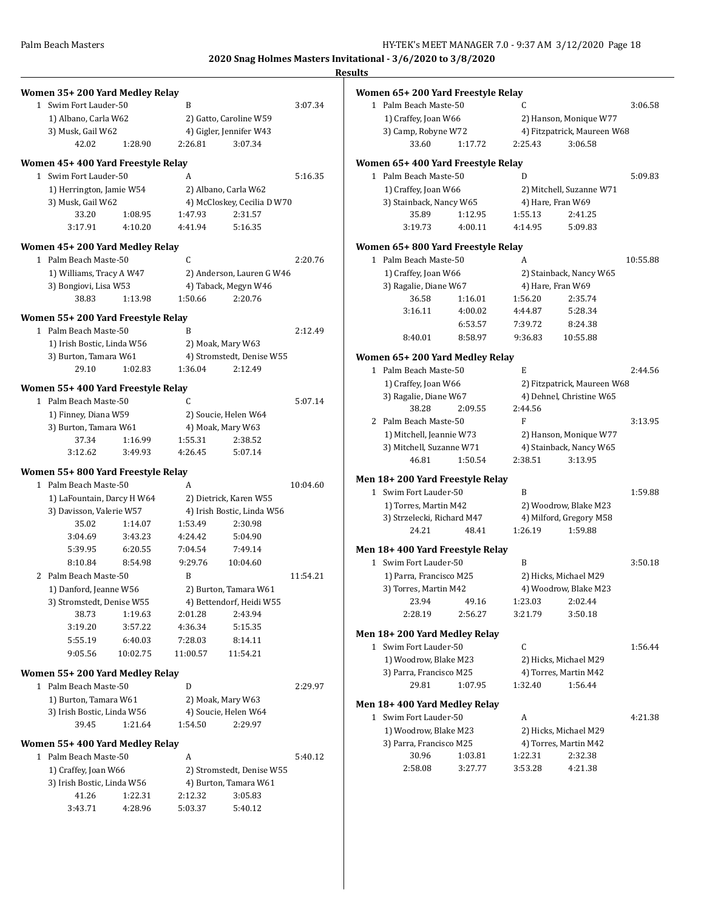| Women 35+200 Yard Medley Relay      |          |              |                                  |          | Women 65+200 Yard Freestyle Relay                        |         |                  |                                                   |                               |
|-------------------------------------|----------|--------------|----------------------------------|----------|----------------------------------------------------------|---------|------------------|---------------------------------------------------|-------------------------------|
| 1 Swim Fort Lauder-50               |          | B            |                                  | 3:07.34  | 1 Palm Beach Maste-50                                    |         | C                |                                                   | 3:06.58                       |
| 1) Albano, Carla W62                |          |              | 2) Gatto, Caroline W59           |          | 1) Craffey, Joan W66                                     |         |                  | 2) Hanson, Monique W77                            |                               |
| 3) Musk, Gail W62                   |          |              | 4) Gigler, Jennifer W43          |          | 3) Camp, Robyne W72                                      |         |                  | 4) Fitzpatrick, Maureen W68                       |                               |
| 42.02                               | 1:28.90  | 2:26.81      | 3:07.34                          |          | 33.60                                                    | 1:17.72 | 2:25.43          | 3:06.58                                           |                               |
|                                     |          |              |                                  |          |                                                          |         |                  |                                                   |                               |
| Women 45+400 Yard Freestyle Relay   |          |              |                                  |          | Women 65+400 Yard Freestyle Relay                        |         |                  |                                                   |                               |
| 1 Swim Fort Lauder-50               |          | A            |                                  | 5:16.35  | 1 Palm Beach Maste-50                                    |         | D                |                                                   | 5:09.83                       |
| 1) Herrington, Jamie W54            |          |              | 2) Albano, Carla W62             |          | 1) Craffey, Joan W66                                     |         |                  | 2) Mitchell, Suzanne W71                          |                               |
| 3) Musk, Gail W62                   |          |              | 4) McCloskey, Cecilia D W70      |          | 3) Stainback, Nancy W65                                  |         |                  | 4) Hare, Fran W69                                 |                               |
| 33.20                               | 1:08.95  | 1:47.93      | 2:31.57                          |          | 35.89                                                    | 1:12.95 | 1:55.13          | 2:41.25                                           |                               |
| 3:17.91                             | 4:10.20  | 4:41.94      | 5:16.35                          |          | 3:19.73                                                  | 4:00.11 | 4:14.95          | 5:09.83                                           |                               |
| Women 45+200 Yard Medley Relay      |          |              |                                  |          | Women 65+800 Yard Freestyle Relay                        |         |                  |                                                   |                               |
| 1 Palm Beach Maste-50               |          | $\mathsf{C}$ |                                  | 2:20.76  | 1 Palm Beach Maste-50                                    |         | A                |                                                   | 10:55.88                      |
| 1) Williams, Tracy A W47            |          |              | 2) Anderson, Lauren G W46        |          | 1) Craffey, Joan W66                                     |         |                  | 2) Stainback, Nancy W65                           |                               |
| 3) Bongiovi, Lisa W53               |          |              | 4) Taback, Megyn W46             |          | 3) Ragalie, Diane W67                                    |         |                  | 4) Hare, Fran W69                                 |                               |
| 38.83                               | 1:13.98  | 1:50.66      | 2:20.76                          |          | 36.58                                                    | 1:16.01 | 1:56.20          | 2:35.74                                           |                               |
| Women 55+200 Yard Freestyle Relay   |          |              |                                  |          | 3:16.11                                                  | 4:00.02 | 4:44.87          | 5:28.34                                           |                               |
| 1 Palm Beach Maste-50               |          | B            |                                  | 2:12.49  |                                                          | 6:53.57 | 7:39.72          | 8:24.38                                           |                               |
| 1) Irish Bostic, Linda W56          |          |              | 2) Moak, Mary W63                |          | 8:40.01                                                  | 8:58.97 | 9:36.83          | 10:55.88                                          |                               |
| 3) Burton, Tamara W61               |          |              | 4) Stromstedt, Denise W55        |          |                                                          |         |                  |                                                   |                               |
| 29.10                               | 1:02.83  | 1:36.04      | 2:12.49                          |          | Women 65+200 Yard Medley Relay<br>1 Palm Beach Maste-50  |         | E                |                                                   |                               |
|                                     |          |              |                                  |          |                                                          |         |                  |                                                   | 2:44.56                       |
| Women 55+400 Yard Freestyle Relay   |          |              |                                  |          | 1) Craffey, Joan W66                                     |         |                  | 2) Fitzpatrick, Maureen W68                       |                               |
| 1 Palm Beach Maste-50               |          | $\mathsf{C}$ |                                  | 5:07.14  | 3) Ragalie, Diane W67<br>38.28                           |         |                  | 4) Dehnel, Christine W65                          |                               |
| 1) Finney, Diana W59                |          |              | 2) Soucie, Helen W64             |          | 2 Palm Beach Maste-50                                    | 2:09.55 | 2:44.56<br>F     |                                                   | 3:13.95                       |
| 3) Burton, Tamara W61               |          |              | 4) Moak, Mary W63                |          |                                                          |         |                  |                                                   |                               |
| 37.34                               | 1:16.99  | 1:55.31      | 2:38.52                          |          | 1) Mitchell, Jeannie W73<br>3) Mitchell, Suzanne W71     |         |                  | 2) Hanson, Monique W77<br>4) Stainback, Nancy W65 |                               |
| 3:12.62                             | 3:49.93  | 4:26.45      | 5:07.14                          |          | 46.81                                                    | 1:50.54 | 2:38.51          | 3:13.95                                           |                               |
| Women 55+800 Yard Freestyle Relay   |          |              |                                  |          |                                                          |         |                  |                                                   |                               |
| 1 Palm Beach Maste-50               |          | A            |                                  | 10:04.60 | Men 18+200 Yard Freestyle Relay<br>1 Swim Fort Lauder-50 |         | B                |                                                   | 1:59.88                       |
|                                     |          |              |                                  |          |                                                          |         |                  |                                                   |                               |
| 1) LaFountain, Darcy H W64          |          |              | 2) Dietrick, Karen W55           |          |                                                          |         |                  |                                                   |                               |
| 3) Davisson, Valerie W57            |          |              | 4) Irish Bostic, Linda W56       |          | 1) Torres, Martin M42                                    |         |                  | 2) Woodrow, Blake M23                             |                               |
| 35.02                               | 1:14.07  | 1:53.49      | 2:30.98                          |          | 3) Strzelecki, Richard M47                               |         |                  | 4) Milford, Gregory M58                           |                               |
| 3:04.69                             | 3:43.23  | 4:24.42      | 5:04.90                          |          | 24.21                                                    | 48.41   | 1:26.19          | 1:59.88                                           |                               |
| 5:39.95                             | 6:20.55  | 7:04.54      | 7:49.14                          |          | Men 18+400 Yard Freestyle Relay                          |         |                  |                                                   |                               |
| 8:10.84                             | 8:54.98  | 9:29.76      | 10:04.60                         |          | 1 Swim Fort Lauder-50                                    |         | B                |                                                   |                               |
| 2 Palm Beach Maste-50               |          | B            |                                  | 11:54.21 | 1) Parra, Francisco M25                                  |         |                  | 2) Hicks, Michael M29                             |                               |
| 1) Danford, Jeanne W56              |          |              | 2) Burton, Tamara W61            |          | 3) Torres, Martin M42                                    |         |                  | 4) Woodrow, Blake M23                             |                               |
| 3) Stromstedt, Denise W55           |          |              | 4) Bettendorf, Heidi W55         |          | 23.94                                                    | 49.16   | 1:23.03          | 2:02.44                                           |                               |
| 38.73                               | 1:19.63  | 2:01.28      | 2:43.94                          |          | 2:28.19                                                  | 2:56.27 | 3:21.79          | 3:50.18                                           |                               |
| 3:19.20                             | 3:57.22  | 4:36.34      | 5:15.35                          |          |                                                          |         |                  |                                                   |                               |
| 5:55.19                             | 6:40.03  | 7:28.03      | 8:14.11                          |          | Men 18+200 Yard Medley Relay                             |         |                  |                                                   |                               |
| 9:05.56                             | 10:02.75 | 11:00.57     | 11:54.21                         |          | 1 Swim Fort Lauder-50                                    |         | $\mathsf C$      |                                                   |                               |
|                                     |          |              |                                  |          | 1) Woodrow, Blake M23                                    |         |                  | 2) Hicks, Michael M29                             |                               |
| Women 55+200 Yard Medley Relay      |          |              |                                  |          | 3) Parra, Francisco M25                                  |         |                  | 4) Torres, Martin M42                             |                               |
| 1 Palm Beach Maste-50               |          | D            |                                  | 2:29.97  | 29.81                                                    | 1:07.95 | 1:32.40          | 1:56.44                                           |                               |
| 1) Burton, Tamara W61               |          |              | 2) Moak, Mary W63                |          | Men 18+400 Yard Medley Relay                             |         |                  |                                                   |                               |
| 3) Irish Bostic, Linda W56          |          |              | 4) Soucie, Helen W64             |          | 1 Swim Fort Lauder-50                                    |         | $\boldsymbol{A}$ |                                                   |                               |
| 39.45                               | 1:21.64  | 1:54.50      | 2:29.97                          |          | 1) Woodrow, Blake M23                                    |         |                  | 2) Hicks, Michael M29                             |                               |
| Women 55+400 Yard Medley Relay      |          |              |                                  |          | 3) Parra, Francisco M25                                  |         |                  | 4) Torres, Martin M42                             |                               |
| 1 Palm Beach Maste-50               |          | A            |                                  | 5:40.12  | 30.96                                                    | 1:03.81 | 1:22.31          | 2:32.38                                           |                               |
| 1) Craffey, Joan W66                |          |              | 2) Stromstedt, Denise W55        |          | 2:58.08                                                  | 3:27.77 | 3:53.28          | 4:21.38                                           |                               |
|                                     |          |              |                                  |          |                                                          |         |                  |                                                   |                               |
| 3) Irish Bostic, Linda W56<br>41.26 | 1:22.31  | 2:12.32      | 4) Burton, Tamara W61<br>3:05.83 |          |                                                          |         |                  |                                                   | 3:50.18<br>1:56.44<br>4:21.38 |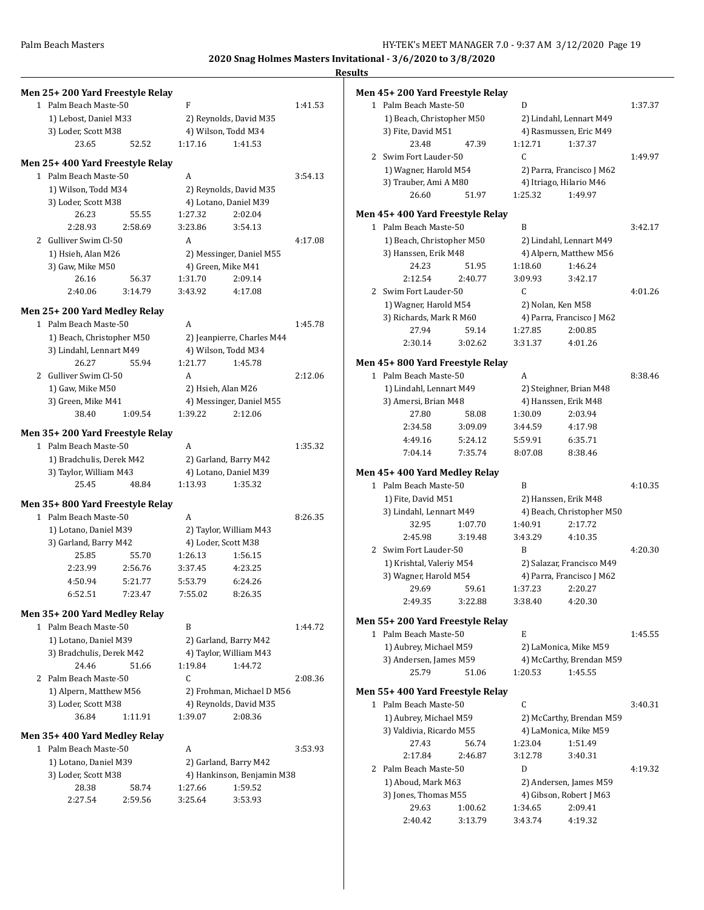| Men 25+200 Yard Freestyle Relay               |         |         |                                                 |         | Men 45+200 Yard Freestyle Relay  |         |              |                           |         |
|-----------------------------------------------|---------|---------|-------------------------------------------------|---------|----------------------------------|---------|--------------|---------------------------|---------|
| 1 Palm Beach Maste-50                         |         | F       |                                                 | 1:41.53 | 1 Palm Beach Maste-50            |         | D            |                           | 1:37.37 |
| 1) Lebost, Daniel M33                         |         |         | 2) Reynolds, David M35                          |         | 1) Beach, Christopher M50        |         |              | 2) Lindahl, Lennart M49   |         |
| 3) Loder, Scott M38                           |         |         | 4) Wilson, Todd M34                             |         | 3) Fite, David M51               |         |              | 4) Rasmussen, Eric M49    |         |
| 23.65                                         | 52.52   | 1:17.16 | 1:41.53                                         |         | 23.48                            | 47.39   | 1:12.71      | 1:37.37                   |         |
|                                               |         |         |                                                 |         | 2 Swim Fort Lauder-50            |         | $\mathsf{C}$ |                           | 1:49.97 |
| Men 25+400 Yard Freestyle Relay               |         |         |                                                 |         | 1) Wagner, Harold M54            |         |              | 2) Parra, Francisco J M62 |         |
| 1 Palm Beach Maste-50                         |         | A       |                                                 | 3:54.13 | 3) Trauber, Ami A M80            |         |              | 4) Itriago, Hilario M46   |         |
| 1) Wilson, Todd M34                           |         |         | 2) Reynolds, David M35                          |         | 26.60                            | 51.97   | 1:25.32      | 1:49.97                   |         |
| 3) Loder, Scott M38                           |         |         | 4) Lotano, Daniel M39                           |         |                                  |         |              |                           |         |
| 26.23                                         | 55.55   | 1:27.32 | 2:02.04                                         |         | Men 45+ 400 Yard Freestyle Relay |         |              |                           |         |
| 2:28.93                                       | 2:58.69 | 3:23.86 | 3:54.13                                         |         | 1 Palm Beach Maste-50            |         | B            |                           | 3:42.17 |
| 2 Gulliver Swim Cl-50                         |         | A       |                                                 | 4:17.08 | 1) Beach, Christopher M50        |         |              | 2) Lindahl, Lennart M49   |         |
| 1) Hsieh, Alan M26                            |         |         | 2) Messinger, Daniel M55                        |         | 3) Hanssen, Erik M48             |         |              | 4) Alpern, Matthew M56    |         |
| 3) Gaw, Mike M50                              |         |         | 4) Green, Mike M41                              |         | 24.23                            | 51.95   | 1:18.60      | 1:46.24                   |         |
| 26.16                                         | 56.37   | 1:31.70 | 2:09.14                                         |         | 2:12.54                          | 2:40.77 | 3:09.93      | 3:42.17                   |         |
| 2:40.06                                       | 3:14.79 | 3:43.92 | 4:17.08                                         |         | 2 Swim Fort Lauder-50            |         | C            |                           | 4:01.26 |
|                                               |         |         |                                                 |         | 1) Wagner, Harold M54            |         |              | 2) Nolan, Ken M58         |         |
| Men 25+200 Yard Medley Relay                  |         |         |                                                 |         | 3) Richards, Mark R M60          |         |              | 4) Parra, Francisco J M62 |         |
| 1 Palm Beach Maste-50                         |         | А       |                                                 | 1:45.78 | 27.94                            | 59.14   | 1:27.85      | 2:00.85                   |         |
| 1) Beach, Christopher M50                     |         |         | 2) Jeanpierre, Charles M44                      |         | 2:30.14                          | 3:02.62 | 3:31.37      | 4:01.26                   |         |
| 3) Lindahl, Lennart M49                       |         |         | 4) Wilson, Todd M34                             |         |                                  |         |              |                           |         |
| 26.27                                         | 55.94   | 1:21.77 | 1:45.78                                         |         | Men 45+800 Yard Freestyle Relay  |         |              |                           |         |
| 2 Gulliver Swim Cl-50                         |         | A       |                                                 | 2:12.06 | 1 Palm Beach Maste-50            |         | A            |                           | 8:38.46 |
| 1) Gaw, Mike M50                              |         |         | 2) Hsieh, Alan M26                              |         | 1) Lindahl, Lennart M49          |         |              | 2) Steighner, Brian M48   |         |
| 3) Green, Mike M41                            |         |         | 4) Messinger, Daniel M55                        |         | 3) Amersi, Brian M48             |         |              | 4) Hanssen, Erik M48      |         |
| 38.40                                         | 1:09.54 | 1:39.22 | 2:12.06                                         |         | 27.80                            | 58.08   | 1:30.09      | 2:03.94                   |         |
| Men 35+200 Yard Freestyle Relay               |         |         |                                                 |         | 2:34.58                          | 3:09.09 | 3:44.59      | 4:17.98                   |         |
| 1 Palm Beach Maste-50                         |         | A       |                                                 | 1:35.32 | 4:49.16                          | 5:24.12 | 5:59.91      | 6:35.71                   |         |
| 1) Bradchulis, Derek M42                      |         |         | 2) Garland, Barry M42                           |         | 7:04.14                          | 7:35.74 | 8:07.08      | 8:38.46                   |         |
| 3) Taylor, William M43                        |         |         | 4) Lotano, Daniel M39                           |         | Men 45+400 Yard Medley Relay     |         |              |                           |         |
| 25.45                                         | 48.84   | 1:13.93 | 1:35.32                                         |         | 1 Palm Beach Maste-50            |         | B            |                           | 4:10.35 |
|                                               |         |         |                                                 |         | 1) Fite, David M51               |         |              | 2) Hanssen, Erik M48      |         |
| Men 35+800 Yard Freestyle Relay               |         |         |                                                 |         | 3) Lindahl, Lennart M49          |         |              | 4) Beach, Christopher M50 |         |
| 1 Palm Beach Maste-50                         |         | A       |                                                 | 8:26.35 | 32.95                            | 1:07.70 | 1:40.91      | 2:17.72                   |         |
| 1) Lotano, Daniel M39                         |         |         | 2) Taylor, William M43                          |         | 2:45.98                          | 3:19.48 | 3:43.29      | 4:10.35                   |         |
| 3) Garland, Barry M42                         |         |         | 4) Loder, Scott M38                             |         | 2 Swim Fort Lauder-50            |         | B            |                           | 4:20.30 |
| 25.85                                         | 55.70   | 1:26.13 | 1:56.15                                         |         | 1) Krishtal, Valeriy M54         |         |              | 2) Salazar, Francisco M49 |         |
| 2:23.99                                       | 2:56.76 | 3:37.45 | 4:23.25                                         |         | 3) Wagner, Harold M54            |         |              | 4) Parra, Francisco J M62 |         |
| 4:50.94                                       | 5:21.77 | 5:53.79 | 6:24.26                                         |         | 29.69                            | 59.61   | 1:37.23      | 2:20.27                   |         |
| 6:52.51                                       | 7:23.47 | 7:55.02 | 8:26.35                                         |         |                                  |         |              |                           |         |
| Men 35+200 Yard Medley Relay                  |         |         |                                                 |         | 2:49.35                          | 3:22.88 | 3:38.40      | 4:20.30                   |         |
| 1 Palm Beach Maste-50                         |         | B       |                                                 | 1:44.72 | Men 55+200 Yard Freestyle Relay  |         |              |                           |         |
| 1) Lotano, Daniel M39                         |         |         |                                                 |         | 1 Palm Beach Maste-50            |         | E            |                           | 1:45.55 |
| 3) Bradchulis, Derek M42                      |         |         | 2) Garland, Barry M42<br>4) Taylor, William M43 |         | 1) Aubrey, Michael M59           |         |              | 2) LaMonica, Mike M59     |         |
|                                               |         | 1:19.84 |                                                 |         | 3) Andersen, James M59           |         |              | 4) McCarthy, Brendan M59  |         |
| 24.46<br>2 Palm Beach Maste-50                | 51.66   | C       | 1:44.72                                         | 2:08.36 | 25.79                            | 51.06   | 1:20.53      | 1:45.55                   |         |
|                                               |         |         |                                                 |         |                                  |         |              |                           |         |
| 1) Alpern, Matthew M56<br>3) Loder, Scott M38 |         |         | 2) Frohman, Michael D M56                       |         | Men 55+400 Yard Freestyle Relay  |         |              |                           |         |
| 36.84                                         | 1:11.91 |         | 4) Reynolds, David M35<br>2:08.36               |         | 1 Palm Beach Maste-50            |         | C            |                           | 3:40.31 |
|                                               |         | 1:39.07 |                                                 |         | 1) Aubrey, Michael M59           |         |              | 2) McCarthy, Brendan M59  |         |
| Men 35+400 Yard Medley Relay                  |         |         |                                                 |         | 3) Valdivia, Ricardo M55         |         |              | 4) LaMonica, Mike M59     |         |
| 1 Palm Beach Maste-50                         |         | A       |                                                 | 3:53.93 | 27.43                            | 56.74   | 1:23.04      | 1:51.49                   |         |
| 1) Lotano, Daniel M39                         |         |         | 2) Garland, Barry M42                           |         | 2:17.84                          | 2:46.87 | 3:12.78      | 3:40.31                   |         |
| 3) Loder, Scott M38                           |         |         | 4) Hankinson, Benjamin M38                      |         | 2 Palm Beach Maste-50            |         | D            |                           | 4:19.32 |
| 28.38                                         | 58.74   | 1:27.66 | 1:59.52                                         |         | 1) Aboud, Mark M63               |         |              | 2) Andersen, James M59    |         |
| 2:27.54                                       | 2:59.56 | 3:25.64 | 3:53.93                                         |         | 3) Jones, Thomas M55             |         |              | 4) Gibson, Robert J M63   |         |
|                                               |         |         |                                                 |         | 29.63                            | 1:00.62 | 1:34.65      | 2:09.41                   |         |
|                                               |         |         |                                                 |         | 2:40.42                          | 3:13.79 | 3:43.74      | 4:19.32                   |         |
|                                               |         |         |                                                 |         |                                  |         |              |                           |         |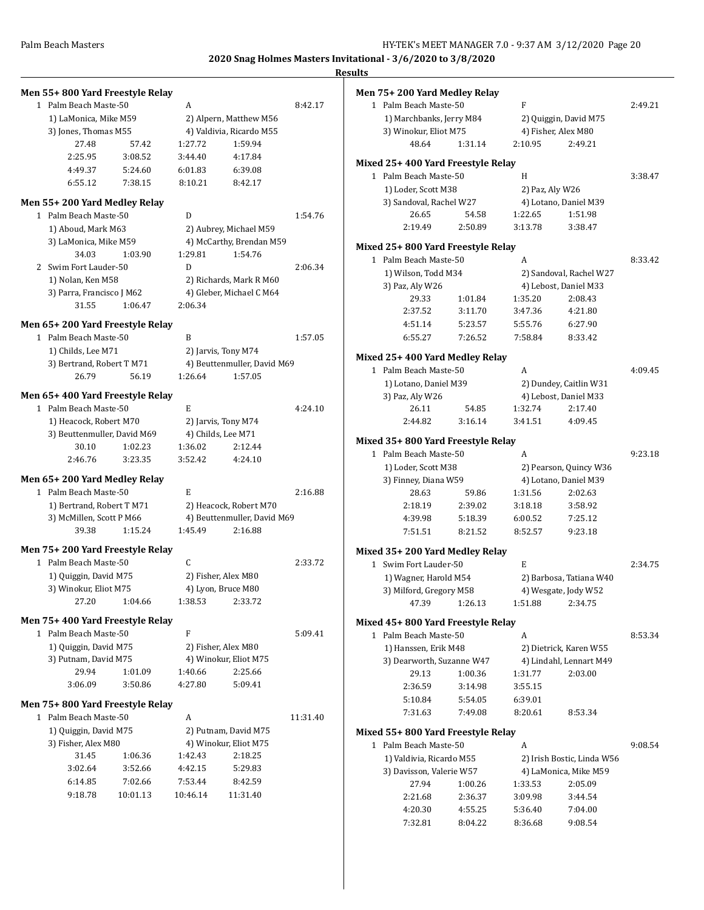| Men 55+800 Yard Freestyle Relay    |          |              |                                                    |          | Men 75+200 Yard Medley Relay      |         |                 |                        |
|------------------------------------|----------|--------------|----------------------------------------------------|----------|-----------------------------------|---------|-----------------|------------------------|
| 1 Palm Beach Maste-50              |          | A            |                                                    | 8:42.17  | 1 Palm Beach Maste-50             |         | F               |                        |
| 1) LaMonica, Mike M59              |          |              | 2) Alpern, Matthew M56                             |          | 1) Marchbanks, Jerry M84          |         |                 | 2) Quiggin, David M7   |
| 3) Jones, Thomas M55               |          |              | 4) Valdivia, Ricardo M55                           |          | 3) Winokur, Eliot M75             |         |                 | 4) Fisher, Alex M80    |
| 27.48                              | 57.42    | 1:27.72      | 1:59.94                                            |          | 48.64                             | 1:31.14 | 2:10.95         | 2:49.21                |
| 2:25.95                            | 3:08.52  | 3:44.40      | 4:17.84                                            |          |                                   |         |                 |                        |
| 4:49.37                            | 5:24.60  | 6:01.83      | 6:39.08                                            |          | Mixed 25+400 Yard Freestyle Relay |         |                 |                        |
| 6:55.12                            | 7:38.15  | 8:10.21      | 8:42.17                                            |          | 1 Palm Beach Maste-50             |         | H               |                        |
|                                    |          |              |                                                    |          | 1) Loder, Scott M38               |         | 2) Paz, Aly W26 |                        |
| Men 55+200 Yard Medley Relay       |          |              |                                                    |          | 3) Sandoval, Rachel W27           |         |                 | 4) Lotano, Daniel M3   |
| 1 Palm Beach Maste-50              |          | D            |                                                    | 1:54.76  | 26.65                             | 54.58   | 1:22.65         | 1:51.98                |
| 1) Aboud, Mark M63                 |          |              | 2) Aubrey, Michael M59                             |          | 2:19.49                           | 2:50.89 | 3:13.78         | 3:38.47                |
| 3) LaMonica, Mike M59              |          |              | 4) McCarthy, Brendan M59                           |          | Mixed 25+800 Yard Freestyle Relay |         |                 |                        |
| 34.03                              | 1:03.90  | 1:29.81      | 1:54.76                                            |          | 1 Palm Beach Maste-50             |         | A               |                        |
| 2 Swim Fort Lauder-50              |          | D            |                                                    | 2:06.34  | 1) Wilson, Todd M34               |         |                 | 2) Sandoval, Rachel V  |
| 1) Nolan, Ken M58                  |          |              | 2) Richards, Mark R M60                            |          | 3) Paz, Aly W26                   |         |                 | 4) Lebost, Daniel M3   |
| 3) Parra, Francisco J M62          |          |              | 4) Gleber, Michael C M64                           |          | 29.33                             | 1:01.84 | 1:35.20         | 2:08.43                |
| 31.55                              | 1:06.47  | 2:06.34      |                                                    |          | 2:37.52                           | 3:11.70 | 3:47.36         | 4:21.80                |
| Men 65+200 Yard Freestyle Relay    |          |              |                                                    |          | 4:51.14                           | 5:23.57 | 5:55.76         | 6:27.90                |
| 1 Palm Beach Maste-50              |          | B            |                                                    | 1:57.05  | 6:55.27                           | 7:26.52 | 7:58.84         | 8:33.42                |
|                                    |          |              |                                                    |          |                                   |         |                 |                        |
| 1) Childs, Lee M71                 |          |              | 2) Jarvis, Tony M74<br>4) Beuttenmuller, David M69 |          | Mixed 25+400 Yard Medley Relay    |         |                 |                        |
| 3) Bertrand, Robert T M71<br>26.79 | 56.19    | 1:26.64      | 1:57.05                                            |          | 1 Palm Beach Maste-50             |         | A               |                        |
|                                    |          |              |                                                    |          | 1) Lotano, Daniel M39             |         |                 | 2) Dundey, Caitlin W   |
| Men 65+400 Yard Freestyle Relay    |          |              |                                                    |          | 3) Paz, Aly W26                   |         |                 | 4) Lebost, Daniel M3   |
| 1 Palm Beach Maste-50              |          | E            |                                                    | 4:24.10  | 26.11                             | 54.85   | 1:32.74         | 2:17.40                |
| 1) Heacock, Robert M70             |          |              | 2) Jarvis, Tony M74                                |          | 2:44.82                           | 3:16.14 | 3:41.51         | 4:09.45                |
| 3) Beuttenmuller, David M69        |          |              | 4) Childs, Lee M71                                 |          |                                   |         |                 |                        |
| 30.10                              | 1:02.23  | 1:36.02      | 2:12.44                                            |          | Mixed 35+800 Yard Freestyle Relay |         |                 |                        |
| 2:46.76                            | 3:23.35  | 3:52.42      | 4:24.10                                            |          | 1 Palm Beach Maste-50             |         | A               |                        |
|                                    |          |              |                                                    |          | 1) Loder, Scott M38               |         |                 | 2) Pearson, Quincy V   |
| Men 65+200 Yard Medley Relay       |          |              |                                                    |          | 3) Finney, Diana W59              |         |                 | 4) Lotano, Daniel M3   |
| 1 Palm Beach Maste-50              |          | E            |                                                    | 2:16.88  | 28.63                             | 59.86   | 1:31.56         | 2:02.63                |
| 1) Bertrand, Robert T M71          |          |              | 2) Heacock, Robert M70                             |          | 2:18.19                           | 2:39.02 | 3:18.18         | 3:58.92                |
| 3) McMillen, Scott P M66           |          |              | 4) Beuttenmuller, David M69                        |          | 4:39.98                           | 5:18.39 | 6:00.52         | 7:25.12                |
| 39.38                              | 1:15.24  | 1:45.49      | 2:16.88                                            |          | 7:51.51                           | 8:21.52 | 8:52.57         | 9:23.18                |
| Men 75+200 Yard Freestyle Relay    |          |              |                                                    |          | Mixed 35+200 Yard Medley Relay    |         |                 |                        |
| 1 Palm Beach Maste-50              |          | $\mathsf{C}$ |                                                    | 2:33.72  | 1 Swim Fort Lauder-50             |         | E               |                        |
| 1) Quiggin, David M75              |          |              | 2) Fisher, Alex M80                                |          | 1) Wagner, Harold M54             |         |                 | 2) Barbosa, Tatiana V  |
| 3) Winokur, Eliot M75              |          |              | 4) Lyon, Bruce M80                                 |          | 3) Milford, Gregory M58           |         |                 | 4) Wesgate, Jody W5    |
| 27.20                              | 1:04.66  | 1:38.53      | 2:33.72                                            |          | 47.39                             | 1:26.13 | 1:51.88         | 2:34.75                |
|                                    |          |              |                                                    |          |                                   |         |                 |                        |
| Men 75+ 400 Yard Freestyle Relay   |          |              |                                                    |          | Mixed 45+800 Yard Freestyle Relay |         |                 |                        |
| 1 Palm Beach Maste-50              |          | F            |                                                    | 5:09.41  | 1 Palm Beach Maste-50             |         | A               |                        |
| 1) Quiggin, David M75              |          |              | 2) Fisher, Alex M80                                |          | 1) Hanssen, Erik M48              |         |                 | 2) Dietrick, Karen W   |
| 3) Putnam, David M75               |          |              | 4) Winokur, Eliot M75                              |          | 3) Dearworth, Suzanne W47         |         |                 | 4) Lindahl, Lennart N  |
| 29.94                              | 1:01.09  | 1:40.66      | 2:25.66                                            |          | 29.13                             | 1:00.36 | 1:31.77         | 2:03.00                |
| 3:06.09                            | 3:50.86  | 4:27.80      | 5:09.41                                            |          | 2:36.59                           | 3:14.98 | 3:55.15         |                        |
| Men 75+800 Yard Freestyle Relay    |          |              |                                                    |          | 5:10.84                           | 5:54.05 | 6:39.01         |                        |
| 1 Palm Beach Maste-50              |          | A            |                                                    | 11:31.40 | 7:31.63                           | 7:49.08 | 8:20.61         | 8:53.34                |
| 1) Quiggin, David M75              |          |              | 2) Putnam, David M75                               |          | Mixed 55+800 Yard Freestyle Relay |         |                 |                        |
| 3) Fisher, Alex M80                |          |              | 4) Winokur, Eliot M75                              |          |                                   |         |                 |                        |
| 31.45                              | 1:06.36  | 1:42.43      | 2:18.25                                            |          | 1 Palm Beach Maste-50             |         | A               |                        |
| 3:02.64                            | 3:52.66  | 4:42.15      | 5:29.83                                            |          | 1) Valdivia, Ricardo M55          |         |                 | 2) Irish Bostic, Linda |
| 6:14.85                            | 7:02.66  | 7:53.44      | 8:42.59                                            |          | 3) Davisson, Valerie W57          |         |                 | 4) LaMonica, Mike M    |
|                                    |          |              |                                                    |          | 27.94                             | 1:00.26 | 1:33.53         | 2:05.09                |
| 9:18.78                            | 10:01.13 | 10:46.14     | 11:31.40                                           |          | 2:21.68                           | 2:36.37 | 3:09.98         | 3:44.54                |
|                                    |          |              |                                                    |          | 4:20.30                           | 4:55.25 | 5:36.40         | 7:04.00                |
|                                    |          |              |                                                    |          | 7:32.81                           | 8:04.22 | 8:36.68         | 9:08.54                |

| <u>115</u> |                                                             |         |                            |                                                  |         |
|------------|-------------------------------------------------------------|---------|----------------------------|--------------------------------------------------|---------|
|            | Men 75+ 200 Yard Medley Relay                               |         |                            |                                                  |         |
|            | 1 Palm Beach Maste-50                                       |         | F                          |                                                  | 2:49.21 |
|            | 1) Marchbanks, Jerry M84                                    |         |                            | 2) Quiggin, David M75                            |         |
|            | 3) Winokur, Eliot M75                                       |         |                            | 4) Fisher, Alex M80                              |         |
|            | 48.64                                                       | 1:31.14 | 2:10.95                    | 2:49.21                                          |         |
|            |                                                             |         |                            |                                                  |         |
|            | Mixed 25+ 400 Yard Freestyle Relay<br>1 Palm Beach Maste-50 |         | H                          |                                                  | 3:38.47 |
|            | 1) Loder, Scott M38                                         |         | 2) Paz, Aly W26            |                                                  |         |
|            | 3) Sandoval, Rachel W27                                     |         |                            | 4) Lotano, Daniel M39                            |         |
|            | 26.65                                                       | 54.58   | 1:22.65                    | 1:51.98                                          |         |
|            | 2:19.49                                                     | 2:50.89 | 3:13.78                    | 3:38.47                                          |         |
|            |                                                             |         |                            |                                                  |         |
|            | Mixed 25+ 800 Yard Freestyle Relay                          |         |                            |                                                  |         |
|            | 1 Palm Beach Maste-50<br>1) Wilson, Todd M34                |         | A                          |                                                  | 8:33.42 |
|            |                                                             |         |                            | 2) Sandoval, Rachel W27<br>4) Lebost, Daniel M33 |         |
|            | 3) Paz, Aly W26<br>29.33                                    | 1:01.84 | 1:35.20                    | 2:08.43                                          |         |
|            | 2:37.52                                                     | 3:11.70 | 3:47.36                    | 4:21.80                                          |         |
|            | 4:51.14                                                     | 5:23.57 | 5:55.76                    | 6:27.90                                          |         |
|            | 6:55.27                                                     | 7:26.52 | 7:58.84                    | 8:33.42                                          |         |
|            |                                                             |         |                            |                                                  |         |
|            | Mixed 25+ 400 Yard Medley Relay                             |         |                            |                                                  |         |
|            | 1 Palm Beach Maste-50                                       |         | A                          |                                                  | 4:09.45 |
|            | 1) Lotano, Daniel M39                                       |         |                            | 2) Dundey, Caitlin W31                           |         |
|            | 3) Paz, Aly W26                                             |         |                            | 4) Lebost, Daniel M33                            |         |
|            | 26.11                                                       | 54.85   | 1:32.74                    | 2:17.40                                          |         |
|            | 2:44.82                                                     | 3:16.14 | 3:41.51                    | 4:09.45                                          |         |
|            | Mixed 35+ 800 Yard Freestyle Relay                          |         |                            |                                                  |         |
|            | 1 Palm Beach Maste-50                                       |         | A                          |                                                  | 9:23.18 |
|            | 1) Loder, Scott M38                                         |         |                            | 2) Pearson, Quincy W36                           |         |
|            | 3) Finney, Diana W59                                        |         |                            | 4) Lotano, Daniel M39                            |         |
|            | 28.63                                                       | 59.86   | 1:31.56                    | 2:02.63                                          |         |
|            | 2:18.19                                                     | 2:39.02 | 3:18.18                    | 3:58.92                                          |         |
|            | 4:39.98                                                     | 5:18.39 | 6:00.52                    | 7:25.12                                          |         |
|            | 7:51.51                                                     | 8:21.52 | 8:52.57                    | 9:23.18                                          |         |
|            | Mixed 35+ 200 Yard Medley Relay                             |         |                            |                                                  |         |
| 1          | Swim Fort Lauder-50                                         |         | E                          |                                                  | 2:34.75 |
|            | 1) Wagner, Harold M54                                       |         |                            | 2) Barbosa, Tatiana W40                          |         |
|            | 3) Milford, Gregory M58                                     |         |                            | 4) Wesgate, Jody W52                             |         |
|            | 47.39                                                       | 1:26.13 | 1:51.88                    | 2:34.75                                          |         |
|            | Mixed 45+ 800 Yard Freestyle Relay                          |         |                            |                                                  |         |
|            | 1 Palm Beach Maste-50                                       |         | A                          |                                                  | 8:53.34 |
|            | 1) Hanssen, Erik M48                                        |         |                            | 2) Dietrick, Karen W55                           |         |
|            | 3) Dearworth, Suzanne W47                                   |         |                            | 4) Lindahl, Lennart M49                          |         |
|            | 29.13                                                       | 1:00.36 | 1:31.77                    | 2:03.00                                          |         |
|            | 2:36.59                                                     | 3:14.98 | 3:55.15                    |                                                  |         |
|            | 5:10.84                                                     | 5:54.05 | 6:39.01                    |                                                  |         |
|            | 7:31.63                                                     | 7:49.08 | 8:20.61                    | 8:53.34                                          |         |
|            | Mixed 55+ 800 Yard Freestyle Relay                          |         |                            |                                                  |         |
| 1.         | Palm Beach Maste-50                                         |         | A                          |                                                  | 9:08.54 |
|            | 1) Valdivia, Ricardo M55                                    |         | 2) Irish Bostic, Linda W56 |                                                  |         |
|            | 3) Davisson, Valerie W57                                    |         | 4) LaMonica, Mike M59      |                                                  |         |
|            | 27.94                                                       | 1:00.26 | 1:33.53                    | 2:05.09                                          |         |
|            | 2:21.68                                                     | 2:36.37 | 3:09.98                    | 3:44.54                                          |         |
|            | 4:20.30                                                     | 4:55.25 | 5:36.40                    | 7:04.00                                          |         |